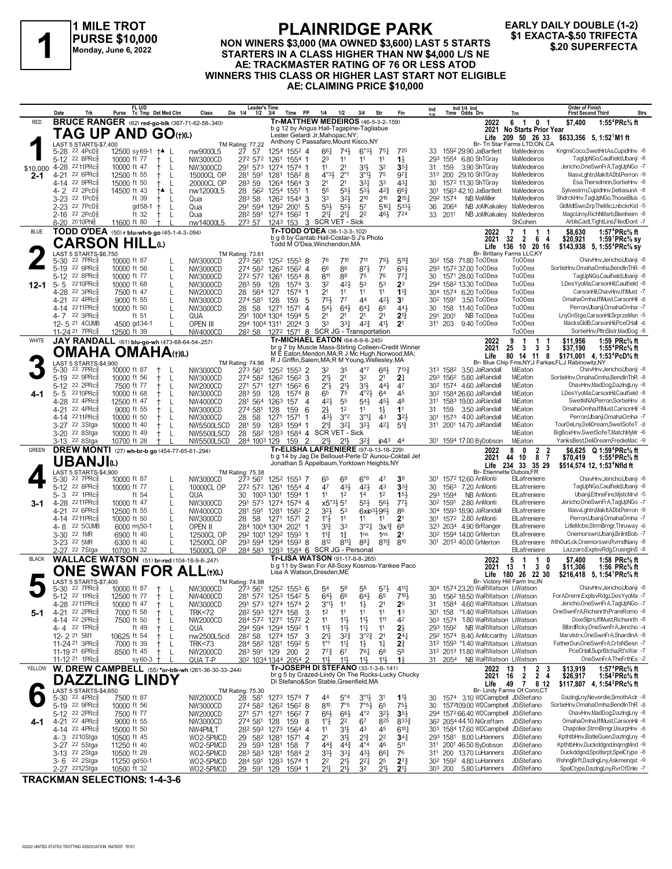

### **PLAINRIDGE PARK**

#### NON WINERS \$3,000 (MA OWNED \$3,600) LAST 5 STARTS STARTERS IN A CLASS HIGHER THAN NW \$4,000 L/S NE AE: TRACKMASTER RATING OF 76 OR LESS ATOD WINNERS THIS CLASS OR HIGHER LAST START NOT ELIGIBLE AE: CLAIMING PRICE \$10,000

#### **EARLY DAILY DOUBLE (1-2)** \$1 EXACTA-\$.50 TRIFECTA \$.20 SUPERFECTA

|              | Trk<br>Date                                            | FL U/D<br>Purse                                         | Tc Tmp Det Med Clm           | Class                               | Leader's Time<br>Dis 1/4<br>$1/2$ $3/4$ | PP<br>Time                                                                                           | 1/4<br>1/2                                                                                                       | 3/4                                       | Str                              | Fin                                   | Ind                          | Ind 1/4 Ind<br>Time Odds Drv                                                   | Trn                                                                               | <b>Order of Finish</b><br><b>Strs</b><br><b>First Second Third</b>                                                         |
|--------------|--------------------------------------------------------|---------------------------------------------------------|------------------------------|-------------------------------------|-----------------------------------------|------------------------------------------------------------------------------------------------------|------------------------------------------------------------------------------------------------------------------|-------------------------------------------|----------------------------------|---------------------------------------|------------------------------|--------------------------------------------------------------------------------|-----------------------------------------------------------------------------------|----------------------------------------------------------------------------------------------------------------------------|
| RED          |                                                        | <b>BRUCE RANGER</b> (62) red-go-blk (367-71-62-58-.340) |                              |                                     |                                         | <b>Tr-MATTHEW MEDEIROS (46-5-3-2-159)</b>                                                            |                                                                                                                  |                                           |                                  |                                       |                              | 2022                                                                           | 6<br>1 0 1                                                                        | 1:55 <sup>4</sup> PRc <sup>5</sup> / <sub>8</sub> ft<br>\$7,400                                                            |
|              |                                                        | TAG UP AND GO(t)(L)                                     |                              |                                     |                                         | b g 12 by Angus Hall-Tagapine-Tagliabue<br>Lester Gelardi Jr, Mahopac, NY;                           |                                                                                                                  |                                           |                                  |                                       |                              | 2021<br>Life                                                                   | <b>No Starts Prior Year</b><br>209 50 26 33                                       | \$633,356 5, 1:52 <sup>1</sup> M1 ft                                                                                       |
|              | LAST 5 STARTS-\$7,400                                  |                                                         |                              |                                     | TM Rating: 77.22                        | Anthony C Passafaro, Mount Kisco, NY                                                                 |                                                                                                                  |                                           |                                  |                                       |                              |                                                                                | Br- Tri Star Farms LTD,ON, CA                                                     | KngmiCoco,SwetHrtAs,CupidHnv -8                                                                                            |
|              | 5-28 22 4PcD <sup>5</sup><br>5-12 22 8PRc              | 12500 sy 69-1 †▲ L<br>10000 ft 77                       | $^+$                         | nw9000L5<br>NW3000CD                | 27 57<br>272 572                        | 1254 1552 4<br>1261<br>1554 1                                                                        | $66\frac{1}{4}$<br>$74\frac{1}{2}$<br>23<br>11                                                                   | $6°3\frac{1}{2}$<br>11                    | $75\frac{1}{4}$<br>11            | 720<br>$1\frac{1}{2}$                 | 33                           | 1592 29.90 JaBartlett<br>293 1554 6.80 ShTGrav                                 | MaMedeiros<br>MaMedeiros                                                          | TaqUpNGo.Caulfield.Ubanii -8                                                                                               |
| \$10,000     | 4-28 2211PRc                                           | 10000 ft 47                                             | L                            | NW3000CD                            | 291 573                                 | 1274<br>1574 1                                                                                       | 2 <sup>1</sup><br>11                                                                                             | 31}                                       | 32                               | 35 <sub>1</sub>                       | 159<br>31                    | 3.90 ShTGray                                                                   | MaMedeiros                                                                        | Jericho, One SwnFrA, TagUpNGo - 7                                                                                          |
| 2-1          | 22 6PRc<br>4-21<br>4-14 22 9PRc                        | 12500 ft 55<br>15000 ft 50                              | ŧ<br>$\perp$<br>$\mathsf{L}$ | 15000CL OP<br>20000CL OP            | 281 591<br>283 59                       | 1281<br>$158^2$ 8<br>1264<br>1564<br>-3                                                              | 4°3 <sup>1</sup><br>$2^{\circ}1$<br>2 <sup>1</sup><br>2 <sup>1</sup>                                             | $3^{01}$<br>331                           | 75<br>33                         | 97<br>431                             | 30                           | 313 200 29.10 ShTGray<br>1572 11.30 ShTGray                                    | MaMedeiros<br>MaMedeiros                                                          | MasvLghtn, MakItADbl, Perron -9<br>Esa, Thersdmnn, SortieHnv -8                                                            |
|              | 4-2 <sup>22</sup> 2PcD                                 | 14500 ft 43                                             | †▲ L                         | nw12000L5                           | 28 562                                  | 1254<br>1551                                                                                         | 55<br>55}                                                                                                        | $5^{31}$                                  | $4^{2}\frac{3}{4}$               | $66\frac{3}{4}$                       | 30 <sup>1</sup>              | 1563 42.10 JaBartlett                                                          | MaMedeiros                                                                        | Sylvestrm,CupidHnv,DeltasunA -8                                                                                            |
|              | 3-23 <sup>22</sup> 1PcD<br>2-23 22 7PcD                | ft 39                                                   | Ť.<br>L                      | Qua                                 | 283 58                                  | 126 <sup>2</sup> 1544<br>3                                                                           | 33<br>$3^{2}\frac{1}{2}$<br>553                                                                                  | 210                                       | 210<br>$5^{16}$                  | $2^{15}$                              | 292 1574                     | <b>NB MaMiller</b>                                                             | MaMedeiros                                                                        | ShdrckHnv,TagUpNGo,ThoseBlus -5<br>GldMdlSwn,DrpTheMic,LnbckrKid -5                                                        |
|              | 2-16 22 2PcD                                           | gd 58-1<br>ft $32$                                      | $^+$<br>L<br>$^+$<br>$\perp$ | Qua<br>Qua                          | 291 594<br>282 591                      | 1292<br>2001<br>5<br>1274<br>1562                                                                    | $55\frac{1}{2}$<br>2 <sup>11</sup><br>$21\frac{1}{4}$                                                            | 5 <sup>7</sup><br>2 <sup>2</sup>          | 461                              | 533}<br>724                           | 2064<br>36<br>33 2011        | NB JoMKakaley<br>NB JoMKakaley                                                 | MaMedeiros<br>MaMedeiros                                                          | MagcUrny, RichNMsrb, Blenheim -8                                                                                           |
|              | 8-20 2010Phls                                          | 11600 ft 80                                             |                              | nw14000L5                           | 273 57                                  | 3<br>1243 153                                                                                        | SCR VET - Sick                                                                                                   |                                           |                                  |                                       |                              |                                                                                | ShCohen                                                                           | ArblsCadt,TightLins,FiledDont -7                                                                                           |
| <b>BLUE</b>  |                                                        | TODD O'DEA (50) r blu-wh-b go (45-1-4-3-.094)           |                              |                                     |                                         | Tr-TODD O'DEA (36-1-3-3-102)<br>b a 8 by Cantab Hall-Costar-S J's Photo                              |                                                                                                                  |                                           |                                  |                                       |                              | 2022<br>2021                                                                   | $\mathbf{1}$<br>7<br>-1<br>-1<br>32<br>2<br>6<br>4                                | 1:57 <sup>4</sup> PRc% ft<br>\$8,630<br>\$20,921<br>1:59 ${}^1$ PRc ${}^5\! s$ sy                                          |
|              |                                                        | <b>CARSON HILL</b> ல                                    |                              |                                     |                                         | Todd M O'Dea, Winchendon, MA                                                                         |                                                                                                                  |                                           |                                  |                                       |                              | Life                                                                           | 136 10 20 16                                                                      | \$143,938 5, 1:55 <sup>4</sup> PRc <sup>5</sup> / <sub>8</sub> sy                                                          |
|              | LAST 5 STARTS-\$6.750<br>22 7PRc3<br>$5 - 30$          | 10000 ft 87                                             |                              | NW3000CD                            | <b>TM Rating: 73.61</b><br>273 561      | 1252 1553 8                                                                                          | 76<br>710                                                                                                        | 711                                       | 791,                             | $5^{11}$                              |                              | 30 <sup>2</sup> 158 71.80 ToODea                                               | Br- Brittany Farms LLC.KY<br>To0Dea                                               | ChavHnv,Jericho,Ubanji -8                                                                                                  |
|              | 5-19 22 9PRc                                           | 10000 ft 56                                             | L                            | NW3000CD                            | 274 582                                 | $156^2$ 4<br>1262                                                                                    | 66<br>86                                                                                                         | 871                                       | 7 <sup>7</sup>                   | 653                                   |                              | 293 1572 37.00 ToODea                                                          | <b>ToODea</b>                                                                     | SortieHnv, OmahaOmha, BendInThR -8                                                                                         |
| 12-1         | 5-12 <sup>22</sup> 8PRc<br>2210PRc<br>5-5              | 10000 ft 77<br>10000 ft 68                              | L                            | NW3000CD<br>NW3000CD                | 272 572 1261<br>283 59                  | 1554 8<br>128<br>1574 3                                                                              | 811<br>88<br>421<br>32                                                                                           | 75<br>53                                  | 76<br>53                         | $77\frac{1}{4}$<br>2 <sup>3</sup>     | 30                           | 1571 28.00 ToODea<br>294 1582 13.30 ToODea                                     | <b>ToODea</b><br><b>ToODea</b>                                                    | TagUpNGo,Caulfield,Ubanji -8<br>LDesYyoMa,CarsonHil,Caulfield -8                                                           |
|              | 4-28 22 3PRc                                           | 7500 ft 47                                              | L                            | NW2000CD                            | 28 564                                  | 127<br>1574                                                                                          | 2 <sup>1</sup><br>11                                                                                             | 11                                        | 11                               | $1^{13}$                              |                              | 304 1574 6.20 ToODea                                                           | <b>ToODea</b>                                                                     | CarsonHil,ChavHnv,IfIMust -7                                                                                               |
|              | 22 4PRc<br>4-21<br>4-14 2211PRc                        | 9000 ft 55<br>10000 ft 50                               | L                            | NW3000CD                            | 274 581                                 | 128<br>159<br>-5                                                                                     | 751<br>$7^7$<br>543                                                                                              | 44                                        | 421                              | 3 <sup>1</sup>                        |                              | 30 <sup>2</sup> 1591 3.50 ToODea                                               | <b>ToODea</b><br><b>ToODea</b>                                                    | OmahaOmha,IfIMust,CarsonHil -8<br>Perron, Ubanji, Omaha Omha - 7                                                           |
|              | 4-7 22 3PRc                                            | ft $51$                                                 | L<br>L                       | NW3000CD<br>QUA                     | 28<br>58<br>291 1004 1304               | 1271<br>1571<br>4<br>1594<br>5                                                                       | 643<br>21<br>2 <sup>1</sup>                                                                                      | $64\frac{1}{4}$<br>21                     | 65<br>2 <sup>1</sup>             | 443<br>$2^{13}$                       | 30<br>291<br>2001            | 158 11.40 ToODea<br>NB ToODea                                                  | <b>ToODea</b>                                                                     | LnyOnStge,CarsonHil,SrprzeMsn -5                                                                                           |
|              | 12-5 21 4CUMB                                          | 4500 gd34-1                                             |                              | OPEN III                            | 294 1004 1311                           | 2024<br>3                                                                                            | 33<br>3 <sup>31</sup>                                                                                            | $4^{2}\frac{3}{4}$                        | $4^{11}$                         | 2 <sup>1</sup>                        | 311 203                      | 9.40 ToODea                                                                    | <b>ToODea</b>                                                                     | MacksGldB.CarsonHil.PceCHall -6                                                                                            |
| WHITE        | 11-24 <sup>21</sup> 7PRc                               | 12500 ft 39                                             |                              | NW4000CD                            | 28 <sup>2</sup> 58                      | 1272<br><b>Tr-MICHAEL EATON (64-8-9-8-.245)</b>                                                      | 1571 8 SCR JG - Transportation                                                                                   |                                           |                                  |                                       |                              |                                                                                | To <sub>O</sub> Dea<br>$\mathbf 1$<br>1                                           | SortieHnv,PltnSlstr,MadDog -8                                                                                              |
|              |                                                        | JAY RANDALL (61) blu-go-wh (473-68-64-54-257)           |                              |                                     |                                         | br g 7 by Muscle Mass-Stirling Colleen-Credit Winner                                                 |                                                                                                                  |                                           |                                  |                                       |                              | 2022<br>2021                                                                   | 9<br>25<br>3<br>3<br>3                                                            | \$11.956<br>1:59 $PRc\%$ ft<br>\$37,190<br>1:55 <sup>4</sup> PRc% ft                                                       |
|              | LAST 5 STARTS-\$4,900                                  | <b>OMAHA OMAHA(t)(L)</b>                                |                              |                                     | <b>TM Rating: 74.96</b>                 | M E Eaton, Mendon, MA; R J Mc Hugh, Norwood, MA;<br>R J Griffin, Salem, MA; R M Young, Wellesley, MA |                                                                                                                  |                                           |                                  |                                       |                              | Life                                                                           | 8<br>80<br>14 11                                                                  | \$171,001 4, 1:53 <sup>4</sup> PcD <sup>5</sup> / <sub>8</sub> ft<br>Br- Blue Chip Fms, NY; J Farkas, FL; J Rabinowitz, NY |
|              | $22$ $7$ $PRc85$<br>$5 - 30$                           | 10000 ft 87                                             |                              | NW3000CD                            | 273 561                                 | 1252<br>$155^3$ 2                                                                                    | 32<br>35                                                                                                         | $4^{\circ}7$                              | 683                              | $7^{13}\frac{3}{4}$                   |                              | 313 1582 3.50 JaRandall                                                        | MiEaton                                                                           | ChavHnv, Jericho, Ubanji - 8                                                                                               |
|              | 22 9PRc<br>$5-19$                                      | 10000 ft 56                                             | $^+$<br>L                    | NW3000CD                            | 274 582                                 | 1262<br>$156^2$ 3                                                                                    | 21号<br>2 <sup>1</sup>                                                                                            | 32                                        | 21                               | $2\frac{1}{4}$                        |                              | 293 1562 5.80 JaRandall<br>30 <sup>2</sup> 1574 4.60 JaRandall                 | MiEaton<br>MiEaton                                                                | SortieHnv, OmahaOmha, BendIn ThR -8<br>ChavHnv,MadDog,DazIngLny -8                                                         |
|              | 5-12 22 2PRc<br>2210PRc<br>5-5                         | 7500 ft 77<br>10000 ft 68                               | Ť.<br>L<br>$^+$<br>L         | NW2000CD<br>NW3000CD                | 271 571<br>283 59                       | 1271<br>$156^2$ 6<br>128<br>1574<br>8                                                                | 2°3<br>$2^{11}$<br>65<br>75                                                                                      | 3 <sup>1</sup><br>$4^{\circ}2\frac{1}{2}$ | 443<br>64                        | 47<br>45                              |                              | 30 <sup>2</sup> 1584 26.60 JaRandall                                           | MiEaton                                                                           | LDesYyoMa,CarsonHil,Caulfield -8                                                                                           |
|              | 4-28 22 4PRc                                           | 12500 ft 47                                             | L<br>$^+$                    | NW4000CD                            | 281 564 1263                            | 157<br>$\overline{4}$                                                                                | 42}<br>55                                                                                                        | $54\frac{1}{2}$                           | 45}                              | 48                                    |                              | 311 1583 19.00 JaRandall                                                       | MiEaton                                                                           | SwetIsNAI, Perron, SortieHnv -8                                                                                            |
|              | 22 4PRc<br>4-21<br>2211PRc<br>4-14                     | 9000 ft 55<br>10000 ft 50                               | $^+$<br>$\mathbf{I}$         | NW3000CD<br>NW3000CD                | 274 581<br>28 58                        | 128<br>159<br>6<br>1271<br>1571                                                                      | 21<br>1 <sup>2</sup><br>3°2<br>431                                                                               | 11<br>$3^{\circ}1\frac{1}{4}$             | $1\frac{1}{2}$<br>43             | 11<br>3 <sup>2</sup>                  | 31<br>159<br>30 <sup>1</sup> | 3.50 JaRandall<br>1573 4.00 JaRandall                                          | MiEaton<br>MiEaton                                                                | OmahaOmha.IfIMust.CarsonHil -8<br>Perron, Ubanji, Omaha Omha - 7                                                           |
|              | 3-27 22 3Stga                                          | 10000 ft 40                                             | $^+$<br>L                    | NW5500L5CD                          | 281<br>59                               | 1283<br>1594                                                                                         | $2^{13}$<br>3 <sup>2</sup>                                                                                       | 32}                                       | 421                              | $5^{13}$                              |                              | 311 2001 14.70 JaRandall                                                       | MiEaton                                                                           | TourDeLny,DeliDream,SwetSofeT -8                                                                                           |
|              | 3-20 <sup>22</sup> 8Stga                               | 10000 ft 49                                             | L<br>$^+$                    | <b>NW5500L5CD</b>                   | 28                                      | 582 1283<br>1584 4<br>$\overline{2}$                                                                 | SCR VET - Sick<br>$21\frac{1}{2}$<br>$21\frac{1}{2}$                                                             |                                           |                                  |                                       |                              | 301 1594 17.00 ByDobson                                                        | MiEaton<br>MiEaton                                                                | BigBoxHnv,SwetSofeT,MatchMyMr -6<br>YanksBest,DeliDream,FredieMac -9                                                       |
|              | 3-13 <sup>22</sup> 8Stga                               | 10700 ft 28                                             |                              | <b>NW5500L5CD</b>                   | 284 1003 129                            |                                                                                                      |                                                                                                                  | $3^{24}$                                  | ip43                             | -44                                   |                              |                                                                                |                                                                                   |                                                                                                                            |
| <b>GREEN</b> |                                                        |                                                         |                              |                                     |                                         | 159<br>Tr-ELISHA LAFRENIERE (97-9-13-18-.229)                                                        |                                                                                                                  |                                           |                                  |                                       |                              |                                                                                | 0                                                                                 |                                                                                                                            |
|              |                                                        | DREW MONTI (27) wh-br-b go (454-77-65-61-294)           |                              |                                     |                                         | b g 14 by Jag De Bellouet-Perle D' Aunou-Coktail Jet                                                 |                                                                                                                  |                                           |                                  |                                       |                              | 2022<br>2021                                                                   | 8<br>$\overline{2}$<br>$\overline{\mathbf{2}}$<br>$\overline{7}$<br>10<br>8<br>44 | \$6,625 Q 1:59 <sup>4</sup> PRc <sup>5</sup> / <sub>8</sub> ft<br>\$70,419<br>1:55 <sup>+</sup> PRc% ft                    |
|              | UBANJIω<br>LAST 5 STARTS-\$4,900                       |                                                         |                              |                                     | TM Rating: 75.38                        | Jonathan S Appelbaum, Yorktown Heights, NY                                                           |                                                                                                                  |                                           |                                  |                                       |                              | Life<br>Br- Etiennette Dubois, FR                                              | 234 33 35 29                                                                      | \$514,574 12, 1:53 <sup>4</sup> Nfld ft                                                                                    |
|              | 5-30 22 7PRc <sup>3</sup>                              | 10000 ft 87                                             |                              | NW3000CD                            | 273 561                                 | 1252 1553 7                                                                                          | 65<br>69                                                                                                         | 6°9                                       | 47                               | 39                                    |                              | 301 1572 12.60 AnMonti                                                         | ElLafreniere                                                                      | ChavHnv, Jericho, Ubanji -8                                                                                                |
|              | 5-12 22 8PRc<br>22 1PRc<br>5-3                         | 10000 ft 77<br>ft $54$                                  | L                            | 10000CL OP<br>QUA                   | 272 572<br>30<br>1003 1301              | 1261<br>$155^4$ 4<br>1594 1                                                                          | 47<br>431<br>11<br>1 <sup>2</sup>                                                                                | 421<br>14                                 | 4 <sup>3</sup><br>1 <sup>2</sup> | 3 <sup>3</sup><br>15 <sup>1</sup>     | 30<br>293 1594               | 1563 7.20 AnMonti<br>NB AnMonti                                                | ElLafreniere<br>ElLafreniere                                                      | TagUpNGo,Caulfield,Ubanji -8<br>Ubanji,EthnsFire,MistcMrvl -5                                                              |
| 3-1          | 4-28 2211PRc                                           | 10000 ft 47                                             | L                            | NW3000CD                            | 291<br>573                              | 1274<br>$1574$ 4                                                                                     | $x5^{\circ}3\frac{1}{2}57$                                                                                       | $55\frac{1}{2}$                           | 56}                              | 773                                   | 30 <sup>2</sup> 1591         | 2.80 AnMonti                                                                   | ElLafreniere                                                                      | Jericho, One SwnFrA, TagUpNGo - 7                                                                                          |
|              | 22 6PRc<br>4-21                                        | 12500 ft 55                                             | L                            | NW4000CD                            | 281<br>591                              | 1281<br>1582<br>2                                                                                    | 32}<br>53                                                                                                        |                                           | 6xip3}96}                        | 86                                    |                              | 304 1593 18.90 JaRandall                                                       | ElLafreniere                                                                      | MasvLghtn, MakItADbl, Perron -9                                                                                            |
|              | 2211PRc<br>4-14<br>4-8 22 5 CUMB                       | 10000 ft 50<br>6000 my50-1                              | L                            | NW3000CD<br>OPEN II                 | 58<br>28<br>284 1004 1304               | $\overline{2}$<br>1271<br>1571<br>2021                                                               | 1°3<br>11<br>31}<br>33                                                                                           | 11<br>$3^{\circ}2^{\frac{1}{4}}$          | 11<br>$3x^{12}$                  | 2 <sup>1</sup><br>$6^8$               |                              | 301 1572 2.80 AnMonti<br>323 2034 4.90 BrRanger                                | ElLafreniere<br>ElLafreniere                                                      | Perron, Ubanji, Omaha Omha - 7<br>LitleMcbe,StrmBrngr,Thruway -6                                                           |
|              | 3-30 <sup>22</sup> 1MR                                 | 6900 ft 40                                              |                              | 12500CL OP                          | 292 1001 1292                           | 1593                                                                                                 | $11\frac{3}{4}$<br>$1\frac{3}{4}$                                                                                | 1 <sub>ns</sub>                           | 1 <sub>ns</sub>                  | 2 <sup>1</sup>                        |                              | 30 <sup>2</sup> 1594 14.00 GrMerton                                            | ElLafreniere                                                                      | Onemorswn.Ubanii.BrilntBob -7                                                                                              |
|              | 3-23 22 5MR<br>2-27 22 7Stga                           | 6300 ft 40<br>10700 ft 32                               |                              | 12500CL OP<br>15000CL OP            |                                         | 293 594 1294 1593 8<br>284 583 1283 1584 6 SCR JG - Personal                                         | $8^{11}\frac{1}{4}$<br>812                                                                                       | 881                                       | $8^{11\frac{3}{4}}$              | 810                                   |                              | 301 2013 40.00 GrMerton                                                        | ElLafreniere<br>ElLafreniere                                                      | WthOurLck,Onemorswn,RvrndNany -8<br>Lazzaro, ExplsvRdg, CrusngInS -8                                                       |
| <b>BLACK</b> |                                                        | WALLACE WATSON (51) br-red (104-18-9-8-.247)            |                              |                                     |                                         | Tr-LISA WATSON (91-17-8-8-265)                                                                       |                                                                                                                  |                                           |                                  |                                       |                              | 2022                                                                           | 5<br>$\mathbf{1}$<br>0                                                            | \$7,400<br>1:58 PRc% ft                                                                                                    |
|              |                                                        | ONE SWAN FOR ALL⑴                                       |                              |                                     |                                         | b g 11 by Swan For All-Soxy Kosmos-Yankee Paco<br>Lisa A Watson.Dresden.ME                           |                                                                                                                  |                                           |                                  |                                       |                              | 2021<br>Life                                                                   | 3<br>13<br>0<br>-1<br>180 26 22 30                                                | \$11,306<br>1:56 $PRc\%$ ft                                                                                                |
|              | LAST 5 STARTS-\$7,400                                  |                                                         |                              |                                     | TM Rating: 74.98                        |                                                                                                      |                                                                                                                  |                                           |                                  |                                       |                              |                                                                                | Br- Victory Hill Farm Inc.IN                                                      | \$216,418 5, 1:54 PRc % ft                                                                                                 |
|              | 5-30 22 7PRc <sup>5</sup><br>22 1 PR C                 | 10000 ft 87                                             | $+$<br>- L                   | NW3000CD                            |                                         | 273 561 1252 1553 6                                                                                  | 5 <sup>4</sup><br>5 <sup>8</sup>                                                                                 | 58                                        | $5^{7}$                          | 4111                                  | 30                           | 304 1574 23.20 WaRWatson LiWatson<br>156 <sup>2</sup> 18.50 WaRWatson LiWatson |                                                                                   | ChavHnv.Jericho.Ubanii -8<br>ForADremr,ExplsvRdg,LDesYyoMa -7                                                              |
|              | 5-12<br>4-28 2211PRc <sup>5</sup>                      | 12500 tt 77<br>10000 ft 47                              | Ť<br>L                       | NW4000CD<br>NW3000CD                | 281                                     | 572 1253 1542 5<br>291 573 1274 1574 2                                                               | $64\frac{1}{2}$<br>66<br>$3^{01}\frac{1}{2}$<br>11                                                               | $64\frac{1}{2}$<br>1}                     | 65<br>2 <sup>1</sup>             | 710물<br>2 <sub>5</sub>                | 31                           | 1584 4.60 WaRWatson LiWatson                                                   |                                                                                   | Jericho, One SwnFrA, TagUpNGo - 7                                                                                          |
| 5-1          | 4-21 22 2PRc <sup>5</sup>                              | 7000 ft 58                                              | $^+$<br>L                    | <b>TRK&lt;72</b>                    |                                         | 282 593 1274 158<br>3                                                                                | 1 <sup>2</sup><br>11                                                                                             | 11                                        | 11                               | 1 <sup>3</sup>                        | 301 158                      | *1.40 WaRWatson LiWatson                                                       |                                                                                   | OneSwnFrA, Richsnrth, PrareRomo -8                                                                                         |
|              | 4-14 22 2PRc<br>4-4 22 1PRc                            | 7500 ft 50<br>ft 49                                     | $^+$                         | <b>NW2000CD</b><br>QUA              | 284 572 1271<br>294 594 1294            | 1572<br>$\overline{2}$<br>1592 1                                                                     | 1 <sup>1</sup><br>$11\frac{1}{2}$<br>11<br>$11\frac{1}{2}$                                                       | 11号<br>11                                 | 111<br>11                        | 42<br>$2\frac{1}{2}$                  | 293 1592                     | 303 1574 1.80 WaRWatson LiWatson<br>NB WaRWatson LiWatson                      |                                                                                   | DixeSlprs, If IMust, Richsnrth -8<br>BlbrdRcky, OneSwnFrA, Jericho -4                                                      |
|              | 12-2 <sup>21</sup> 5M1                                 | 10625 ft 54                                             | $^+$<br>L                    | nw2500L5cd                          | 282 58                                  | 1274<br>157<br>3                                                                                     | 2 <sup>11</sup><br>$3^{2}3$                                                                                      | $3^{°2}\frac{3}{4}$                       | 2 <sup>1</sup>                   | 24 <sub>1</sub>                       |                              | 292 1574 8.40 AnMccarthy LiWatson                                              |                                                                                   | Marvistrx, One Swn FrA, Shardin A-8                                                                                        |
|              | 11-24 21 3PRc <sup>5</sup>                             | 7000 ft 39                                              | $^+$<br>L                    | <b>TRK&lt;73</b>                    | 284 582 1281                            | 1592 5                                                                                               | $1^{\circ}1$<br>11                                                                                               | $1\frac{1}{2}$                            | $1\frac{1}{4}$                   | 2 <sup>3</sup>                        |                              | 312 1593 *1.40 WaRWatson LiWatson                                              |                                                                                   | FatherDun, OneSwnFrA, CrtsNSesn -7<br>PceCHall.SuprBtcha.Rt'sWar -7                                                        |
|              | 11-19 21 6PRc<br>11-12 <sup>21</sup> 1PRc <sup>3</sup> | 8500 ft 45                                              | $^+$<br>L<br>sy 60-3 $+$     | NW2000CD<br>QUA T-P                 | 283 591 129                             | 200 2<br>30 <sup>2</sup> 1034 1344 2054 2                                                            | $77\frac{3}{4}$<br>67<br>$11\frac{1}{2}$<br>11}                                                                  | 761<br>$11\frac{1}{2}$                    | 6 <sup>8</sup><br>11}            | 58<br>$1\frac{1}{2}$                  | 31 2054                      | 312 2013 11.80 WaRWatson LiWatson<br>NB WaRWatson LiWatson                     |                                                                                   | OneSwnFrA, The Frth Es -2                                                                                                  |
| YELLOW       |                                                        | W. DREW CAMPBELL (55) *or-blk-wh (261-36-30-33-.244)    |                              |                                     |                                         | Tr-JOSEPH DI STEFANO (33-1-3-6-.141)                                                                 |                                                                                                                  |                                           |                                  |                                       |                              | 2022                                                                           | $\overline{2}$<br>13<br>-3                                                        | 1:57 <sup>4</sup> PRc <sup>5</sup> / <sub>8</sub> ft<br>\$13,919                                                           |
|              |                                                        | <b>DAZZLING LINDY</b>                                   |                              |                                     |                                         | br g 5 by Crazed-Lindy On The Rocks-Lucky Chucky<br>Di Stefano&Son Stable, Greenfield, MA            |                                                                                                                  |                                           |                                  |                                       |                              | 2021<br>Life                                                                   | $\overline{2}$<br>16<br>2<br>4<br>8 12<br>49<br>7                                 | 1:54 $^{2}$ PRc $\%$ ft<br>\$26,917<br>\$117,807 4, 1:54 <sup>2</sup> PRc <sup>5</sup> / <sub>8</sub> ft                   |
|              | LAST 5 STARTS-\$4,650<br>5-30 22 4PRc <sup>3</sup>     | 7500 ft 87                                              |                              | NW2000CD                            | TM Rating: 75.30<br>28 581              | 1273 1574 7                                                                                          | 4 <sup>4</sup><br>$5^{\circ}4$                                                                                   | $3^{01}$                                  | 31                               | $1\frac{11}{2}$                       |                              | 30 1574 3.10 WDCampbell JDiStefano                                             | Br- Lindy Farms Of Conn,CT                                                        | DazingLny,Neverdie,SmothAclr -8                                                                                            |
|              | 5-19 22 9PRc                                           | 10000 ft 56                                             |                              | NW3000CD                            |                                         | 274 582 1262 1562 8                                                                                  | 810<br>7°5                                                                                                       | $7°5\frac{1}{2}$                          | 65                               | $75\frac{1}{2}$                       | 30                           | 1572109.00 WDCampbell JDiStefano                                               |                                                                                   | SortieHnv, OmahaOmha, BendInThR -8                                                                                         |
|              | 5-12 22 2PRc                                           | 7500 ft 77                                              |                              | NW2000CD                            | 271 571                                 | 1271<br>1562 7                                                                                       | $66\frac{1}{2}$<br>$66\frac{1}{2}$                                                                               | $4^{\circ}2$                              | $3^{2}\frac{1}{2}$               | $35\frac{1}{2}$                       |                              | 294 1572 66.40 WDCampbell JDiStefano                                           |                                                                                   | ChavHnv,MadDog,DazIngLny -8                                                                                                |
| 4-1          | 4-21 22 4PRc<br>4-14 22 4PRc                           | 9000 ft 55<br>15000 ft 50                               |                              | NW3000CD<br>NW4PMLT                 | 274 581 128<br>282 593 1273             | 159 8<br>1564 4                                                                                      | $1^\circ \frac{1}{2}$<br>22<br>11<br>3 <sup>1</sup>                                                              | 67<br>43                                  | 825<br>45                        | 8333<br>$6^{10}$                      |                              | 36 <sup>2</sup> 2054 44.10 NiGraffam<br>303 1584 17.60 WDCampbell JDiStefano   | JDiStefano                                                                        | OmahaOmha,IfIMust,CarsonHil -8<br>Chapolier,StrmBrngr,UsurpHnv -8                                                          |
|              | 4-3 2210Stga                                           | 10500 ft 45                                             |                              | WO2-5PMCD                           | 29 582 1281                             | 1571<br>$\overline{4}$                                                                               | 21<br>3 <sup>1</sup>                                                                                             | $2^{13}$                                  | 2 <sup>2</sup>                   | $34\frac{3}{4}$                       |                              | 293 1581 8.00 LuHanners                                                        | JDiStefano                                                                        | KpthtbHnv,BatleQuen,DazingLny -8                                                                                           |
|              | 3-27 <sup>22</sup> 5Stga<br>3-13 <sup>22</sup> 2Stga   | 11250 ft 40                                             |                              | WO2-5PMCD                           | 29                                      | 593 1281<br>158<br>7                                                                                 | $44\frac{3}{4}$<br>$44\frac{3}{4}$                                                                               | $4^{\circ}4$                              | 46                               | 511<br>76                             | 311                          | 311 2001 46.50 ByDobson<br>200 13.70 LuHanners                                 | JDiStefano<br>JDiStefano                                                          | KpthtbHnv,Duckddgnd,IngrngMnd -9<br>Duckddgnd,Spotlsrpt,SpelCtype -8                                                       |
|              | 3-6 22 2Stga<br>2-27 2212Stga                          | 10500 ft 28<br>11250 gd50-1<br>10500 ft 32              |                              | WO2-5PMCD<br>WO2-5PMCD<br>WO2-5PMCD | 283 583 1281<br>29 591 129              | 1584 2<br>284 591 1283 1574 1<br>1594                                                                | $3^{3}\frac{1}{2}$<br>3 <sup>31</sup><br>2 <sup>2</sup><br>2 <sup>11</sup><br>$21\frac{1}{4}$<br>$21\frac{1}{2}$ | $43\frac{1}{2}$<br>$2^{2}$<br>32          | $66\frac{1}{4}$<br>25<br>21}     | $2^{7}\frac{3}{4}$<br>2 <sup>11</sup> | 303 200                      | 30 <sup>2</sup> 159 <sup>2</sup> 4.80 LuHanners<br>5.80 LuHanners              | JDiStefano<br>JDiStefano                                                          | WshngBrft,DazIngLny,Askmenqst -9<br>SpelCtype,DazIngLny,RvrOfDnle -7                                                       |

**TRACKMAN SELECTIONS: 1-4-3-6**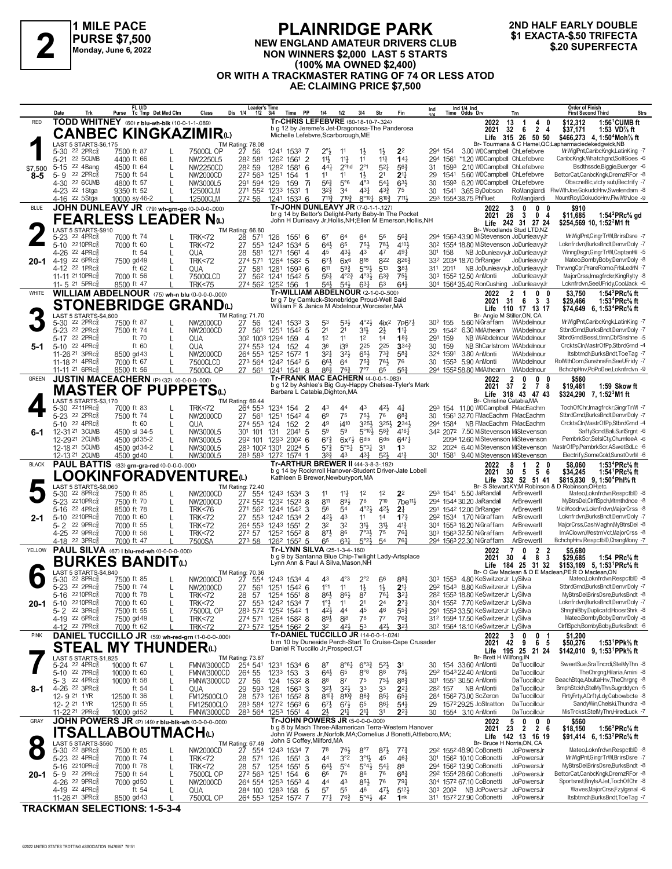

#### **PLAINRIDGE PARK NEW ENGLAND AMATEUR DRIVERS CLUB NON WINNERS \$2,000 LAST 5 STARTS (100% MA OWNED \$2,400) OR WITH A TRACKMASTER RATING OF 74 OR LESS ATOD AE: CLAIMING PRICE \$7,500 1 EXACTA-\$.50 TRIFFOR A PURSE \$7,500**<br>
Monday, June 6, 2022<br>
Monday, June 6, 2022<br> **22 BUPERFECTA**<br>
220 SUPERFECTA<br>
220 SUPERFECTA

# **2ND HALF EARLY DOUBLE**

|                | Trk<br>Date                                                       | FL U/D<br>Tc Tmp Det Med Clm<br>Purse                              | Dis 1/4<br>Class                                          | <b>Leader's Time</b><br>$1/2$ $3/4$<br>Time PP                                                                              | 1/4<br>1/2                                                        | 3/4<br>Str                                                                           | Fin                                     | Ind 1/4 Ind<br>Time Odds Drv<br>Ind                                                             | <b>Order of Finish</b><br>Strs<br><b>First Second Third</b><br>Trn                                                                                                                                         |
|----------------|-------------------------------------------------------------------|--------------------------------------------------------------------|-----------------------------------------------------------|-----------------------------------------------------------------------------------------------------------------------------|-------------------------------------------------------------------|--------------------------------------------------------------------------------------|-----------------------------------------|-------------------------------------------------------------------------------------------------|------------------------------------------------------------------------------------------------------------------------------------------------------------------------------------------------------------|
| <b>RED</b>     |                                                                   | TODD WHITNEY (60) r blu-wh-blk (10-0-1-1-089)                      |                                                           | Tr-CHRIS LEFEBVRE (80-18-10-7-.324)<br>b g 12 by Jereme's Jet-Dragonosa-The Panderosa                                       |                                                                   |                                                                                      |                                         | 2022<br>2021                                                                                    | $1:56^{\circ}$ CUMB ft<br>13<br>\$12,312<br>1<br>4<br>- 0<br>32<br>- 6<br>24<br>\$37,171<br>1:53 VD% ft                                                                                                    |
|                |                                                                   | <b>CANBEC KINGKAZIMIR</b> to                                       |                                                           | Michelle Lefebvre, Scarborough, ME                                                                                          |                                                                   |                                                                                      |                                         |                                                                                                 | \$466,273 4, 1:50 <sup>4</sup> Moh% ft<br>Life 315 26 50 50                                                                                                                                                |
|                | LAST 5 STARTS-\$6,175<br>$22$ 2PR $c_{8}^5$<br>$5 - 30$           | 7500 ft 87                                                         | TM Rating: 78.08<br>P 27 56<br>7500CL OP                  | 1241 1533 7                                                                                                                 | $2^{\circ}$ <sub>2</sub><br>11                                    | $1\frac{1}{2}$<br>$1\frac{1}{2}$                                                     | 2 <sup>2</sup>                          | 3.00 WDCampbell ChLefebvre<br>294 154                                                           | Br- Tourmana & C Hamel, QC; Lapharmaciede kedgwick, NB<br>MrWiglPnt,CanbcKngk,LatinKing -7                                                                                                                 |
|                | 22 5CUMB<br>$5 - 21$<br>22 4Bang<br>$5 - 15$                      | 4400 ft 66<br>4500 ft 64                                           | 282 581<br>NW2250L5<br>282 59<br>NW2250CD                 | 126 <sup>2</sup> 1561 2<br>1282<br>1581 6                                                                                   | 11}<br>$11\frac{1}{2}$<br>2 <sup>ohd</sup><br>$44\frac{1}{4}$     | 11<br>$11\frac{3}{4}$<br>$2^{\circ}1$<br>$5^{2}$                                     | 14 <sub>7</sub><br>56 <sup>3</sup>      | 294 1561<br>*1.20 WDCampbell ChLefebvre<br>1593 2.10 WDCampbell ChLefebvre<br>31                | CanbcKngk.Whatchgnd.SoltGoes -6<br>Bsdthssde,Biggie,Buerger -6                                                                                                                                             |
| \$7,500<br>8-5 | 22 2PRc <sub>8</sub><br>$5 - 9$                                   | 7500 ft 54<br>L                                                    | 272 563<br>NW2000CD                                       | 1251<br>154<br>-1                                                                                                           | 11<br>11                                                          | 2 <sup>1</sup><br>$1\frac{1}{2}$                                                     | 2 <sup>11</sup>                         | 5.60 WDCampbell ChLefebvre<br>29<br>1541                                                        | BettorCat.CanbcKngk.DremzRFor -8                                                                                                                                                                           |
|                | 4-30 22 6CUMB<br>4-23 <sup>22</sup> 1Stga                         | 4800 ft 57<br>9350 ft 52                                           | 291 594<br>NW3000L5<br>271 552 1233<br>12500CLM           | 159<br>129<br>-7i<br>1531<br>-1                                                                                             | $56\frac{3}{4}$<br>$5^{\circ}6$<br>32}<br>34                      | $4^{\circ}3$<br>$5^{4}$<br>431<br>$4^{3}\frac{3}{4}$                                 | $63\frac{1}{2}$<br>75                   | 6.20 WDCampbell ChLefebvre<br>30<br>1593<br>3.65 ByDobson RoMangiardi<br>30<br>1541             | ObscneBlc, vlcty sub, Electrify -7<br>FlwWthJoe,GokudoHnv,Swelendam -8                                                                                                                                     |
|                | 4-16 <sup>22</sup> 5Stga                                          | 10000 sy 46-2                                                      | 12500CLM<br>272 56                                        | 1241<br>$153^3$ 6                                                                                                           | $7^{11}\frac{3}{4}$<br>$7^{10\frac{3}{4}}$                        | $8^{\circ}10^{\frac{1}{4}}$<br>$8^{10}\frac{3}{4}$                                   | 7111                                    | 293 1554 38.75 PhFluet                                                                          | MountRoyl,GokudoHnv,FlwWthJoe -9<br>RoMangiardi                                                                                                                                                            |
| <b>BLUE</b>    |                                                                   | JOHN DUNLEAVY JR (79) wh-grn-go (0-0-0-0-0.000)                    |                                                           | Tr-JOHN DUNLEAVY JR (7-0-1-1-127)<br>br g 14 by Bettor's Delight-Party Baby-In The Pocket                                   |                                                                   |                                                                                      |                                         | 2022<br>2021                                                                                    | 3<br>0<br>$\mathbf{0}$<br>0<br>\$910<br>26<br>$_{3}$<br>0 <sub>4</sub><br>1:54 ${}^{2}$ PRc ${}^{5}_{8}$ gd<br>\$11,685                                                                                    |
|                | LAST 5 STARTS-\$910                                               | <b>FEARLESS LEADER Nω</b>                                          | TM Rating: 66.60                                          | John H Dunleavy Jr, Hollis, NH; Ellen M Emerson, Hollis, NH                                                                 |                                                                   |                                                                                      |                                         |                                                                                                 | Life 242 31 27 24<br>\$254,569 10, 1:52 <sup>2</sup> M1 ft<br>Br- Woodlands Stud LTD.NZ                                                                                                                    |
|                | 5-23 <sup>22</sup> 4PRc <sup>3</sup>                              | 7000 ft 74                                                         | 28<br><b>TRK&lt;72</b><br>571                             | 126<br>$155^{1}$ 6                                                                                                          | 67<br>64                                                          | 64<br>56                                                                             | $56\frac{3}{4}$                         | 294 1563 43.90 MiStevenson JoDunleavyJr                                                         | MrWiglPnt, GingrTrWl, BrirsDsre -7                                                                                                                                                                         |
|                | 2210PRc<br>$5 - 10$<br>4-26 22 4PRc                               | 7000 ft 60<br>ft 54                                                | 553<br><b>TRK&lt;72</b><br>27<br>QUA<br>28<br>581         | 5<br>1242 1534<br>1271<br>1561<br>4                                                                                         | $64\frac{1}{2}$<br>65<br>431<br>45                                | 75}<br>781<br>43<br>47                                                               | 4104<br>491                             | 30 <sup>2</sup> 1554 18.80 MiStevenson JoDunleavyJr<br>NB JoDunleavyJr JoDunleavyJr<br>301 158  | Loknfrdvn,BurksBndt,DenvrDoly -7<br>WinnaDsan, Ginar TrWI, CaptanHil -5                                                                                                                                    |
| 20-1           | 4-19 22 6PRc<br>4-12 22 1PRc                                      | 7500 gd 49<br>ft $62$                                              | 274 571<br><b>TRK&lt;72</b><br>27<br>581<br>QUA           | 1264<br>$158^2$ 5<br>1281<br>$1593$ 6                                                                                       | 673<br>$6x^6$<br>611<br>$59\frac{3}{4}$                           | 818<br>822<br>$5°9\frac{1}{2}$<br>513                                                | 8263<br>38 <sub>3</sub>                 | 33 <sup>2</sup> 2034 18.70 BrRanger<br>NB JoDunleavyJr JoDunleavyJr<br>311 2011                 | Mateo,BombyBoby,DenvrDoly -8<br>JoDunleavyJr<br>ThrwngCpr,PrareRomo,FrlsLedrN -7                                                                                                                           |
|                | 11-11 21 10 PR c 3                                                | 7000 ft 56                                                         | 27 562<br>7500CLCD                                        | 1241<br>1542 5                                                                                                              | $55\frac{1}{4}$<br>$4^{\circ}2^{\frac{3}{4}}$                     | $4^{\circ}3\frac{1}{2}$<br>$6^{3}{}_{4}^{3}$                                         | $75\frac{1}{2}$                         | 303 1552 12.50 AnMonti                                                                          | MajorCrss, Imagfrckr, KingRylty -8<br>JoDunleavyJr                                                                                                                                                         |
| WHITE          | 11- 5 <sup>21</sup> 5PRc                                          | 8500 ft 47<br>WILLIAM ABDELNOUR (75) wh-n blu (0-0-0-0-000)        | <b>TRK&lt;75</b>                                          | 274 562 1252 156<br>-1<br>Tr-WILLIAM ABDELNOUR (2-1-0-0-.500)                                                               | $5^{4}$<br>$5^{4}$                                                | $63\frac{1}{4}$<br>63                                                                | 643                                     | 304 1564 35.40 RonCushing JoDunleavyJr<br>2022                                                  | Loknfrdvn,SeeUFridy,CoolJack -6<br>$\overline{2}$<br>$\mathbf{0}$<br>\$3,750<br>1:54 ${}^2$ PRc ${}^5\!$ ft<br>$\mathbf 1$<br>0                                                                            |
|                |                                                                   | <b>STONEBRIDGE GRAND</b> W                                         |                                                           | br g 7 by Camluck-Stonebridge Proud-Well Said<br>William F & Janice M Abdelnour, Worcester, MA                              |                                                                   |                                                                                      |                                         | 2021                                                                                            | $31 \quad 6$<br>3 <sub>3</sub><br>\$29,466<br>1:53 <sup>4</sup> PRc <sup>5</sup> / <sub>8</sub> ft                                                                                                         |
|                | LAST 5 STARTS-\$4,600                                             |                                                                    | TM Rating: 71.70                                          |                                                                                                                             |                                                                   |                                                                                      |                                         |                                                                                                 | Life 110 17 13 17<br>\$74,649 6, 1:53 <sup>4</sup> PRc <sup>5</sup> / <sub>8</sub> ft<br>Br- Angie M Stiller, ON, CA                                                                                       |
|                | $22$ 2PR $c_{8}^5$<br>$5 - 30$<br>5-23 22 2PRcs                   | 7500 ft 87<br>7500 ft 74                                           | 27<br>NW2000CD<br>56<br>27<br>561<br>NW2000CD             | 1241 1533 3<br>1542 5<br>1251                                                                                               | 53}<br>53<br>2 <sup>1</sup><br>2 <sup>1</sup>                     | $4^{\circ}2\frac{1}{2}$<br>4i <sup>2</sup><br>31}<br>$2\frac{1}{2}$                  | 7p67}<br>$1^{11}$                       | 30 <sup>2</sup> 155<br>5.60 NiGraffam WiAbdelnour<br>1542 6.30 MMAthearn WiAbdelnour<br>29      | MrWiglPnt,CanbcKngk,LatinKing -7<br>StbrdGrnd.BurksBndt.DenvrDolv -7                                                                                                                                       |
|                | 5-17 22 2PRc<br>5-10 22 4PRc                                      | ft 70<br>$\mathbf{L}$<br>ft 60                                     | QUA<br>30 <sup>2</sup> 100 <sup>3</sup> 1294              | 159<br>4<br>$\overline{A}$                                                                                                  | 12<br>11<br>36<br>i39                                             | 1 <sup>2</sup><br>14<br>225<br>225                                                   | $18\frac{3}{4}$<br>$3^{34}$             | 159<br>NB WiAbdelnour WiAbdelnour<br>291<br>30<br>159<br>NB ShCarlstrom WiAbdelnour             | StbrdGrnd,BessLtImn,CbfSnshne -5<br>CrcktsCln.MastrOfPp.StbrdGrnd -4                                                                                                                                       |
| 5-1            | 11-26 21 3PRc                                                     | 8500 gd 43                                                         | 274 553 124<br>QUA<br>264 553<br>NW2000CD                 | 152<br>1252<br>1572<br>-1                                                                                                   | $3^{21}$<br>3 <sup>2</sup>                                        | 65}<br>$73\frac{3}{4}$                                                               | 583                                     | 324 1591<br>3.80 AnMonti                                                                        | WiAbdelnour<br>Itsibtmch, Burks Bndt, ToeTag -7                                                                                                                                                            |
|                | 11-18 <sup>21</sup> 4PRc<br>11-11 <sup>21</sup> 6PRc              | 7000 ft 67<br>8500 ft 56                                           | 7500CLCD<br>7500CL OP                                     | 273 564 1242 1542 5<br>27 561 1241 1541 8                                                                                   | 66}<br>64<br>$8^{8}$ <sub>4</sub><br>$76\frac{3}{4}$              | $75\frac{3}{4}$<br>76}<br>7°7<br>65                                                  | 76<br>$55\frac{3}{4}$                   | 1553 5.90 AnMonti<br>30<br>294 1552 58.80 MMAthearn                                             | RolWthDom,SunshnsFn,SeeUFridy -7<br>WiAbdelnour<br>WiAbdelnour<br>BchchpHnv,PoPoDee,Loknfrdvn -9                                                                                                           |
| <b>GREEN</b>   |                                                                   | JUSTIN MACEACHERN (P) (32) (0-0-0-0-000)                           |                                                           | Tr-FRANK MAC EACHERN (4-0-0-1-.083)                                                                                         |                                                                   |                                                                                      |                                         | 2022                                                                                            | 0<br>$\mathbf{0}$<br>$\frac{2}{37}$<br>0<br>\$560                                                                                                                                                          |
|                |                                                                   | <b>MASTER OF PUPPETS</b> W                                         |                                                           | b g 12 by Ashlee's Big Guy-Happy Chelsea-Tyler's Mark<br>Barbara L Catabia, Dighton, MA                                     |                                                                   |                                                                                      |                                         | 2021                                                                                            | 2 7 8<br>\$19,461<br>1:59 Skow ft<br>\$324.290 7.1:52 <sup>3</sup> M1 ft<br>Life 318 43 47 43                                                                                                              |
|                | LAST 5 STARTS-\$3,170<br>5-30 2211PRc <sup>3</sup>                | 7000 ft 83                                                         | TM Rating: 69.44<br>264 553<br><b>TRK&lt;72</b>           | $\overline{2}$<br>1234<br>154                                                                                               | 43<br>44                                                          | 43<br>$4^{21}$                                                                       | 41                                      | Br- Christine Catabia.MA<br>293 154 11.00 WDCampbell FMacEachrn                                 | TochOfChr.Imagfrckr.GingrTrWI -7                                                                                                                                                                           |
|                | 5-23 22 2PRcs<br>5-10 22 4PRc                                     | 7500 ft 74<br>ft 60                                                | 27 561<br>NW2000CD                                        | 1251<br>$154^2$ 4<br>$\overline{2}$                                                                                         | 6 <sup>9</sup><br>75<br>i410<br>49                                | 75}<br>76<br>3254<br>$3^{25}\frac{1}{2}$                                             | $68\frac{3}{4}$<br>$2^{34}$             | 1561 32.70 FMacEachrn FMacEachrn<br>30<br>NB FMacEachrn FMacEachrn<br>294 1584                  | StbrdGrnd,BurksBndt,DenvrDoly -7<br>CrcktsCln,MastrOfPp,StbrdGrnd -4                                                                                                                                       |
| $6 - 1$        | 12-31 21 3 CUMB                                                   | L<br>4500 sl 34-5                                                  | QUA<br>274 553 124<br>101<br>NW3000L5<br>301              | 152<br>2041<br>131<br>5                                                                                                     | 59<br>5 <sup>9</sup>                                              | $5^{\circ}10\frac{1}{2}$<br>583                                                      | 4161                                    | 342 2072 7.50 MiStevenson MiStevenson                                                           | SaftyScnd,Bali,SurlSrgnt -6                                                                                                                                                                                |
|                | 12-2921 2CUMB<br>12-18 21 5 CUMB                                  | 4500 gd35-2<br>4500 gd34-2                                         | 292 101 1293<br>NW3000L5<br>283 1002 1301<br>NW3000L5     | $200^2$ 6<br>2024 5                                                                                                         | $6^{73}$<br>$6x^{7}\frac{1}{2}$<br>$5^{7}$<br>$5^{\circ 51}$      | 6 <sup>dis</sup><br>6 <sup>dis</sup><br>$5^{\circ}3^{\frac{1}{4}}$<br>3 <sup>1</sup> | 6471<br>1 <sup>3</sup>                  | 2094 12.60 MiStevenson MiStevenson<br>2024 6.40 MiStevenson MiStevenson<br>32                   | PembrkScr,SelslCty,ChumleeA -6<br>MastrOfPp,PembrkScr,ASwetBdLc -6                                                                                                                                         |
|                | 12-13 21 2 CUMB                                                   | 4500 gd 40                                                         | NW3000L5                                                  | 283 583 1272 1574 1                                                                                                         | 33}<br>43                                                         | 431<br>$5^{2}$                                                                       | $4^{13}$                                | 301 1581 9.40 MiStevenson MiStevenson                                                           | Electrify,SomeGold,SunstOvrM -6                                                                                                                                                                            |
| <b>BLACK</b>   |                                                                   | PAUL BATTIS (83) grn-gra-red (0-0-0-0-.000)<br>.OOKINFORADVENTUREω |                                                           | Tr-ARTHUR BREWER II (44-3-8-3-192)<br>b g 14 by Rocknroll Hanover-Student Driver-Jate Lobell                                |                                                                   |                                                                                      |                                         | 2022<br>2021                                                                                    | 1:53 <sup>4</sup> PRc <sup>5</sup> / <sub>8</sub> ft<br>$\begin{array}{cccc}\n8 & 1 & 2 & 0 \\ 30 & 5 & 5 & 6\n\end{array}$<br>\$8,060<br>\$34,245<br>1:54 <sup>1</sup> PRc <sup>5</sup> / <sub>8</sub> ft |
|                | LAST 5 STARTS-\$8,060                                             |                                                                    | TM Rating: 72.40                                          | Kathleen B Brewer, Newburyport, MA                                                                                          |                                                                   |                                                                                      |                                         |                                                                                                 | Life 332 52 51 41<br>\$815,830 9, 1:50 <sup>4</sup> Phl <sup>5</sup> / <sub>8</sub> ft<br>Br- S Stewart.KY:M Robinson & D Robinson.OH:etc.                                                                 |
|                | $22$ $8$ PR $c_{8}$<br>$5 - 30$<br>5-23 2210PRcs                  | 7500 ft 85<br>7500 ft 70                                           | 27<br>554<br>NW2000CD<br>NW2000CD                         | 1243 1534 3<br>272 552 1232 1523 8                                                                                          | 11<br>$11\frac{1}{2}$<br>811<br>$89\frac{1}{2}$                   | 1 <sup>2</sup><br>1 <sup>2</sup><br>78<br>710                                        | 2 <sup>2</sup><br>$7$ be <sup>11}</sup> | 293 1541 5.50 JaRandall<br>294 1544 30.20 JaRandall                                             | Mateo,Loknfrdvn,RespctblD -8<br>ArBrewerll<br>MyBtrsDel,ClrflSpch,Mtmthdnce -8<br>ArBrewerll                                                                                                               |
|                | 22 4PRc<br>$5 - 16$                                               | 8500 ft 78<br>L                                                    | <b>TRK&lt;76</b>                                          | 271 562 1244 1542<br>3                                                                                                      | 56<br>54                                                          | $4^{\circ}2\frac{1}{2}$<br>$4^{21}$                                                  | $2\frac{1}{4}$                          | 291 1542 12.00 BrRanger                                                                         | ArBrewerll<br>MicWoodrw,Loknfrdvn,MajorCrss -8                                                                                                                                                             |
| $2 - 1$        | 2210PRc<br>$5 - 10$<br>5-2 22 9PRc                                | 7000 ft 60<br>L<br>7000 ft 55                                      | 27 553<br><b>TRK&lt;72</b><br>264 553<br><b>TRK&lt;72</b> | 1242 1534<br>$\overline{2}$<br>$\overline{2}$<br>1243 1551                                                                  | 421<br>43<br>32<br>32                                             | 11<br>1 <sup>4</sup><br>31}<br>3 <sup>1</sup>                                        | 17 <sup>3</sup><br>$4^{13}$             | 292 1534 1.70 NiGraffam<br>304 1553 16.20 NiGraffam                                             | ArBrewerll<br>Loknfrdvn,BurksBndt,DenvrDoly -7<br>ArBrewerll<br>MajorCrss,CashVaghn,MyBtrsDel -8                                                                                                           |
|                | 4-25 22 9PRc<br>4-18 22 3PRc                                      | 7000 ft 56                                                         | 272 57<br><b>TRK&lt;72</b><br>273 58                      | 1252 1552 8<br>126 <sup>2</sup> 155 <sup>2</sup> 5                                                                          | $8^{71}$<br>86<br>$63\frac{1}{4}$                                 | $7°3\frac{1}{2}$<br>75<br>5°2 <sup>3</sup><br>5 <sup>4</sup>                         | 761<br>761                              | 303 1563 32.50 NiGraffam<br>294 1563 22.30 NiGraffam                                            | ImAClown.WestrnVct.MajorCrss -8<br>ArBrewerll<br>ArBrewerll<br>BchchpHnv,RespctblD,ChsngMony -7                                                                                                            |
| YELLOW         |                                                                   | 7000 ft 47<br>PAUL SILVA (67)   blu-red-wh (0-0-0-0-000)           | 7500SA                                                    | Tr-LYNN SILVA (25-1-3-4-.160)                                                                                               | 65                                                                |                                                                                      |                                         | 2022                                                                                            | 0<br>$\overline{2}$<br>\$5,680<br>2                                                                                                                                                                        |
|                |                                                                   | BURKES BANDITଢ                                                     |                                                           | b g 9 by Santanna Blue Chip-Twilight Lady-Artsplace<br>Lynn Ann & Paul A Silva, Mason, NH                                   |                                                                   |                                                                                      |                                         | 2021<br>Life                                                                                    | 8 3<br>30<br>\$29,685<br>$\overline{4}$<br>1:54 PRc% ft<br>\$153,169 5, 1:53 <sup>1</sup> PRc <sup>5</sup> / <sub>8</sub> ft<br>184 25 31 32                                                               |
|                | LAST 5 STARTS-\$4,840<br>5-30 22 8PRc <sup>5</sup>                | 7500 ft 85                                                         | TM Rating: 70.36<br>27<br>NW2000CD<br>554                 | 1243 1534 4                                                                                                                 | 43<br>$4^{\circ}3$                                                | $2^{\circ}2$<br>66                                                                   | $8^{8}$ <sub>4</sub>                    | 303 1553 4.80 KeSwitzerJr LySilva                                                               | Br- O Gw Maclean & D E Maclean PE:R O Maclean ON<br>MateoLoknfrdvn.RespctblD -8                                                                                                                            |
|                | 5-23 22 2PRc                                                      | 7500 ft 74                                                         | NW2000CD                                                  | 27 561 1251 1542 6                                                                                                          | $1^{\circ}1$<br>11                                                | $1\frac{1}{2}$<br>$1\frac{1}{2}$                                                     | 2 <sup>11</sup>                         | 292 1543 8.80 KeSwitzerJr LySilva                                                               | StbrdGrnd.BurksBndt.DenvrDolv -7                                                                                                                                                                           |
| 20-1           | $5 - 16$<br>2210PRc<br>5-10 $2210$ PRc $\frac{5}{8}$              | 7000 ft 78<br>7000 ft 60                                           | TRK<72<br>28<br>57<br><b>TRK&lt;72</b>                    | 1254 1551 8<br>27 553 1242 1534 7                                                                                           | $86\frac{1}{2}$<br>$86\frac{1}{2}$<br>$1^\circ \frac{1}{2}$<br>11 | 8<br>76‡<br>2 <sup>4</sup><br>21                                                     | 3 <sup>2</sup><br>$2^{7}\frac{3}{4}$    | 28 <sup>2</sup> 155 <sup>3</sup> 18.80 KeSwitzerJr LySilva<br>304 1552 7.70 KeSwitzerJr LySilva | MyBtrsDel,BrirsDsre,BurksBndt -8<br>Loknfrdvn,BurksBndt,DenvrDoly -7                                                                                                                                       |
|                | $5 - 2$ 22 3PRc $\frac{5}{8}$<br>4-19 22 6PRc <sup>3</sup>        | 7500 ft 55<br>7500 gd 49                                           | 7500CL OP<br><b>TRK&lt;72</b>                             | 283 572 1252 1542 1<br>274 571 1264 1582 8                                                                                  | 421,<br>44<br>$89\frac{1}{2}$<br>$8i^8$                           | 45<br>46<br>78<br>$7^7$                                                              | $55\frac{3}{4}$<br>$76\frac{3}{4}$      | 291 1553 33.50 KeSwitzerJr LySilva<br>312 1594 17.50 KeSwitzerJr LySilva                        | ShnghiBby,Duplicatd,HoosrShrk -8<br>Mateo,BombyBoby,DenvrDoly -8                                                                                                                                           |
|                | 4-12 <sup>22</sup> 7PRc                                           | 7000 ft 62                                                         | <b>TRK&lt;72</b>                                          | 273 572 1254 1562 2                                                                                                         | 421<br>32                                                         | 53<br>$4^{21}$                                                                       | 3 <sup>2</sup>                          | 30 <sup>2</sup> 1564 18.10 KeSwitzerJr LySilva                                                  | CirfiSpch,BombyBoby,BurksBndt -6                                                                                                                                                                           |
| <b>PINK</b>    |                                                                   | DANIEL TUCCILLO JR (59) wh-red-grn (1-0-0-0-000)                   |                                                           | Tr-DANIEL TUCCILLO JR (14-0-0-1-.024)<br>b m 10 by Duneside Perch-Start To Cruise-Cape Crusader                             |                                                                   |                                                                                      |                                         | 2022<br>2021                                                                                    | \$1,200<br>3<br>0<br>0<br>-1<br>6 5<br>42<br>9<br>1:53 <sup>1</sup> PPk% ft<br>\$50,276                                                                                                                    |
|                | STEAL<br>LAST 5 STARTS-\$1,825                                    | <b>MY THUNDER</b>                                                  | TM Rating: 73.87                                          | Daniel R Tuccillo Jr, Prospect, CT                                                                                          |                                                                   |                                                                                      |                                         | Br- Brett H Wilfong, IN                                                                         | Life 195 25 21 24<br>\$142,010 9, 1:53 PPk % ft                                                                                                                                                            |
|                | 5-24 22 4PRc <sup>5</sup>                                         | 10000 ft 67                                                        | 254 541<br>FMNW3000CD                                     | 1231<br>1534 6                                                                                                              | 87<br>$8^{\circ}6^{\circ}4$                                       | $6^{o_{3}\frac{3}{4}}$<br>$5^{2}$                                                    | 3 <sup>1</sup>                          | 30 154 33.60 AnMonti                                                                            | SweetSue,SraTncrdi,StelMyThn -8<br>DaTuccilloJr<br>TheChrona.Hilaria.Amini -8                                                                                                                              |
|                | 5-10 22 7PRc <sup>5</sup><br>5-3 <sup>22</sup> 4PRc <sup>3</sup>  | 10000 ft 60<br>10000 ft 58<br>L                                    | 264 55<br>FMNW3000CD<br>FMNW3000CD<br>27<br>56            | 1233<br>153<br>3<br>124<br>1532 8                                                                                           | $64\frac{1}{2}$<br>65<br>88<br>87                                 | $8^{\circ}8$<br>88<br>$75\frac{1}{2}$<br>75                                          | 781<br>$8^{8}$                          | 292 1543 22.40 AnMonti<br>301 1551 30.50 AnMonti                                                | DaTuccilloJr<br>BeachBtge, AbultaHnv, The Chrgng -8<br>DaTuccilloJr                                                                                                                                        |
| 8-1            | 4-26 22 3PRc <sup>3</sup><br>12-9 <sup>21</sup> 1YR               | ft $54$<br>L<br>12500 ft 36                                        | 29 593 128<br>QUA<br>28 573 1261<br><b>FM12500CLO</b>     | $1563$ 3<br>$155^2$ 8                                                                                                       | $3^{2}\frac{1}{2}$<br>$3^{2}$<br>810}<br>$8^{10}\frac{3}{4}$      | 33<br>33<br>$86\frac{3}{4}$<br>$85\frac{1}{4}$                                       | $2^{2}$<br>65}                          | NB AnMonti<br>282 157<br>284 1562 73.00 ScZeron                                                 | BmphStckh,StelMyThn,Sugrddycn -5<br>DaTuccilloJr<br>FirtyFrty,ACrftyLdy,Cabowbcte -8<br>DaTuccilloJr                                                                                                       |
|                | 12-2 <sup>21</sup> 1YR                                            | 12500 ft 55                                                        | <b>FM12500CLO</b>                                         | 283 584 1272 1563 6                                                                                                         | $6^{71}$<br>$6^{7\frac{1}{2}}$                                    | 861<br>65                                                                            | $5^{4}$                                 | 29 1572 29.25 JoStratton                                                                        | SandyWin,Chelski,Thundra -8<br>DaTuccilloJr                                                                                                                                                                |
| GRAY           | 11-22 <sup>21</sup> 2PRc <sup>§</sup>                             | 10000 gd52<br>JOHN POWERS JR (P) (49) r blu-blk-wh (0-0-0-0-000)   | FMNW3000CD                                                | 283 564 1253 1551 4<br>Tr-JOHN POWERS JR (5-0-0-0-000)                                                                      |                                                                   | 217<br>31                                                                            | $2^{2}$                                 | 1554 3.10 AnMonti<br>30<br>2022                                                                 | MisTrckst,StelMyThn,HiredLuck -7<br>DaTuccilloJr<br>\$560                                                                                                                                                  |
|                |                                                                   | <b>ITSALLABOUTMACH</b> W                                           |                                                           | b g 8 by Mach Three-Allamerican Terra-Western Hanover<br>John W Powers Jr, Norfolk, MA; Cornelius J Bonetti, Attleboro, MA; |                                                                   |                                                                                      |                                         | 2021                                                                                            | $\begin{array}{cccc}5&0&0&0\\23&2&2&6\end{array}$<br>1:56 ${}^{2}$ PRc ${}^{5}_{8}$ ft<br>\$18,150<br>Life 142 13 16 19<br>\$91,414 6, 1:53 <sup>2</sup> PRc <sup>5</sup> / <sub>8</sub> ft                |
|                | LAST 5 STARTS-\$560                                               |                                                                    | TM Rating: 67.49                                          | John S Coffey, Milford, MA                                                                                                  |                                                                   |                                                                                      |                                         |                                                                                                 | Br- Bruce H Norris, ON, CA<br>Mateo,Loknfrdvn,RespctblD -8                                                                                                                                                 |
|                | 5-30 <sup>22</sup> 8PRc <sup>3</sup><br>5-23 22 4PRc <sup>5</sup> | 7500 ft 85<br>7000 ft 74                                           | 27 554<br>NW2000CD<br>28<br><b>TRK&lt;72</b>              | 1243 1534 7<br>571 126<br>$155^1$ 3                                                                                         | 78<br>$76\frac{1}{2}$<br>3°2<br>44                                | $8^{\circ}7$<br>$8^{7}\frac{1}{2}$<br>$3^{01}\frac{1}{2}$<br>45                      | $77\frac{3}{4}$<br>461                  | 292 1552 48.90 CoBonetti<br>301 1562 10.10 CoBonetti                                            | JoPowersJr<br>MrWiglPnt,GingrTrWl,BrirsDsre -7<br>JoPowersJr                                                                                                                                               |
| $20 - 1$       | 5-16 2210PRc<br>5-9 22 2PRc $\frac{5}{8}$                         | 7000 ft 78<br>L<br>7500 ft 54<br>L                                 | <b>TRK&lt;72</b><br>28<br>57<br>272 563 1251<br>7500CL OP | 1254 1551<br>5<br>154<br>6                                                                                                  | $64\frac{1}{2}$<br>$5^{\circ}4$<br>66<br>76                       | $5^{\circ}4\frac{1}{2}$<br>$5^{41}$<br>86<br>76                                      | 86<br>$6^{8}$ <sub>4</sub>              | 294 1562 13.90 CoBonetti<br>292 1554 28.60 CoBonetti                                            | MyBtrsDel,BrirsDsre,BurksBndt -8<br>JoPowersJr<br>BettorCat,CanbcKngk,DremzRFor -8<br>JoPowersJr                                                                                                           |
|                | 4-26 22 9PRc <sup>5</sup>                                         | 7000 gd50<br>L                                                     | NW2000CD                                                  | 264 554 1253 1553 4                                                                                                         | 44<br>43                                                          | $85\frac{1}{2}$<br>76                                                                | $79\frac{1}{4}$                         | 304 1572 67.10 CoBonetti                                                                        | Sportsnst, BnylsAJet, TochOfChr -8<br>JoPowersJr                                                                                                                                                           |
|                | 4-19 22 4PRc <sup>5</sup><br>11-26 <sup>21</sup> 3PRc             | ft $54$<br>8500 gd 43                                              | QUA<br>7500CL OP                                          | 284 100 1283 158<br>5<br>264 553 1252 1572 7                                                                                | 57<br>55<br>771<br>763                                            | 46<br>$47\frac{1}{2}$<br>$5^{\circ}4\frac{1}{2}$<br>42                               | $5^{12}$<br>1nk                         | 303 2002 NB JoPowersJr<br>311 1572 27.90 CoBonetti                                              | Waves, MajorCrss, Fzylgsnal -6<br>JoPowersJr<br>Itslbtmch,BurksBndt,ToeTag -7<br>JoPowersJr                                                                                                                |

**TRACKMAN SELECTIONS: 1-5-3-4**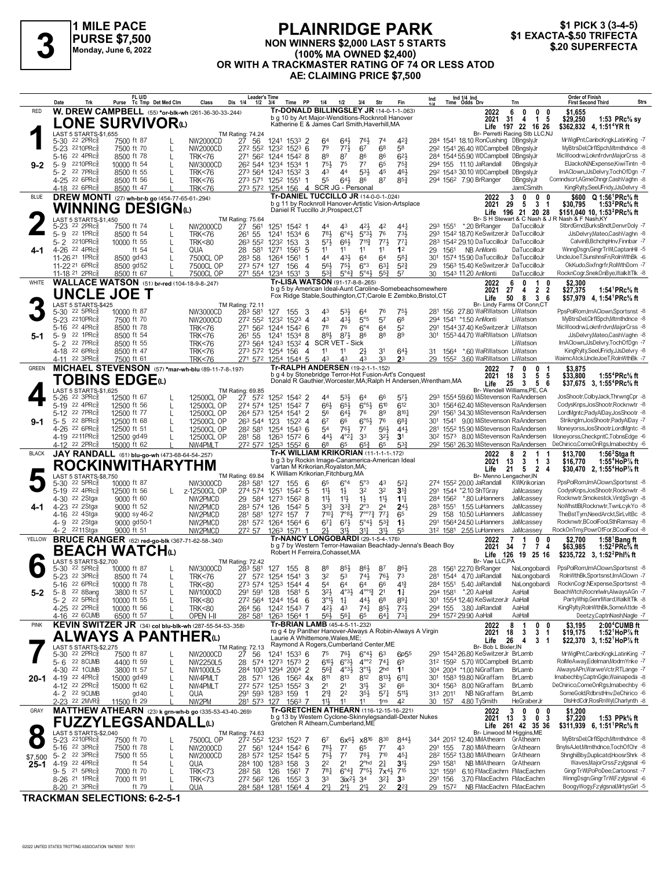

#### **PLAINRIDGE PARK** NON WINNERS \$2,000 LAST 5 STARTS (100% MA OWNED \$2,400) OR WITH A TRACKMASTER RATING OF 74 OR LESS ATOD AE: CLAIMING PRICE \$7,500



|              | Trk<br>Date                                                       | FL U/D<br>Tc Tmp Det Med Clm<br>Purse                                 | Dis 1/4<br>Class                                               | <b>Leader's Time</b><br>Time PP<br>$1/2$ $3/4$            | 1/4<br>1/2<br>3/4                                                                                                           | Str<br>Fin                                                                      | Ind 1/4 Ind<br>Time Odds Drv<br>Ind<br>Trn                                                            | Order of Finish<br><b>Strs</b><br><b>First Second Third</b>                                                        |
|--------------|-------------------------------------------------------------------|-----------------------------------------------------------------------|----------------------------------------------------------------|-----------------------------------------------------------|-----------------------------------------------------------------------------------------------------------------------------|---------------------------------------------------------------------------------|-------------------------------------------------------------------------------------------------------|--------------------------------------------------------------------------------------------------------------------|
| RED          |                                                                   |                                                                       | W. DREW CAMPBELL (55) *or-blk-wh (261-36-30-33-244)            |                                                           | Tr-DONALD BILLINGSLEY JR (14-0-1-1-063)                                                                                     |                                                                                 | 2022<br>6<br>0<br>0                                                                                   | 0<br>\$1,655                                                                                                       |
|              |                                                                   | LONE SURVIVORധ                                                        |                                                                |                                                           | b g 10 by Art Major-Wenditions-Rocknroll Hanover<br>Katherine E & James Carl Smith, Haverhill, MA                           |                                                                                 | 31<br>4<br>1 5<br>2021<br>197 22 16 26<br>Life                                                        | \$29,250<br>1:53 PRc% sy<br>\$362,832 4, 1:51 <sup>4</sup> YR ft                                                   |
|              | LAST 5 STARTS-\$1,655                                             |                                                                       | TM Rating: 74.24<br>D 27 56                                    |                                                           |                                                                                                                             |                                                                                 | Br- Perretti Racing Stb LLC,NJ                                                                        |                                                                                                                    |
|              | 5-30 <sup>22</sup> 2PRc3<br>5-23 2210PRc                          | 7500 ft 87<br>7500 ft 70                                              | NW2000CD<br>272 552<br>NW2000CD                                | 1241 1533 2<br>1232 1523 6                                | 643<br>761<br>64<br>79<br>773<br>67                                                                                         | 42 <sup>3</sup><br>74<br>6 <sup>8</sup><br>58                                   | 284 1541 18.10 RonCushing DBngslyJr<br>292 1541 26.40 WDCampbell DBngslyJr                            | MrWiglPnt,CanbcKngk,LatinKing -7<br>MvBtrsDel.ClrfISpch.Mtmthdnce -8                                               |
|              | 22 4PRc<br>$5 - 16$                                               | 8500 ft 78                                                            | L<br><b>TRK&lt;76</b>                                          | 271 562 1244 1542 8                                       | 89<br>87<br>86                                                                                                              | $6^{2}$<br>86                                                                   | 284 1544 55.90 WDCampbell DBngslyJr                                                                   | MicWoodrw,Loknfrdvn,MajorCrss -8                                                                                   |
| $9 - 2$      | 2210PRc<br>$5 - 9$<br>22 7PRc                                     | 10000 ft 54                                                           | L<br>NW3000CD                                                  | 26 <sup>2</sup> 544 1234 1534 1                           | 75}<br>75<br>77<br>43<br>4 <sup>4</sup>                                                                                     | 65<br>75 <sup>3</sup><br>45<br>46}                                              | 294 155 11.10 JaRandall<br>DBngslyJr<br>292 1543 30.10 WDCampbell DBngslyJr                           | ElJackoN, NExpense, KiwiTintn -8<br>ImAClown,JJsDelvry,TochOfDgn -7                                                |
|              | 5-2<br>4-25 22 6PRc                                               | 8500 ft 55<br>8500 ft 56                                              | <b>TRK&lt;76</b><br>L<br><b>TRK&lt;76</b>                      | 273 564 1243 1532 3<br>273 571 1252 1551<br>-1            | $5^{31}$<br>55<br>$64\frac{1}{2}$<br>86                                                                                     | $85\frac{3}{4}$<br>87                                                           | 294 1562 7.90 BrRanger<br>DBngslyJr                                                                   | Comndscrt, AGmeChngr, CashVaghn -8                                                                                 |
|              | 4-18 22 6PRc                                                      | 8500 ft 47                                                            | <b>TRK&lt;76</b>                                               | 273 572 1254 156 4 SCR JG - Personal                      |                                                                                                                             |                                                                                 | <b>JamCSmith</b>                                                                                      | KingRylty,SeeUFridy,JJsDelvry -8                                                                                   |
| <b>BLUE</b>  |                                                                   | <b>DREW MONTI</b> (27) wh-br-b go (454-77-65-61-294)                  |                                                                |                                                           | Tr-DANIEL TUCCILLO JR (14-0-0-1-.024)<br>b g 11 by Rocknroll Hanover-Artistic Vision-Artsplace                              |                                                                                 | 3<br>0<br>0<br>2022<br>29<br>3 <sub>1</sub><br>2021<br>-5                                             | 0<br>\$600 Q 1:56 <sup>1</sup> PRc <sup>5</sup> / <sub>8</sub> ft<br>1:53 ${}^{2}$ PRc ${}^{5}_{8}$ ft<br>\$30,795 |
|              |                                                                   | WINNING DESIGNധ                                                       |                                                                | Daniel R Tuccillo Jr, Prospect, CT                        |                                                                                                                             |                                                                                 | Life 196 21 20 28                                                                                     | \$151,040 10, 1:53 <sup>2</sup> PRc <sup>5</sup> / <sub>8</sub> ft                                                 |
|              | LAST 5 STARTS-\$1.450<br>5-23 22 2PRcs                            | 7500 ft 74                                                            | TM Rating: 75.64<br>D 27 561<br>NW2000CD                       | 1251 1542 1                                               | 421<br>44<br>4 <sup>3</sup>                                                                                                 | 42<br>441                                                                       | Br- S H Stewart & C Nash & J R Nash & F Nash, KY<br>293 1551<br>*.20 BrRanger<br>DaTuccilloJr         | StbrdGrnd,BurksBndt,DenvrDoly -7                                                                                   |
|              | 5-9 22 1PRc                                                       | 8500 ft 54                                                            | 261 55<br>L<br><b>TRK&lt;76</b>                                | 1241 1534 6                                               | 781<br>$6^{\circ}4\frac{1}{2}$<br>5°3 <sup>1</sup>                                                                          | 76<br>733                                                                       | 293 1542 18.70 KeSwitzerJr DaTuccilloJr                                                               | JJsDelvrv.Mateo.CashVaghn -8                                                                                       |
| 4-1          | 5-2 2210PRc<br>4-26 22 4PRcs                                      | 10000 ft 55<br>ft 54                                                  | 263 552 1232<br>L<br><b>TRK&lt;80</b><br>28<br>581<br>L<br>QUA | 153<br>3<br>1271 1561<br>-5                               | $57\frac{1}{2}$<br>66}<br>$7^{113}$<br>11<br>11<br>11                                                                       | 77 <sub>1</sub><br>773<br>11<br>1 <sup>2</sup>                                  | 283 1542 29.10 DaTuccilloJr DaTuccilloJr<br>NB AnMonti<br>DaTuccilloJr<br>29 1561                     | CalvinB.BchchpHnv.Finnbar -7<br>WinngDsgn,GingrTrWl,CaptanHil -5                                                   |
|              | 11-26 21 1PRcs                                                    | 8500 gd 43                                                            | 283 58<br>7500CL OP                                            | 1264 1561<br>-1                                           | 44<br>$4^{3}\frac{1}{2}$<br>6 <sup>4</sup>                                                                                  | $5^{8}$ <sub>1</sub><br>64                                                      | 1574 15.90 DaTuccilloJr DaTuccilloJr<br>301                                                           | UncleJoeT,SunshnsFn,RolnWthBk -6                                                                                   |
|              | 11-22 <sup>21</sup> 6PRc<br>11-18 <sup>21</sup> 2PRc              | 8500 gd52<br>8500 ft 67                                               | 7500CL OP<br>7500CL OP                                         | 273 574 127 156<br>4<br>271 554 1234 1531<br>3            | 561<br>$75\frac{1}{2}$<br>$6^{\circ}3$<br>533<br>$5^\circ 4\frac{3}{4}$<br>5°4 <sup>3</sup>                                 | $63\frac{1}{4}$<br>$5^{2}\frac{3}{4}$<br>57<br>$55\frac{3}{4}$                  | 1563 15.40 KeSwitzerJr DaTuccilloJr<br>29<br>30 1543 11.20 AnMonti<br>DaTuccilloJr                    | OkKudo,Sixfngrfr,RolWthDom -7<br>RocknCogr,SnekOnBye,WalkItTlk -8                                                  |
| WHITE        |                                                                   | WALLACE WATSON (51) br-red (104-18-9-8-247)                           |                                                                |                                                           | Tr-LISA WATSON (91-17-8-8-265)                                                                                              |                                                                                 | 6<br>$\mathbf{0}$<br>$\mathbf{1}$<br>2022                                                             | $\mathbf{0}$<br>\$2.300                                                                                            |
|              | <b>UNCLE JOE T</b>                                                |                                                                       |                                                                |                                                           | b g 5 by American Ideal-Aunt Caroline-Somebeachsomewhere<br>Fox Ridge Stable, Southington, CT; Carole E Zembko, Bristol, CT |                                                                                 | 27<br>2 <sub>2</sub><br>2021<br>4                                                                     | 1:54 <sup>1</sup> PRc <sup>5</sup> / <sub>8</sub> ft<br>\$27,375                                                   |
|              | LAST 5 STARTS-\$425                                               |                                                                       | TM Rating: 72.11                                               |                                                           |                                                                                                                             |                                                                                 | Life<br>50<br>8 3 6<br>Br- Lindy Farms Of Conn,CT                                                     | \$57,979 4, 1:54 <sup>1</sup> PRc <sup>5</sup> / <sub>8</sub> ft                                                   |
|              | 5-30 <sup>22</sup> 5PRc <sup>3</sup><br>5-23 2210PRc              | 10000 ft 87                                                           | NW3000CD<br>283 581                                            | 127<br>155<br>3<br>272 552 1232 1523 4                    | 43<br>$5^{3}\frac{1}{2}$<br>64<br>43<br>431<br>5°5                                                                          | 76<br>751,<br>57<br>6 <sup>8</sup>                                              | 281 156 27.80 WaRWatson LiWatson<br>294 1541 *1.50 AnMonti<br>LiWatson                                | PpsPolRom,ImAClown,Sportsnst -8<br>MyBtrsDel,ClrfISpch,Mtmthdnce -8                                                |
|              | 22 4PRc<br>5-16                                                   | 7500 ft 70<br>8500 ft 78                                              | NW2000CD<br><b>TRK&lt;76</b>                                   | 271 562 1244 1542 6                                       | 78<br>76<br>$6^{\circ}4$                                                                                                    | 64<br>52                                                                        | 291 154437.40 KeSwitzerJr LiWatson                                                                    | MicWoodrw,Loknfrdvn,MajorCrss -8                                                                                   |
| $5-1$        | 22 1PRc<br>$5 - 9$                                                | 8500 ft 54                                                            | 261 55<br><b>TRK&lt;76</b>                                     | 1241 1534 8                                               | 893<br>873<br>86                                                                                                            | 88<br>89                                                                        | 155344.70 WaRWatson LiWatson<br>301                                                                   | JJsDelvry,Mateo,CashVaghn -8                                                                                       |
|              | 22 7PRc<br>$5 - 2$<br>4-18 22 6PRc                                | 8500 ft 55<br>8500 ft 47                                              | <b>TRK&lt;76</b><br><b>TRK&lt;76</b>                           | 273 564 1243 1532 4<br>273 572 1254 156<br>$\overline{4}$ | SCR VET - Sick<br>11<br>11<br>2}                                                                                            | 3 <sup>1</sup><br>$64\frac{1}{2}$                                               | LiWatson<br>31 1564 *.60 WaRWatson LiWatson                                                           | ImAClown,JJsDelvry,TochOfDgn -7<br>KingRylty,SeeUFridy,JJsDelvry -8                                                |
|              | 4-11 22 3PRc                                                      | 7500 ft 61                                                            | <b>TRK&lt;76</b>                                               | 271 572 1254 1544 5                                       | 43<br>43<br>43                                                                                                              | 33<br>2 <sup>3</sup>                                                            | 29 1552 3.60 WaRWatson LiWatson                                                                       | WaimcAtck,UncleJoeT,RolnWthBk -7                                                                                   |
| <b>GREEN</b> |                                                                   |                                                                       | MICHAEL STEVENSON (57) *mar-wh-blu (89-11-7-8-197)             |                                                           | Tr-RALPH ANDERSEN (19-2-1-1-152)<br>b q 4 by Stonebridge Terror-Hot Fusion-Art's Conquest                                   |                                                                                 | 0<br>2022<br>7<br>0<br>5 <sub>5</sub><br>2021<br>18<br>3                                              | \$3,875<br>$\mathbf 1$<br>1:55 $4$ PRc $\%$ ft<br>\$33.800                                                         |
|              |                                                                   | TOBINS EDGEധ                                                          |                                                                |                                                           | Donald R Gauthier, Worcester, MA; Ralph H Andersen, Wrentham, MA                                                            |                                                                                 | Life<br>25<br>$3 \quad 5 \quad 6$                                                                     | \$37,675 3, 1:55 <sup>4</sup> PRc <sup>5</sup> / <sub>8</sub> ft                                                   |
|              | LAST 5 STARTS-\$1,625<br>5-26 <sup>22</sup> 3PRc <sup>3</sup>     | 12500 ft 67                                                           | TM Rating: 69.85<br>12500CL OP<br>27 572<br>L                  | 1252 1542 2                                               | 44<br>53}<br>64                                                                                                             | 66<br>571                                                                       | Br- Wendell Williams, PE, CA<br>293 1554 59.60 MiStevenson RaAndersen                                 | JosShootr,ColbyJack,ThrwngCpr -8                                                                                   |
|              | 5-19 22 4PRc                                                      | 12500 ft 56                                                           | 274 574<br>12500CL OP<br>$\mathbf{I}$                          | 1251<br>1542 7                                            | $6^{\circ}5\frac{1}{2}$<br>66}<br>65}                                                                                       | 610<br>612                                                                      | 303 1564 62.40 MiStevenson RaAndersen                                                                 | CodysKnps, JosShootr, Rocknwtr -8                                                                                  |
| $9-1$        | 5-12 22 7PRc<br>5-5 22 8PRc                                       | 12500 ft 77<br>12500 ft 68                                            | 12500CL OP<br>264 573<br>L<br>12500CL OP<br>263 544 123<br>L   | 1254 1541 2<br>1522 4                                     | 56<br>643<br>76<br>67<br>66<br>$6^{\circ 5}$                                                                                | 8101<br>89<br>76<br>$68\frac{3}{4}$                                             | 291 1561 34.30 MiStevenson RaAndersen<br>301 1541 9.00 MiStevenson RaAndersen                         | LordMgntc,PadyAlDay,JosShootr -8<br>Striknglm, JosShootr, PadyAlDay -7                                             |
|              | 4-26 22 6PRcs                                                     | 12500 ft 51                                                           | 282 581<br>12500CL OP                                          | 1254 1543 6                                               | 76}<br>54<br>77                                                                                                             | $56\frac{1}{2}$<br>443                                                          | 281 1552 15.90 MiStevenson RaAndersen                                                                 | Moneyorss, JosShootr, LordMgntc -8                                                                                 |
|              | 4-19 2211PRc<br>4-12 22 2PRc                                      | 12500 gd 49<br>15000 ft 62                                            | 281 58<br>L<br>12500CL OP<br>NW4PMLT                           | 1263 1572 6<br>272 572 1253 1552 6                        | $4^{\circ}2\frac{1}{4}$<br>33<br>443<br>6 <sup>8</sup><br>65<br>$65\frac{3}{4}$                                             | 321<br>3 <sup>1</sup><br>$5^{3}\frac{3}{4}$<br>65                               | 30 <sup>2</sup> 157 <sup>3</sup> 8.00 MiStevenson RaAndersen<br>292 1561 26.30 MiStevenson RaAndersen | Moneyorss,CheckpntC,TobnsEdge -6<br>DeChirico,ComeOnRgs,Imabechby -6                                               |
| <b>BLACK</b> |                                                                   | JAY RANDALL (61) blu-go-wh (473-68-64-54-257)                         |                                                                |                                                           | Tr-K WILLIAM KRIKORIAN (11-1-1-1-172)                                                                                       |                                                                                 | 8<br>$\overline{2}$<br>2022<br>1                                                                      | 1:56 $2$ Stgaft<br>\$13,700                                                                                        |
|              |                                                                   | ROCKINWITHARYTHM                                                      |                                                                | Vartan M Krikorian, Royalston, MA;                        | b q 3 by Rockin Image-Canamerica-American Ideal                                                                             |                                                                                 | 2021<br>13<br>3<br>1 3<br>21<br>5<br>$\overline{2}$<br>Life                                           | \$16,770<br>1:55 $4$ HoP $\%$ ft<br>\$30,470 2, 1:55 <sup>4</sup> HoP% ft<br>-4                                    |
|              | LAST 5 STARTS-\$8,750                                             |                                                                       | TM Rating: 69.84                                               | K William Krikorian, Fitchburg, MA                        |                                                                                                                             |                                                                                 | Br- Menno Lengacher, IN                                                                               |                                                                                                                    |
|              | 5-30 <sup>22</sup> 5PRc <sup>3</sup><br>5-19 22 4PRc <sup>5</sup> | 10000 ft 87<br>12500 ft 56                                            | 283 581<br>NW3000CD<br>z-12500CL OP<br>274 574                 | 155<br>- 6<br>127<br>1251<br>1542 5                       | 65<br>$6^{\circ}4$<br>$5^{\circ}3$<br>32<br>11}<br>$1\frac{1}{2}$                                                           | 43<br>$5^{2}$<br>32<br>$3^{13}$                                                 | 274 1552 20.00 JaRandall<br>KWKrikorian<br>291 1544 *2.10 ShTGray<br>JaMcassey                        | PpsPolRom, ImAClown, Sportsnst -8<br>CodysKnps, JosShootr, Rocknwtr -8                                             |
|              | 4-30 <sup>22</sup> 2Stga                                          | 9000 ft 60                                                            | NW2PMCD                                                        | 29 584 1273 1562 8                                        | 11}<br>$11\frac{1}{2}$<br>$1\frac{1}{2}$                                                                                    | 11}<br>$1^{11}$                                                                 | 284 1562 *.80 LuHanners<br>JaMcassey                                                                  | Rocknwtr,Smokestck,VintgSvgn -8                                                                                    |
|              | 4-23 22 2Stga<br>4-16 22 4Stga                                    | 9000 ft 52<br>9000 sy 46-2                                            | 283 574 126<br>NW2PMCD<br>281 581<br>NW2PMCD                   | 1542 5<br>1272 157 7                                      | $33\frac{3}{4}$<br>$3^{3}$<br>$2^{\circ}3$<br>$7^{\circ}7^{\circ}7^{\circ}$<br>710 <sub>7</sub><br>$7^{\circ}83$            | 2 <sup>4</sup><br>$2^{4}$<br>$77\frac{1}{4}$<br>65                              | 283 1551 1.55 LuHanners<br>JaMcassey<br>158 10.50 LuHanners<br>JaMcassey<br>29                        | NoWhstIBI,Rocknwtr,TwnLcykYo -8<br>TheBstTvmNeedArckt.SirLvltBc -8                                                 |
|              | 4-9 22 2Stga                                                      | 9000 gd50-1                                                           | NW2PMCD                                                        | 281 572 1264 1564 6                                       | $67\frac{1}{2}$<br>$67\frac{1}{4}$<br>$5^{\circ}4\frac{1}{2}$                                                               | $5^{3}\frac{3}{4}$<br>$1\frac{1}{2}$                                            | 1564 24.50 LuHanners<br>291<br>JaMcassev                                                              | Rocknwtr,BCoolFool,SthRamsay -8                                                                                    |
| YELLOW       | 4-2 2211Stga                                                      | 9000 ft 51<br><b>BRUCE RANGER</b> (62) red-go-blk (367-71-62-58-.340) | NW2PMCD<br>272 57                                              | 1263 1571                                                 | 31}<br>311<br>21,<br>Tr-NANCY LONGOBARDI (29-1-5-4-.176)                                                                    | $31\frac{1}{2}$<br>55                                                           | 312 1581 2.55 LuHanners<br>JaMcassey<br>0<br>2022<br>1                                                | RockOnTmy,PowrOfFor,BCoolFool -8<br>0<br>\$2.700<br>1:58 $^{\circ}$ Bang ft                                        |
|              |                                                                   | BEACH WATCHധ                                                          |                                                                | Robert H Ferreira, Cohasset, MA                           | b g 7 by Western Terror-Hawaiian Beachlady-Jenna's Beach Boy                                                                |                                                                                 | 7 <sub>4</sub><br>2021<br>34<br>-7                                                                    | 1:52 ${}^{2}$ PRc ${}^{5}$ s ft<br>\$63,985                                                                        |
|              | LAST 5 STARTS-\$2,700                                             |                                                                       | <b>TM Rating: 72.42</b>                                        |                                                           |                                                                                                                             |                                                                                 | Life<br>126<br>19 25 16<br>Br- Vae LLC,PA                                                             | \$235,722 3, 1:52 <sup>2</sup> Phl <sup>5</sup> / <sub>8</sub> ft                                                  |
|              | 5-30 22 5PRc <sup>5</sup>                                         | 10000 ft 87                                                           | NW3000CD<br>283 581                                            | - 8<br>127 155                                            | 88<br>85}<br>86}                                                                                                            | 86}<br>87                                                                       | 28 1561 22.70 BrRanger<br>NaLongobardi                                                                | PpsPolRom,ImAClown,Sportsnst -8<br>RolnWthBk.Sportsnst.ImAClown -7                                                 |
|              | 5-23 22 3PRc<br>$5 - 16$<br>$226$ PR $c_{8}$                      | 8500 ft 74<br>10000 ft 78                                             | <b>TRK&lt;76</b><br><b>TRK&lt;80</b>                           | 27 572 1254 1541<br>3<br>273 574 1253 1544 4              | 32<br>$74\frac{1}{2}$<br>53<br>54<br>64<br>6 <sup>4</sup>                                                                   | 761<br>73<br>66<br>$4^{13}$                                                     | 281 1544 4.70 JaRandall<br>NaLongobardi<br>284 1551 5.40 JaRandall<br>NaLongobardi                    | RocknCogr, NExpense, Sportsnst -8                                                                                  |
| $5 - 2$      | 5-8 22 8Bang                                                      | 3800 ft 57                                                            | 291 591 128<br>NW1000CD<br>L                                   | 1581 5                                                    | 3 <sup>2</sup><br>$4^{\circ 0}$ <sup>13</sup><br>$4^{\circ}3\frac{1}{2}$                                                    | 2 <sup>1</sup><br>$1\frac{1}{4}$                                                | 294 1581 *.20 AaHall<br>AaHall                                                                        | BeachWtch,Rocnrlwln,AlwaysAGn -7                                                                                   |
|              | 5-2 22 5PRc<br>4-25 22 2PRc <sup>3</sup>                          | 10000 ft 55<br>10000 ft 56                                            | <b>TRK&lt;80</b><br><b>TRK&lt;80</b>                           | 272 564 1244 154 6<br>264 56 1242 1543 7                  | $3^{01}\frac{1}{2}$<br>$1\frac{1}{4}$<br>44}<br>42}<br>4 <sup>3</sup><br>741                                                | 68<br>$89\frac{1}{4}$<br>$85\frac{1}{2}$<br>$72\frac{1}{2}$                     | 301 1554 12.40 KeSwitzerJr AaHall<br>294 155 3.80 JaRandall<br>AaHall                                 | PartyWhip,GenrlWard,WalkItTlk -8<br>KingRylty,RolnWthBk,SomeAttde -8                                               |
|              | 4-16 <sup>22</sup> 6CUMB                                          | 6500 ft 57                                                            | OPEN I-II                                                      | 28 <sup>2</sup> 581 1263 1564 1                           | 56}<br>561<br>65                                                                                                            | $73\frac{1}{4}$<br>$64\frac{1}{4}$                                              | 294 1572 29.90 AaHall<br>AaHall                                                                       | Deetzy,CaptnNash,Nagle -7                                                                                          |
| <b>PINK</b>  |                                                                   |                                                                       | KEVIN SWITZER JR (34) col blu-blk-wh (287-55-54-53-.358)       |                                                           | Tr-BRIAN LAMB (45-4-5-11-.232)<br>ro g 4 by Panther Hanover-Always A Robin-Always A Virgin                                  |                                                                                 | 8<br>0<br>1<br>2022<br>$\overline{\mathbf{3}}$<br>2021<br>18<br>3                                     | \$3,195<br>2:00 <sup>4</sup> CUMB ft<br>0<br>\$19,175<br>1:52 HoP $\%$ ft<br>$\overline{1}$                        |
|              |                                                                   | ALWAYS A PANTHERധ                                                     |                                                                | Laurie A Whittemore, Wales, ME;                           | Raymond A Rogers, Cumberland Center, ME                                                                                     |                                                                                 | 26<br>3<br>Life<br>4                                                                                  | \$22,370 3, 1:52 HoP% ft<br>$\overline{1}$                                                                         |
|              | LAST 5 STARTS-\$2.275<br>5-30 22 2PRc <sup>5</sup>                | 7500 ft 87                                                            | TM Rating: 72.13<br>NW2000CD<br>27 56<br>L                     | 1241 1533 6                                               | 75<br>$76\frac{1}{2}$<br>$6^{\circ}4\frac{1}{2}$                                                                            | 63<br>6 <sub>p</sub> 55                                                         | Br- Bob L Bixler, IN<br>293 1543 26.80 KeSwitzerJr BrLamb                                             | MrWiglPnt,CanbcKngk,LatinKing -7                                                                                   |
|              | 5-6 22 8 CUMB<br>4-30 22 1CUMB                                    | 4400 ft 59                                                            | L<br>NW2250L5<br>28                                            | 574 1273 1573 2                                           | $4^{\circ}2$<br>$6^{10}$<br>$6^{o3}\frac{1}{2}$<br>$56\frac{3}{4}$                                                          | $74\frac{1}{4}$<br>69                                                           | 312 1592 5.70 WDCampbell BrLamb                                                                       | RolMeAway,Edelman,ModrnYnke -7<br>AlwaysAPn, WarweVctr, RTLange -7                                                 |
| 20-1         | 4-19 22 4PRc <sup>5</sup>                                         | 3800 ft 57<br>15000 gd 49                                             | L<br>NW1000L5<br>NW4PMLT<br>28 571<br>L                        | 284 1003 1294 2004 2<br>126<br>156 <sup>2</sup> 4x        | $4^{03}\frac{1}{2}$<br>$3^{01}$<br>811<br>813<br>812                                                                        | 2 <sub>hd</sub><br>1 <sup>1</sup><br>$8^{13}\frac{1}{2}$<br>$6^{11}\frac{1}{4}$ | 304 2004 *1.00 NiGraffam<br>BrLamb<br>301 1583 19.80 NiGraffam<br>BrLamb                              | Imabechby,CaptnGgle,Wainapeda -8                                                                                   |
|              | 4-12 22 2PRc <sup>5</sup>                                         | 15000 ft 62                                                           | NW4PMLT                                                        | 272 572 1253 1552 3                                       | 2 <sup>1</sup><br>21<br>3½                                                                                                  | 32<br>66                                                                        | 304 1563 8.00 NiGraffam<br>BrLamb                                                                     | DeChirico,ComeOnRgs,Imabechby -6                                                                                   |
|              | 4-2 22 9CUMB<br>2-23 <sup>22</sup> 2MVR <sup>5</sup>              | gd 40<br>11500 ft 29                                                  | QUA<br>L<br>NW2PM                                              | 291 593 1283 159<br>$\overline{1}$<br>281 573 127 1563 7  | $2^{13}$<br>2 <sup>2</sup><br>$35\frac{1}{2}$<br>11<br>11}<br>11                                                            | $5^{71}$<br>$5^{11}$<br>42<br>1 <sub>ns</sub>                                   | 313 2011 NB NiGraffam<br>BrLamb<br>30 157<br>4.80 TvSmith<br>HeGraberJr                               | SomeGold,RdbrstHnv,DeChirico -6<br>DisHrdCdr,RosRnWyl,Charlynth -8                                                 |
| GRAY         |                                                                   |                                                                       | MATTHEW ATHEARN (23) k grn-wh-b go (335-53-43-40-269)          |                                                           | Tr-GRETCHEN ATHEARN (116-12-15-16-221)                                                                                      |                                                                                 | 3<br>0<br>0<br>2022                                                                                   | 0<br>\$1.200                                                                                                       |
|              |                                                                   | <b>FUZZYLEGSANDALL@</b>                                               |                                                                |                                                           | b g 13 by Western Cyclone-Skinnylegsandall-Dexter Nukes<br>Gretchen R Athearn, Cumberland, ME                               |                                                                                 | 0 <sub>3</sub><br>13<br>2021<br>-3<br>Life 261 42 35 36                                               | 1:53 PPk% ft<br>\$7,220<br>$$311,939$ 6, 1:51 PRc <sup>5</sup> / <sub>8</sub> ft                                   |
| 0            | LAST 5 STARTS-\$2,040                                             |                                                                       | TM Rating: 74.63                                               |                                                           |                                                                                                                             |                                                                                 | Br- Linwood M Higgins, ME                                                                             | MyBtrsDel,ClrflSpch,Mtmthdnce -8                                                                                   |
|              | 5-23 2210PRc<br>5-16 22 3PRc                                      | 7500 ft 70<br>7500 ft 78                                              | 7500CL OP<br>L<br>NW2000CD<br>L                                | 272 552 1232 1523 7<br>27 561 1244 1542 6                 | 67<br>$6x^{6}\frac{1}{2}$ $x8^{16}$<br>783<br>65<br>$7^7$                                                                   | 830<br>8443<br>$7^7$<br>43                                                      | 344 2012 12.40 MMAthearn GrAthearn<br>291 155 7.80 MMAthearn GrAthearn                                | BnylsAJet,Mtmthdnce,TochOfChr -8                                                                                   |
| \$7,500      | 5-2 <sup>22</sup> 3PRc                                            | 7500 ft 55                                                            | L<br>NW2000CD                                                  | 283 572 1252 1542 5                                       | $75\frac{1}{2}$<br>7 <sup>7</sup><br>$78\frac{1}{2}$                                                                        | $7^{10}$<br>$45\frac{1}{4}$                                                     | 28 <sup>2</sup> 155 <sup>2</sup> 13.80 MMAthearn GrAthearn                                            | ShnghiBby,Duplicatd,HoosrShrk -8                                                                                   |
| $25 - 1$     | 4-19 22 4PRc <sup>5</sup><br>$9 - 5$ 21 5PRc $\frac{5}{8}$        | ft $54$<br>7000 ft 70                                                 | L<br>QUA<br><b>TRK&lt;73</b><br>28 <sup>2</sup> 58<br>L        | 284 100 1283 158 3<br>126<br>1561 7                       | 2 <sup>2</sup><br>2 <sup>1</sup><br>$2^{\circ}$ hd<br>$78\frac{1}{4}$<br>$7°5\frac{1}{2}$<br>$6^{\circ}4^{\frac{3}{4}}$     | 2 <sup>1</sup><br>3 <sup>1</sup><br>$7x^{4}\frac{1}{2}$<br>715                  | NB MMAthearn GrAthearn<br>293 1581<br>321 1591 6.10 FMacEachrn FMacEachrn                             | Waves, MajorCrss, Fzylgsnal -6<br>GingrTrWI,PoPoDee,Cartoonst -7                                                   |
|              | 8-26 <sup>21</sup> 1PRc <sup>5</sup>                              | 7000 ft 91                                                            | 272 562 126<br><b>TRK&lt;73</b><br>L                           | 1552 3                                                    | 33<br>3 <sup>4</sup><br>$3ix^2\frac{1}{2}$                                                                                  | 321<br>3 <sup>3</sup>                                                           | 3.70 FMacEachrn FMacEachrn<br>291 156                                                                 | WinngDsgn,GingrTrWl,Fzylgsnal -6                                                                                   |
|              | 8-20 <sup>21</sup> 3PRc                                           | ft 79                                                                 | QUA                                                            | 284 584 1281 1564 4                                       | $21\frac{1}{4}$<br>$21\frac{1}{2}$<br>2 <sup>11</sup>                                                                       | 2 <sup>2</sup><br>$2^{2^{3}}$                                                   | 29 1572 NB FMacEachrn FMacEachrn                                                                      | BoogyWogy,Fzylgsnal,MrtysGirl -5                                                                                   |

TRACKMAN SELECTIONS: 6-2-5-1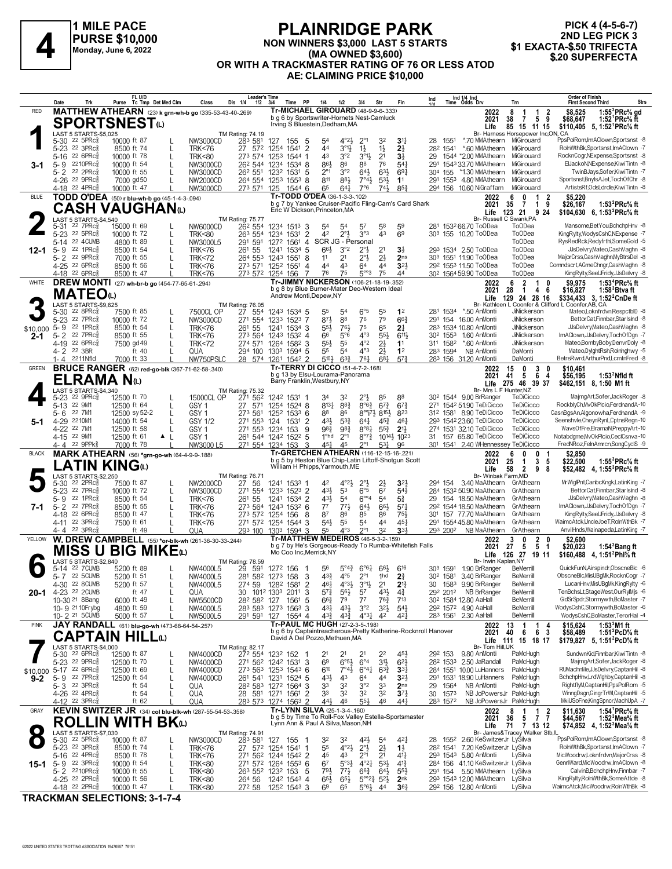

#### **PLAINRIDGE PARK NON WINNERS \$3,000 LAST 5 STARTS (MA OWNED \$3,600) OR WITH A TRACKMASTER RATING OF 76 OR LESS ATOD AE: CLAIMING PRICE \$10,000 ELAINNIDUL PARK**<br>PURSE \$10,000 MON WINNERS \$3,000 LAST 5 STARTS \$1 EXACTA-\$.50 TRIFECTA<br>Monday, June 6, 2022 (MA OWNED \$3,600) AST \$3,000 MA OWNED \$3,600)

|                     | Date                | Trk                                                             |                            | FL U/D<br>Purse Tc Tmp Det Med Clm             |        | Class                                                           | <b>Leader's Time</b><br>Dis 1/4<br>1/2                                              | 3/4                        | <b>PP</b><br>Time            | 1/4                                                                                         | 1/2                                     | 3/4                                             | Str                                                 | Fin                                | Ind                                                            |                     | Ind 1/4 Ind<br>Time Odds Drv                                                                  | Trn                                                                | <b>Order of Finish</b><br>Strs<br><b>First Second Third</b>                                                              |
|---------------------|---------------------|-----------------------------------------------------------------|----------------------------|------------------------------------------------|--------|-----------------------------------------------------------------|-------------------------------------------------------------------------------------|----------------------------|------------------------------|---------------------------------------------------------------------------------------------|-----------------------------------------|-------------------------------------------------|-----------------------------------------------------|------------------------------------|----------------------------------------------------------------|---------------------|-----------------------------------------------------------------------------------------------|--------------------------------------------------------------------|--------------------------------------------------------------------------------------------------------------------------|
| <b>RED</b>          |                     |                                                                 |                            |                                                |        | MATTHEW ATHEARN (23) k grn-wh-b go (335-53-43-40-.269)          |                                                                                     |                            |                              | Tr-MICHAEL GIROUARD (48-9-9-6-.333)<br>b g 6 by Sportswriter-Hornets Nest-Camluck           |                                         |                                                 |                                                     |                                    |                                                                |                     | 2022                                                                                          | 8<br>$\overline{1}$<br>$\overline{1}$                              | \$8,525<br>1:55 ${}^{3}$ PRc ${}^{5}_{8}$ gd<br>2                                                                        |
|                     |                     |                                                                 |                            | <b>SPORTSNEST</b> <sup>0</sup>                 |        |                                                                 |                                                                                     |                            |                              | Irving S Bluestein, Dedham, MA                                                              |                                         |                                                 |                                                     |                                    |                                                                |                     | 2021<br>Life                                                                                  | 38<br>7 5 9<br>85 15 11 15                                         | \$68,647<br>1:52 <sup>1</sup> PRc <sup>5</sup> / <sub>8</sub> ft<br>\$110,405 5, 1:52 PRc <sup>5</sup> / <sub>8</sub> ft |
|                     |                     | LAST 5 STARTS-\$5,025<br>5-30 22 5PRc <sup>5</sup>              | 10000 ft 87                |                                                |        |                                                                 | TM Rating: 74.19<br>283 581                                                         |                            |                              |                                                                                             | 4°2}                                    | $2^{\circ}1$                                    | 32                                                  | 3 <sup>11</sup>                    | 28                                                             | 1551                |                                                                                               | Br- Harness Horsepower Inc,ON, CA<br>*.70 MMAthearn MiGirouard     | PpsPolRom, ImAClown, Sportsnst -8                                                                                        |
|                     |                     | 5-23 22 3PRc                                                    | 8500 ft 74                 |                                                | L      | NW3000CD<br><b>TRK&lt;76</b>                                    | 27 572                                                                              | 127<br>1254 1541           | 155<br>- 5<br>$\overline{2}$ | 54<br>44                                                                                    | $3^{\circ}1\}$                          | $1\frac{1}{2}$                                  | $1\frac{1}{2}$                                      | $2\frac{1}{2}$                     |                                                                | 282 1541            | *.60 MMAthearn                                                                                | MiGirouard                                                         | RolnWthBk,Sportsnst,ImAClown -7                                                                                          |
|                     | 5-16                | $22.6$ PR $c$                                                   | 10000 ft 78                |                                                | L      | <b>TRK&lt;80</b>                                                | 273 574 1253 1544 1                                                                 |                            |                              | 43                                                                                          | 3°2                                     | $3^{01}$                                        | 2 <sup>1</sup>                                      | $3\frac{1}{2}$                     | 29                                                             |                     | 1544 *2.00 MMAthearn                                                                          | MiGirouard                                                         | RocknCogr,NExpense,Sportsnst -8                                                                                          |
| 3-1                 | $5 - 9$<br>$5 - 2$  | 2210PRc<br>22 2PRc                                              | 10000 ft 54<br>10000 ft 55 |                                                |        | NW3000CD<br>NW3000CD                                            | 26 <sup>2</sup> 544 1234 1534 8<br>26 <sup>2</sup> 55 <sup>1</sup> 123 <sup>2</sup> |                            | 1531<br>-5                   | 86}<br>$2^{\circ}1$                                                                         | 86<br>3°2                               | 88<br>643                                       | 76<br>$63\frac{1}{2}$                               | $54\frac{1}{4}$<br>$69\frac{1}{4}$ | 291                                                            |                     | 1543 33.70 MMAthearn<br>304 155 *1.30 MMAthearn                                               | MiGirouard<br>MiGirouard                                           | ElJackoN.NExpense.KiwiTintn -8<br>TwinBJays,Sofer,KiwiTintn -7                                                           |
|                     |                     | 4-26 <sup>22</sup> 9PRc                                         | 7000 gd50                  |                                                | L      | NW2000CD                                                        | 264 554 1253 1553 8                                                                 |                            |                              | 811                                                                                         | 883                                     | $7^\circ 43$                                    | 53}                                                 | 1 <sup>1</sup>                     | 291                                                            |                     | 1553 4.80 MMAthearn                                                                           | MiGirouard                                                         | Sportsnst, Bnyls AJet, TochOfChr -8                                                                                      |
|                     |                     | 4-18 <sup>22</sup> 4PRc                                         | 10000 ft 47                |                                                |        | NW3000CD                                                        | 273 571 125                                                                         |                            | 1544 6                       | 65                                                                                          | $64\frac{1}{4}$                         | 7°6                                             | $74\frac{1}{2}$                                     | $85\frac{3}{4}$                    |                                                                |                     | 294 156 10.60 NiGraffam                                                                       | MiGirouard                                                         | ArtistsRf, OdsLdrdle, KiwiTintn -8                                                                                       |
| <b>BLUE</b>         |                     |                                                                 |                            | TODD O'DEA (50) r blu-wh-b go (45-1-4-3-.094)  |        |                                                                 |                                                                                     |                            |                              | Tr-TODD O'DEA (36-1-3-3-102)<br>b g 7 by Yankee Cruiser-Pacific Fling-Cam's Card Shark      |                                         |                                                 |                                                     |                                    |                                                                |                     | 2022<br>2021                                                                                  | 6<br>0<br>$\overline{1}$<br>35<br>$\overline{7}$<br>$\overline{1}$ | \$5,220<br>-2<br>- 9<br>\$26,167<br>1:53 ${}^{2}$ PRc ${}^{5}_{8}$ ft                                                    |
|                     |                     |                                                                 |                            | CASH VAUGHANധ                                  |        |                                                                 |                                                                                     |                            |                              | Eric W Dickson, Princeton, MA                                                               |                                         |                                                 |                                                     |                                    |                                                                |                     | Life                                                                                          | 123 21 9 24                                                        | \$104,630 6, 1:53 <sup>2</sup> PRc <sup>5</sup> / <sub>8</sub> ft                                                        |
|                     | 5-31                | LAST 5 STARTS-\$4,540<br>$22$ 7PR $c_{8}^5$                     | 15000 ft 69                |                                                |        | <b>NW6000CD</b>                                                 | <b>TM Rating: 75.77</b><br>262 554                                                  | 1234 1513 3                |                              | 54                                                                                          | 54                                      | 57                                              | 58                                                  | 59                                 |                                                                |                     | 281 1532 66.70 ToODea                                                                         | Br- Russell C Swank, PA<br>To <sub>ODea</sub>                      | Mansome, Bet You, BchchpHnv -8                                                                                           |
|                     | $5 - 23$            | 22 5PRc                                                         | 10000 ft 72                |                                                |        | <b>TRK&lt;80</b>                                                | 263 554                                                                             | 1234 1531 2                |                              | 42                                                                                          | 2°}                                     | 3°3                                             | 43                                                  | 6 <sup>9</sup>                     |                                                                |                     | 303 155 10.20 ToODea                                                                          | To <sub>ODea</sub>                                                 | KingRylty, WodysCshC, NExpense -7                                                                                        |
| 12-1                | 5-14<br>$5 - 9$     | 22 4CUMB<br>22 1PRc                                             | 4800 ft 89<br>8500 ft 54   |                                                | L      | NW3000L5<br><b>TRK&lt;76</b>                                    | 291 591<br>261 55                                                                   | 1272 1561 4<br>1241 1534 5 |                              | 66}                                                                                         | 3°2                                     | SCR JG - Personal<br>$2^{\circ}$                | 2 <sup>1</sup>                                      | $3\frac{1}{2}$                     |                                                                |                     | 293 1534 2.50 ToODea                                                                          | To <sub>ODea</sub><br><b>ToODea</b>                                | RysRedRck,Redyfrthl,SomeGold -5<br>JJsDelvry,Mateo,CashVaghn -8                                                          |
|                     | $5 - 2$             | 22 9PRc                                                         | 7000 ft 55                 |                                                |        | <b>TRK&lt;72</b>                                                | 264 553 1243 1551                                                                   |                            | 8                            | 11                                                                                          | 21                                      | $2^{\circ}$ <sub>2</sub>                        | $2\frac{1}{2}$                                      | 2 <sub>ns</sub>                    |                                                                |                     | 303 1551 11.90 ToODea                                                                         | To <sub>ODea</sub>                                                 | MajorCrss,CashVaghn,MyBtrsDel -8                                                                                         |
|                     |                     | 4-25 <sup>22</sup> 6PRc<br>4-18 <sup>22</sup> 6PRc              | 8500 ft 56<br>8500 ft 47   |                                                | L      | <b>TRK&lt;76</b><br><b>TRK&lt;76</b>                            | 273 571 1252 1551<br>273 572 1254 156                                               |                            | -7                           | 44<br>4<br>76                                                                               | 4 <sup>3</sup><br>75                    | 64<br>$5^{\circ\circ}3$                         | 44<br>75                                            | 3 <sup>2</sup><br>44               |                                                                |                     | 292 1553 11.50 ToODea<br>30 <sup>2</sup> 1564 59.90 ToODea                                    | To <sub>ODea</sub><br>To <sub>ODea</sub>                           | Comndscrt, AGmeChngr, CashVaghn -8<br>KingRylty,SeeUFridy,JJsDelvry -8                                                   |
| WHITE               |                     |                                                                 |                            | DREW MONTI (27) wh-br-b go (454-77-65-61-294)  |        |                                                                 |                                                                                     |                            |                              | Tr-JIMMY NICKERSON (106-21-18-19-.352)                                                      |                                         |                                                 |                                                     |                                    |                                                                |                     | 2022                                                                                          | 6<br>$2 \quad 1$                                                   | 1:53 ${}^4$ PRc ${}^5\!$ ft<br>\$9,975<br>0                                                                              |
|                     |                     | <b>MATEO</b> (L)                                                |                            |                                                |        |                                                                 |                                                                                     |                            |                              | b g 8 by Blue Burner-Mater Deo-Western Ideal<br>Andrew Monti, Depew, NY                     |                                         |                                                 |                                                     |                                    |                                                                |                     | 2021                                                                                          | 4 6<br>28<br>$\overline{1}$                                        | \$16,827<br>1:58 <sup>3</sup> Btvaft                                                                                     |
|                     |                     | LAST 5 STARTS-\$9,625                                           |                            |                                                |        |                                                                 |                                                                                     |                            |                              |                                                                                             |                                         |                                                 |                                                     |                                    |                                                                |                     |                                                                                               | Life 129 24 28 16                                                  | \$334,433 3, 1:52 <sup>2</sup> CnDe ft<br>Br- Kathleen L Coonfer & Clifford L Coonfer, AB, CA                            |
|                     |                     | 5-30 22 8PRc<br>22 7PRc                                         | 7500 ft 85                 |                                                |        | 7500CL OP                                                       | TM Rating: 76.05<br>P 27 554                                                        | 1243 1534 5                |                              | 55                                                                                          | 5 <sup>4</sup>                          | $6^{\circ}5$<br>76                              | 55                                                  | 1 <sup>2</sup>                     |                                                                |                     | 281 1534 *.50 AnMonti                                                                         | JiNickerson                                                        | Mateo,Loknfrdvn,RespctblD -8<br>BettorCat,Finnbar,StarIsInd -8                                                           |
| \$10,000            | $5 - 23$<br>$5 - 9$ | 22 1PRc                                                         | 10000 ft 72<br>8500 ft 54  |                                                | L<br>L | NW3000CD<br><b>TRK&lt;76</b>                                    | 271 554<br>261 55                                                                   | 1233<br>1241 1534 3        | 1523 7                       | 873<br>$5^{5}\frac{1}{2}$                                                                   | 88<br>761                               | 75                                              | 79<br>65                                            | $66\frac{3}{4}$<br>2 <sup>1</sup>  |                                                                |                     | 291 154 16.00 AnMonti<br>283 1534 10.80 AnMonti                                               | JiNickerson<br>JiNickerson                                         | JJsDelvrv.Mateo.CashVaghn -8                                                                                             |
| 2-1                 | $5 - 2$             | 22 7PRc                                                         | 8500 ft 55                 |                                                |        | <b>TRK&lt;76</b>                                                | 273 564 1243 1532 4                                                                 |                            |                              | 66                                                                                          | $5^{\circ}6$                            | $4^{\circ}3$                                    | $55\frac{1}{2}$                                     | $6^{11}\frac{1}{2}$                |                                                                |                     | 30 <sup>2</sup> 155 <sup>3</sup> 1.60 AnMonti                                                 | JiNickerson                                                        | ImAClown,JJsDelvry,TochOfDgn -7                                                                                          |
|                     |                     | 4-19 22 6PRc <sup>5</sup><br>4-2 <sup>22</sup> 3BR              | 7500 gd 49                 | ft 40                                          | L      | <b>TRK&lt;72</b><br>QUA                                         | 274 571 1264<br>294 100                                                             | 1303                       | $158^2$ 3<br>1594 5          | $55\frac{1}{2}$<br>55                                                                       | 55<br>54                                | $4^{\circ}2$<br>$4^{\circ}3$                    | $2\frac{1}{2}$<br>$2\frac{1}{2}$                    | 11<br>1 <sup>2</sup>               |                                                                |                     | 311 1582 *.60 AnMonti<br>283 1594 NB AnMonti                                                  | JiNickerson<br>DaMonti                                             | Mateo,BombyBoby,DenvrDoly -8<br>Mateo,DylghtRsh,Rolnhghwy -5                                                             |
|                     | 1-4                 | 2211Nfld                                                        | 7000 ft 33                 |                                                |        | NW750PSLC                                                       | 28 574 1261                                                                         |                            | 1542 2                       | 510}                                                                                        | $63\frac{3}{4}$                         | 761                                             | $6^{8}1$                                            | $5^{7}$                            |                                                                |                     | 283 156 31.20 AnMonti                                                                         | DaMonti                                                            | BetrsRwrd.ArthurPnd.LcmtnFred -8                                                                                         |
| <b>GREEN</b>        |                     |                                                                 |                            |                                                |        | BRUCE RANGER (62) red-go-blk (367-71-62-58-.340)                |                                                                                     |                            |                              | <b>Tr-TERRY DI CICCO (51-4-7-2-168)</b><br>b g 13 by Elsu-Lourama-Panorama                  |                                         |                                                 |                                                     |                                    |                                                                |                     | 2022                                                                                          | 15<br>0<br>$\begin{matrix} 3 & 0 \\ 6 & 4 \end{matrix}$            | \$10,461                                                                                                                 |
|                     |                     | ELRAMA Nω                                                       |                            |                                                |        |                                                                 |                                                                                     |                            |                              | Barry Franklin, Westbury, NY                                                                |                                         |                                                 |                                                     |                                    |                                                                |                     | 2021                                                                                          | 41<br>5<br>Life 275 46 39 37                                       | \$56,195<br>1:53 $2$ Nfld ft<br>\$462,151 8, 1:50 M1 ft                                                                  |
|                     |                     | LAST 5 STARTS-\$4,340<br>$22$ 9PR $c_{8}$                       |                            |                                                |        |                                                                 | TM Rating: 75.32<br>271 562                                                         |                            |                              |                                                                                             |                                         |                                                 | 85                                                  | 88                                 |                                                                |                     | 30 <sup>2</sup> 1544 9.00 BrRanger                                                            | Br- Mrs L F Hunter.NZ                                              | MajrngArt,Sofer,JackRoger -8                                                                                             |
|                     | 5-23                | 5-13 22 9M1                                                     | 12500 ft 70<br>12500 ft 64 |                                                | L      | 15000CL OP<br>GSY <sub>1</sub>                                  | 27 571                                                                              | 1242 1531 1<br>1254 1524 8 |                              | 34<br>$8^{13}\frac{1}{4}$                                                                   | 32<br>$8^{8}$                           | 2°}<br>$8^{\circ}6^{\frac{3}{2}}$               | $6^{73}$                                            | $6^{73}$                           |                                                                |                     | 271 1542 51.90 TeDiCicco                                                                      | TeDiCicco<br>TeDiCicco                                             | RockblyCh,MvOkPlcio,FerdnandA-10                                                                                         |
|                     | 5- 6                | 22 7M1                                                          | 12500 sy 52-2              |                                                | L      | GSY 1                                                           | 273 561                                                                             | 1252 1533 6                |                              | 88                                                                                          | 86                                      |                                                 | $8^{\circ}$ <sup>7</sup> / <sub>2</sub> $8^{\cdot}$ | 823                                |                                                                |                     | 312 1581 8.90 TeDiCicco                                                                       | TeDiCicco                                                          | CasnBgsAn,Algonowha,FerdnandA -9                                                                                         |
| 5-1                 | $4 - 29$            | 2210M1<br>4-22 22 7M1                                           | 14000 ft 54<br>12500 ft 58 |                                                |        | <b>GSY 1/2</b><br>GSY <sub>1</sub>                              | 271 553<br>271 553 1234 153                                                         | 124                        | $\overline{2}$<br>1531       | 431<br>9<br>983                                                                             | $5^{3}\frac{3}{4}$<br>983               | $64\frac{1}{4}$<br>$8^{\circ}81$                | $45\frac{3}{4}$<br>$55\frac{3}{4}$                  | 461<br>2 <sup>11</sup>             |                                                                |                     | 293 1542 23.60 TeDiCicco<br>274 1531 32.10 TeDiCicco                                          | <b>TeDiCicco</b><br>TeDiCicco                                      | Seenshvle,CheynRynL,CptnsRegn-10<br>WavsOfFre,ElramaN,PreppyArt-10                                                       |
|                     |                     | 4-15 22 9M1                                                     | 12500 ft 61                | $\blacktriangle$                               |        | GSY <sub>1</sub>                                                | 261 544 1242 1522 5                                                                 |                            |                              | 1 <sup>o</sup> hd                                                                           | $2^{\circ}1$                            | $8^{\circ}7_{4}^{3}$                            |                                                     | 10141 1023                         | 31                                                             |                     | 157 65.80 TeDiCicco                                                                           | TeDiCicco                                                          | Notabdgme, MvOkPlcio, CeclCsnva-10                                                                                       |
| <b>BLACK</b>        |                     | 4-4 22 9PPk <sup>5</sup>                                        | 7000 ft 78                 | MARK ATHEARN (56) *grn-go-wh (64-4-9-9-188)    |        | NW3000 L5                                                       | 271 554 1234 153                                                                    |                            |                              | 3<br>451<br>Tr-GRETCHEN ATHEARN (116-12-15-16-221)                                          | 45                                      | $2^{\circ_1}$                                   | $5^{3}$                                             | 96                                 |                                                                |                     | 2022                                                                                          | 301 1541 2.40 WHennessey TeDiCicco<br>6<br>0<br>0                  | FredNRoz,FelnAmrcn,SongCyclS -9<br>\$2,850                                                                               |
|                     |                     | <b>LATIN KING@</b>                                              |                            |                                                |        |                                                                 |                                                                                     |                            |                              | b g 5 by Heston Blue Chip-Latin Liftoff-Shotgun Scott                                       |                                         |                                                 |                                                     |                                    |                                                                |                     | 2021                                                                                          | 3<br>25<br>$\overline{1}$                                          | \$22,500<br>1:55 ${}^{3}$ PRc ${}^{5}_{8}$ ft<br>- 5                                                                     |
|                     |                     | LAST 5 STARTS-\$2,250                                           |                            |                                                |        |                                                                 |                                                                                     |                            |                              | William H Phipps, Yarmouth, ME                                                              |                                         |                                                 |                                                     |                                    |                                                                |                     | Life                                                                                          | 58<br>$\overline{2}$<br>9<br>Br- Winbak Farm, MD                   | \$52,482 4, 1:55 <sup>3</sup> PRc <sup>5</sup> / <sub>8</sub> ft<br>- 8                                                  |
|                     | 5-30                | 22 2PRc                                                         | 7500 ft 87                 |                                                |        | <b>NW2000CD</b>                                                 | TM Rating: 76.71<br>D 27 56                                                         | 1241 1533 1                |                              | 42                                                                                          | $4^{\circ}2\frac{1}{2}$                 | $2^{\circ}$                                     | $2\frac{1}{2}$                                      | 32}                                |                                                                |                     | 294 154 3.40 MaAthearn                                                                        | GrAthearn                                                          | MrWiglPnt,CanbcKngk,LatinKing -7                                                                                         |
|                     | $5 - 23$<br>5- 9    | 22 7PRc<br>22 1PRc                                              | 10000 ft 72<br>8500 ft 54  |                                                | L      | NW3000CD<br><b>TRK&lt;76</b>                                    | 271 554<br>261 55                                                                   | 1233 1523 2<br>1241 1534 2 |                              | 431<br>$43\frac{1}{2}$                                                                      | 53<br>5 <sup>4</sup>                    | $6^{\circ}5$<br>$6^{\circ\circ_4}$              | 67<br>5 <sup>4</sup>                                | 543<br>$5\frac{3}{4}$              | 29                                                             |                     | 284 1532 50.90 MaAthearn<br>154 18.50 MaAthearn                                               | GrAthearn<br>GrAthearn                                             | BettorCat,Finnbar,StarIsInd -8<br>JJsDelvry,Mateo,CashVaghn -8                                                           |
| 7-1                 | $5 - 2$             | 22 7PRc                                                         | 8500 ft 55                 |                                                |        | <b>TRK&lt;76</b>                                                | 273 564                                                                             | 1243 1532 6                |                              | $7^7$                                                                                       | 77}                                     | $64\frac{1}{2}$                                 | $66\frac{1}{2}$                                     | $57\frac{1}{4}$                    |                                                                |                     | 292 1544 18.50 MaAthearn                                                                      | GrAthearn                                                          | ImAClown,JJsDelvry,TochOfDgn -7                                                                                          |
|                     | 4-18<br>4-11        | 22 6PRc<br>22 3PRc                                              | 8500 ft 47<br>7500 ft 61   |                                                |        | <b>TRK&lt;76</b>                                                | 273 572 1254<br>271 572 1254 1544 3                                                 |                            | 156                          | 87<br>8<br>543                                                                              | 86<br>55                                | 85<br>54                                        | 86<br>44                                            | 75}<br>451                         |                                                                |                     | 301 157 77.70 MaAthearn<br>291 1554 45.80 MaAthearn                                           | GrAthearn<br>GrAthearn                                             | KingRylty,SeeUFridy,JJsDelvry -8<br>WaimcAtck,UncleJoeT,RolnWthBk -7                                                     |
|                     |                     | 4-4 22 3PRc                                                     |                            | ft 49                                          |        | <b>TRK&lt;76</b><br>QUA                                         | 293 100 1303 1594 3                                                                 |                            |                              | 55                                                                                          | $4^{\circ}3$                            | $2^{\circ}1$                                    | 32                                                  | 33}                                |                                                                | 293 2002            | NB MaAthearn                                                                                  | GrAthearn                                                          | AnvilHnds, Wainapeda, LatinKing -7                                                                                       |
| YELLOW              |                     |                                                                 |                            |                                                |        | W. DREW CAMPBELL (55) *or-blk-wh (261-36-30-33-244)             |                                                                                     |                            |                              | Tr-MATTHEW MEDEIROS (46-5-3-2-.159)                                                         |                                         |                                                 |                                                     |                                    |                                                                |                     | 2022                                                                                          | 3<br>0<br>$\begin{array}{ccc} 2 & 0 \\ 5 & 1 \end{array}$          | \$2,600                                                                                                                  |
|                     |                     |                                                                 |                            | <b>MISS U BIG MIKE</b> <sup>(L)</sup>          |        |                                                                 |                                                                                     |                            |                              | b g 7 by He's Gorgeous-Ready To Rumba-Whitefish Falls<br>Mo Coo Inc, Merrick, NY            |                                         |                                                 |                                                     |                                    |                                                                |                     | 2021                                                                                          | 27<br>5<br>Life 126 27 19 11                                       | \$20,023<br>1:54 $3$ Bang ft<br>\$160,488 4, 1:51 <sup>2</sup> Phl <sup>5</sup> / <sub>8</sub> ft                        |
|                     |                     | LAST 5 STARTS-\$2,840                                           |                            |                                                |        |                                                                 | TM Rating: 78.59                                                                    |                            |                              |                                                                                             |                                         |                                                 |                                                     |                                    |                                                                |                     |                                                                                               | Br- Irwin Kaplan, NY                                               | QuickFunN,Airspindr,ObscneBlc -6                                                                                         |
|                     |                     | 5-14 22 7 CUMB<br>5-7 22 5CUMB                                  | 5200 ft 89<br>5200 ft 51   |                                                | L      | NW4000L5<br>NW4000L5                                            | 29 591<br>281 582 1273 158 3                                                        | 1272 156                   | - 1                          | 56<br>$4^{3}\frac{3}{4}$                                                                    | $5^{\circ}4^{\circ}$<br>$4^{\circ 5}$   | $6^{\circ}6^{\frac{1}{4}}$<br>$2^{\circ}1$      | 66}<br>1hd                                          | 616<br>2 <sup>3</sup>              |                                                                |                     | 303 1591 1.90 BrRanger<br>30 <sup>2</sup> 158 <sup>1</sup> 3.40 BrRanger                      | <b>BeMerrill</b><br><b>BeMerrill</b>                               | ObscneBlc, MisUBgMk, RocknCogr -7                                                                                        |
|                     |                     | 4-30 22 8CUMB                                                   | 5200 ft 57                 |                                                |        | NW4000L5                                                        | 274 59 1282 1581 2                                                                  |                            |                              | 461                                                                                         |                                         | $4^{\circ}3\frac{1}{2}$ $3^{\circ}1\frac{1}{2}$ | 2 <sup>1</sup>                                      | $2^{13}$                           |                                                                |                     | 30 1583 9.90 BrRanger                                                                         | <b>BeMerrill</b>                                                   | LucanHnv, MisUBgMk, KingRylty -6                                                                                         |
| 20-1                |                     | 4-23 22 2CUMB<br>10-30 21 8Bang                                 | 6000 ft 49                 | ft 47                                          |        | QUA<br>NW5500CD                                                 | 30<br>28 <sup>2</sup> 58 <sup>2</sup> 127                                           | 1012 1303 2011             | 3<br>1561<br>-5              | $5^{73}$<br>$66\frac{3}{4}$                                                                 | $56\frac{1}{2}$<br>79                   | 57<br>$7^7$                                     | $43\frac{1}{2}$<br>$76\frac{3}{4}$                  | $4\frac{3}{4}$<br>$7^{13}$         |                                                                |                     | 292 2012 NB BrRanger<br>30 <sup>2</sup> 1584 12.80 AaHall                                     | BeMerrill<br><b>BeMerrill</b>                                      | TenBchsLt,StageWest,OurRyIMjs -6<br>GldSrSpdr,Stormywth,BoMaster -7                                                      |
|                     |                     | 10-9 21 10 Frybg                                                | 4800 ft 59                 |                                                |        | NW4000L5                                                        | 283 583 1273 1563 3                                                                 |                            |                              | 431                                                                                         | $43\frac{1}{2}$                         | 3°2                                             | $3^{2}\frac{1}{2}$                                  | $5^{4}$                            |                                                                |                     | 292 1572 4.90 AaHall                                                                          | <b>BeMerrill</b>                                                   | WodysCshC,Stormywth,BoMaster -6                                                                                          |
| <b>PINK</b>         |                     | 10-2 <sup>21</sup> 5 CUMB                                       | 5000 ft 57                 |                                                |        | NW5000L5                                                        | 291 591 127                                                                         |                            | 1554 4                       | 433<br>Tr-PAUL MC HUGH (27-2-3-5-.198)                                                      | $4^{3}\frac{3}{4}$                      | $4^{\circ}3\frac{1}{4}$                         | 42                                                  | $4^{2}$                            |                                                                |                     | 283 1561 2.30 AaHall                                                                          | <b>BeMerrill</b>                                                   | WodysCshC,BoMaster,TerorHal -4                                                                                           |
|                     |                     |                                                                 |                            | JAY RANDALL (61) blu-go-wh (473-68-64-54-.257) |        |                                                                 |                                                                                     |                            |                              |                                                                                             |                                         |                                                 |                                                     |                                    | b g 6 by Captaintreacherous-Pretty Katherine-Rocknroll Hanover |                     | 2022<br>2021                                                                                  | 13<br>1 1<br>40<br>6<br>63                                         | \$15,624<br>1:53 $3$ M1 ft<br>4<br>\$58,489<br>1:51 <sup>2</sup> PcD <sup>5</sup> / <sub>8</sub> ft                      |
|                     |                     | LAST 5 STARTS-\$4,000                                           |                            | CAPTAIN HILLய                                  |        |                                                                 |                                                                                     |                            |                              | David A Del Pozzo, Methuen, MA                                                              |                                         |                                                 |                                                     |                                    |                                                                |                     | Br- Tom Hill, UK                                                                              | Life 111 15 18 17                                                  | \$179,827 5, 1:51 <sup>2</sup> PcD <sup>5</sup> / <sub>8</sub> ft                                                        |
|                     |                     | 5-30 $226$ PRc <sup>5</sup>                                     | 12500 ft 87                |                                                |        | NW4000CD                                                        | TM Rating: 82.17<br>:D 27 <sup>2</sup> 55 <sup>4</sup> 123 <sup>2</sup> 152 1       |                            |                              | 21                                                                                          | 21                                      | 21                                              | 22                                                  | 45}                                |                                                                | 292 153             | 9.80 AnMonti                                                                                  | PaMcHugh                                                           | SundwnKid,Finnbar,KiwiTintn -8                                                                                           |
|                     |                     | 5-23 <sup>22</sup> 9PRc<br>5-17 22 6PRc                         | 12500 ft 70<br>12500 ft 69 |                                                | L<br>L | NW4000CD<br>NW4000CD                                            | 271 562 1242 1531 3<br>273 563 1253 1543 6                                          |                            |                              | 6 <sup>9</sup><br>610                                                                       | $6^{\circ 5}$<br>$7^\circ 4\frac{1}{2}$ | $6^{\circ}4$<br>$6^{\circ}4^{\frac{1}{4}}$      | 3 <sup>1</sup><br>$6^{3}\frac{3}{4}$                | $6^{21}$<br>$3^{3}{}_{7}$          |                                                                |                     | 28 <sup>2</sup> 153 <sup>3</sup> 2.50 JaRandall<br>284 1551 10.00 LuHanners                   | PaMcHugh<br>PaMcHugh                                               | MajrngArt,Sofer,JackRoger -8<br>RUMachnMe, JJsDelvry, CaptanHil -8                                                       |
| \$10,000<br>$9 - 2$ |                     | 5-9 22 7PRc <sup>5</sup>                                        | 12500 ft 54                |                                                |        | NW4000CD                                                        | 261 541 1231 1524 5                                                                 |                            |                              | 43}                                                                                         | 43                                      | 6 <sup>4</sup>                                  | 44                                                  | $3^{21}$                           |                                                                |                     | 291 1531 18.90 LuHanners                                                                      | PaMcHugh                                                           | BchchpHnv,LrdWlghby,CaptanHil -8                                                                                         |
|                     |                     | 5-3 22 3PRc                                                     |                            | ft $54$                                        |        | QUA                                                             | 28 <sup>2</sup> 58 <sup>3</sup> 127 <sup>2</sup> 1564 3                             |                            |                              | 33                                                                                          | 3 <sup>2</sup>                          | 3°2                                             | 33                                                  | 2 <sub>ns</sub>                    | 29                                                             | 1564                | NB AnMonti                                                                                    | PaMcHugh                                                           | RightflyM,CaptanHil,PpsPolRom -5                                                                                         |
|                     |                     | 4-26 <sup>22</sup> 4PRc <sup>5</sup><br>4-12 <sup>22</sup> 3PRc |                            | ft 54<br>ft $62$                               |        | QUA<br>QUA                                                      | 28 581 1271 1561 2<br>283 573 1274 1563 2                                           |                            |                              | 33<br>443                                                                                   | 3 <sup>2</sup><br>46                    | 32<br>$55\frac{1}{2}$                           | 3 <sup>2</sup><br>46                                | $3^{7}$<br>$44\frac{1}{4}$         |                                                                | 30 1573<br>283 1572 |                                                                                               | NB JoPowersJr PaMcHugh<br>NB JoPowersJr PaMcHugh                   | WinngDsgn,GingrTrWl,CaptanHil -5<br>MkiUSoFne,KingSpncr,MachUpA -7                                                       |
| GRAY                |                     |                                                                 |                            |                                                |        | <b>KEVIN SWITZER JR</b> (34) col blu-blk-wh (287-55-54-53-.358) |                                                                                     |                            |                              | Tr-LYNN SILVA (25-1-3-4-.160)                                                               |                                         |                                                 |                                                     |                                    |                                                                |                     | 2022                                                                                          | - 8<br>$1 \quad 1$                                                 | 1:54 ${}^1$ PRc ${}^5\!$ ft<br>$\overline{\mathbf{2}}$<br>\$11.630                                                       |
|                     |                     |                                                                 |                            | <b>ROLLIN WITH BK</b> W                        |        |                                                                 |                                                                                     |                            |                              | b g 5 by Time To Roll-Fox Valley Estella-Sportsmaster<br>Lynn Ann & Paul A Silva, Mason, NH |                                         |                                                 |                                                     |                                    |                                                                |                     | 2021<br>Life                                                                                  | 36<br>5 <sub>7</sub><br>71 7 13 12                                 | 1:52 $3$ Mea $\%$ ft<br>-7<br>\$44,567<br>\$74,852 4, 1:52 Mea % ft                                                      |
|                     |                     | LAST 5 STARTS-\$7,030                                           |                            |                                                |        |                                                                 | TM Rating: 74.91                                                                    |                            |                              |                                                                                             |                                         |                                                 |                                                     |                                    |                                                                |                     |                                                                                               | Br- James&Tracey Walker Stb,IL                                     |                                                                                                                          |
|                     |                     | 5-30 22 5PRc <sup>5</sup><br>5-23 <sup>22</sup> 3PRc            | 10000 ft 87<br>8500 ft 74  |                                                | L      | NW3000CD<br><b>TRK&lt;76</b>                                    | 283 581<br>27 572 1254 1541 1                                                       | 127 155 1                  |                              | 32<br>55                                                                                    | 32<br>$4^{o}2\frac{1}{2}$               | 42}<br>$2^{\circ}$ <sub>2</sub>                 | 5 <sup>4</sup><br>$2\frac{1}{2}$                    | $4^{2}$<br>$1\frac{1}{2}$          |                                                                |                     | 28 155 <sup>2</sup> 2.60 KeSwitzerJr LySilva<br>28 <sup>2</sup> 1541 7.20 KeSwitzerJr LySilva |                                                                    | PpsPolRom, ImAClown, Sportsnst -8<br>RolnWthBk,Sportsnst,ImAClown -7                                                     |
|                     |                     | 5-16 <sup>22</sup> 4PRc                                         | 8500 ft 78                 |                                                | L      | <b>TRK&lt;76</b>                                                | 271 562 1244 1542 2                                                                 |                            |                              | 45                                                                                          | 4 <sup>3</sup>                          | $2^{\circ}1$                                    | 2 <sup>1</sup>                                      | 41                                 |                                                                |                     | 293 1543 5.80 AnMonti                                                                         | LySilva                                                            | MicWoodrw,Loknfrdvn,MajorCrss -8                                                                                         |
| 15-1                |                     | $5 - 9$ 22 3PRc $\frac{5}{8}$<br>5-2 2210PRcs                   | 10000 ft 54                |                                                |        | <b>TRK&lt;80</b>                                                | 271 572 1264 1553 6                                                                 |                            |                              | 6 <sup>7</sup>                                                                              | $5^{\circ}3\frac{1}{2}$                 | $4^{\circ}2^{\frac{1}{4}}$                      | $5^{3}$                                             | $4^{13}$                           |                                                                |                     | 284 156 41.10 KeSwitzerJr LySilva<br>291 154 5.50 MMAthearn LySilva                           |                                                                    | GenrlWard, MicWoodrw, ImAClown -8<br>CalvinB,BchchpHnv,Finnbar -7                                                        |
|                     |                     | 4-25 <sup>22</sup> 2PRc <sup>5</sup>                            | 10000 ft 55<br>10000 ft 56 |                                                | L      | <b>TRK&lt;80</b><br><b>TRK&lt;80</b>                            | 263 552 1232 153 5<br>264 56                                                        | 1242 1543 4                |                              | $79\frac{1}{2}$<br>65}                                                                      | $77\frac{1}{2}$<br>$65\frac{1}{2}$      | $66\frac{3}{4}$                                 | $6^{41}$<br>$5^{\circ\circ}2^3$ $5^2\frac{1}{2}$    | $55\frac{1}{2}$<br>2 <sub>nk</sub> |                                                                |                     | 293 1543 12.00 MMAthearn LySilva                                                              |                                                                    | KingRylty,RolnWthBk,SomeAttde -8                                                                                         |
|                     |                     | 4-18 <sup>22</sup> 2PRc <sup>3</sup>                            | 10000 ft 47                |                                                |        | <b>TRK&lt;80</b>                                                | 272 58                                                                              | 1252 1543 3                |                              | 69                                                                                          | 65                                      | $5^{\circ}6\frac{1}{2}$                         | 44                                                  | $36\frac{3}{4}$                    |                                                                |                     | 292 156 12.80 AnMonti                                                                         | LySilva                                                            | WaimcAtck, MicWoodrw, RolnWthBk -8                                                                                       |

**TRACKMAN SELECTIONS: 3-1-7-4**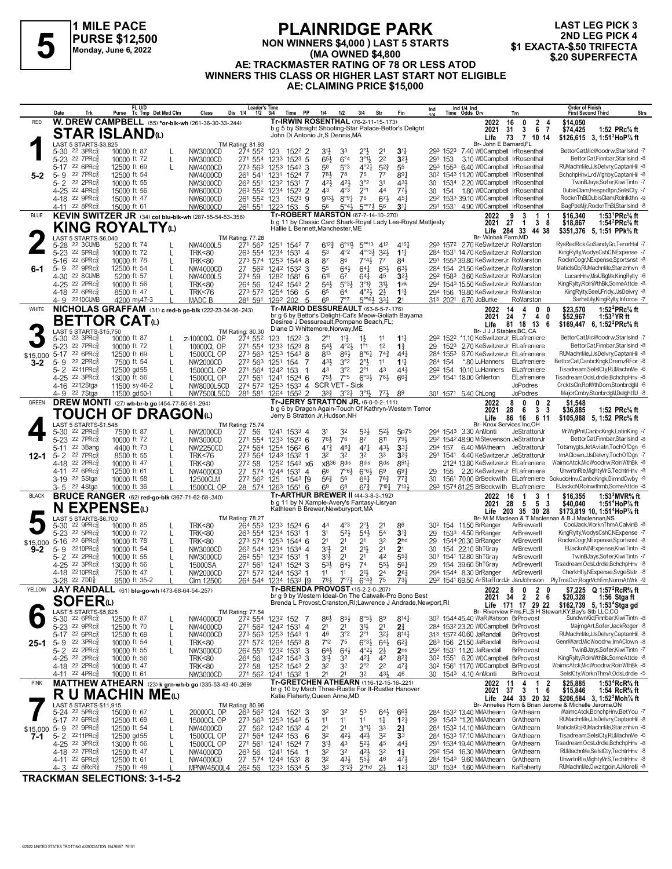

#### **PLAINRIDGE PARK NON WINNERS \$4,000 ) LAST 5 STARTS (MA OWNED \$4,800 AE: TRACKMASTER RATING OF 78 OR LESS ATOD WINNERS THIS CLASS OR HIGHER LAST START NOT ELIGIBLE AE: CLAIMING PRICE \$15,000 FLAINNIDUL PARK**<br>
FLAINNIDUL PARK<br>
Monday, June 6, 2022<br>
Monday, June 6, 2022<br>
A EXACTA-\$.50 TRIFECTA<br>
Ma OWNED \$4,800<br>
(MA OWNED \$4,800<br>
S20 SUPERFECTA

**LAST LEG PICK 3** 2ND LEG PICK 4<br>\$1 EXACTA-\$.50 TRIFECTA

|                     | Date     | Trk                                                               | FL U/D<br>Purse                                                         | Tc Tmp Det Med Clm | Class                                | <b>Leader's Time</b><br>Dis 1/4<br>$1/2$ $3/4$                   |                            | Time PP               | 1/4                                                                               | 1/2                                      | 3/4                                                                 | Str                              | Fin                                                                                                                     | <b>Order of Finish</b><br>Ind 1/4 Ind<br>Time Odds Drv<br>Ind<br>Strs<br><b>First Second Third</b><br>Trn                                                                                           |
|---------------------|----------|-------------------------------------------------------------------|-------------------------------------------------------------------------|--------------------|--------------------------------------|------------------------------------------------------------------|----------------------------|-----------------------|-----------------------------------------------------------------------------------|------------------------------------------|---------------------------------------------------------------------|----------------------------------|-------------------------------------------------------------------------------------------------------------------------|-----------------------------------------------------------------------------------------------------------------------------------------------------------------------------------------------------|
| <b>RED</b>          |          |                                                                   | W. DREW CAMPBELL (55) *or-blk-wh (261-36-30-33-.244)                    |                    |                                      |                                                                  |                            |                       | Tr-IRWIN ROSENTHAL (76-2-11-15-.173)                                              |                                          |                                                                     |                                  | b g 5 by Straight Shooting-Star Palace-Bettor's Delight                                                                 | $\overline{2}$<br>\$14,050<br>2022<br>16<br>0<br>67<br>3<br>\$74,425<br>1:52 PRc% ft<br>2021<br>31                                                                                                  |
|                     |          |                                                                   | <b>STAR ISLAND</b>                                                      |                    |                                      |                                                                  |                            |                       | John Di Antonio Jr, S Dennis, MA                                                  |                                          |                                                                     |                                  |                                                                                                                         | Life<br>73<br>7 10 14<br>\$126,615 3, 1:51 <sup>2</sup> HoP <sup>7</sup> / <sub>8</sub> ft                                                                                                          |
|                     | $5 - 30$ | LAST 5 STARTS-\$3,825<br>$22 \t3PRc\overline{3}$                  | 10000 ft 87                                                             |                    | NW3000CD                             | TM Rating: 81.93<br>274 552                                      | 123                        | 1522 2                | 3 <sup>1</sup>                                                                    |                                          | $2^{\circ}$                                                         | 2 <sup>1</sup>                   | 3 <sup>11</sup>                                                                                                         | Br- John E Barnard, FL<br>BettorCat,MicWoodrw,StarIsInd -7<br>293 1523 7.40 WDCampbell IrRosenthal                                                                                                  |
|                     |          | 5-23 22 7PRc <sup>5</sup><br>5-17 22 6PRc                         | 10000 ft 72<br>12500 ft 69                                              | L                  | NW3000CD<br>NW4000CD                 | 271 554 1233<br>273 563 1253 1543                                |                            | $152^3$ 5<br>3        | $65\frac{1}{2}$<br>58                                                             | $6^{\circ}4$<br>5°3                      | $3^{011}$<br>4°21                                                   | 2 <sup>2</sup><br>$5^{2}$        | $3^{21}$<br>55                                                                                                          | 3.10 WDCampbell IrRosenthal<br>BettorCat,Finnbar,StarIsInd -8<br>291 153<br>293 1553 6.40 WDCampbell IrRosenthal<br>RUMachnMe,JJsDelvry,CaptanHil -8                                                |
| $5 - 2$             | $5 - 9$  | 22 7PRc                                                           | 12500 ft 54                                                             |                    | NW4000CD                             | 261 541 1231                                                     |                            | 1524 7                | 781                                                                               | 78                                       | 75                                                                  | $7^7$                            | 891                                                                                                                     | 30 <sup>2</sup> 154 <sup>3</sup> 11.20 WDCampbell IrRosenthal<br>BchchpHnv,LrdWlghby,CaptanHil -8                                                                                                   |
|                     |          | 5-2 22 2PRc<br>4-25 <sup>22</sup> 4PRc <sup>3</sup>               | 10000 ft 55<br>15000 ft 56                                              |                    | NW3000CD<br>NW6000CD                 | 26 <sup>2</sup> 55 <sup>1</sup> 123 <sup>2</sup><br>263 552 1234 |                            | 1531 7<br>$1523$ 2    | 421<br>43                                                                         | 421<br>$4^{\circ}3$                      | 3°2<br>$2^{\circ}1$                                                 | 3 <sup>1</sup><br>44             | 431<br>773                                                                                                              | 30 1534 2.20 WDCampbell IrRosenthal<br>TwinBJays,Sofer,KiwiTintn -7<br>DubisClam, Hespsdtpn, SelsICty -7<br>154 1.80 WDCampbell IrRosenthal<br>30                                                   |
|                     |          | 4-18 22 9PRc                                                      | 15000 ft 47                                                             |                    | NW6000CD                             | 261 552 123                                                      |                            | 1523 9                | 9133                                                                              | $8^{\circ}9\frac{1}{4}$                  | 76                                                                  | $6^{7}\frac{1}{2}$               | $45\frac{1}{4}$                                                                                                         | RocknThBl,DubisClam,Rolnlkthn -9<br>292 1533 39.10 WDCampbell IrRosenthal                                                                                                                           |
| <b>BLUE</b>         |          | 4-11 22 8PRc <sup>3</sup>                                         | 15000 ft 61<br>KEVIN SWITZER JR (34) col blu-blk-wh (287-55-54-53-.358) |                    | NW6000CD                             | 261 551 1223 153                                                 |                            | -5                    | 56<br><b>Tr-ROBERT MARSTON (67-7-14-10-270)</b>                                   | $5^{\circ}4\frac{1}{2}$                  | $5^{\circ}7\frac{1}{2}$                                             | 56                               | 3 <sup>11</sup>                                                                                                         | 291 1531 4.90 WDCampbell IrRosenthal<br>BagPpeMjr,RocknThBl,StarIsInd -8<br>1:53 <sup>1</sup> PRc <sup>5</sup> / <sub>8</sub> ft<br>9<br>-3<br>\$16,340<br>2022<br>1                                |
|                     |          |                                                                   | <b>KING ROYALTY</b> W                                                   |                    |                                      |                                                                  |                            |                       | Hallie L Bennett, Manchester, ME                                                  |                                          |                                                                     |                                  | b g 11 by Classic Card Shark-Royal Lady Les-Royal Mattjesty                                                             | 2021 27<br>38<br>\$18,867<br>1:54 <sup>2</sup> PRc <sup>5</sup> / <sub>8</sub> ft<br>$\overline{1}$                                                                                                 |
|                     |          | LAST 5 STARTS-\$6,040                                             |                                                                         |                    |                                      | TM Rating: 77.28                                                 |                            |                       |                                                                                   |                                          |                                                                     |                                  |                                                                                                                         | Life 284 33 44 38<br>\$351,376 5, 1:51 PPk% ft<br>Br- Winbak Farm, MD                                                                                                                               |
|                     |          | 5-28 22 3CUMB<br>5-23 22 5PRc <sup>5</sup>                        | 5200 ft 74<br>10000 ft 72                                               | L                  | NW4000L5<br><b>TRK&lt;80</b>         | 271 562<br>263 554 1234                                          | 1251 1542 7                | 1531 4                | $6^{12}\frac{3}{4}$<br>53                                                         | $6^{\circ}11\frac{1}{2}$<br>$4^{\circ}2$ | $5^{\circ\circ}13$ 412<br>$4^{\circ}333}$ 32}                       |                                  | $4^{15}$<br>$1^{11}$                                                                                                    | RysRedRck, GoSandy Go, TerorHal -7<br>293 1572 2.70 KeSwitzerJr RoMarston<br>KingRylty,WodysCshC,NExpense -7<br>284 1531 14.70 KeSwitzerJr RoMarston                                                |
|                     | $5 - 16$ | $226$ PR $c_{8}^{5}$                                              | 10000 ft 78                                                             | L                  | <b>TRK&lt;80</b>                     | 273 574 1253                                                     |                            | 1544 8                | 87                                                                                | 86                                       | 7°43                                                                | $7^7$                            | 84                                                                                                                      | 291 1553 39.80 KeSwitzerJr RoMarston<br>RocknCogr,NExpense,Sportsnst -8                                                                                                                             |
| $6 - 1$             |          | 5-9 22 9PRc $\frac{5}{8}$<br>4-30 22 8 CUMB                       | 12500 ft 54<br>5200 ft 57                                               |                    | NW4000CD<br>NW4000L5                 | 27 562<br>274 59                                                 | 1242 1532 3<br>1282 1581   | 6                     | 55<br>610                                                                         | 643<br>67                                | $64\frac{1}{4}$<br>641                                              | 65}<br>45                        | 631<br>3 <sup>2</sup>                                                                                                   | 284 154 21.50 KeSwitzerJr RoMarston<br>MaticlsGb,RUMachnMe,Starznhvn -8<br>LucanHnv, MisUBgMk, King Rylty -6<br>292 1583 3.60 KeSwitzerJr RoMarston                                                 |
|                     |          | 4-25 22 2PRc <sup>5</sup>                                         | 10000 ft 56                                                             |                    | <b>TRK&lt;80</b>                     | 264 56                                                           | 1242 1543                  | 2                     | $54\frac{1}{2}$                                                                   | $5^{\circ}3\frac{1}{2}$                  | $3^{012}$                                                           | $3^{11}$                         | 1nk                                                                                                                     | 294 1543 15.50 KeSwitzerJr RoMarston<br>KingRylty,RolnWthBk,SomeAttde -8                                                                                                                            |
|                     |          | 4-18 22 6PRc<br>4-9 2210 CUMB                                     | 8500 ft 47<br>4200 my47-3                                               |                    | <b>TRK&lt;76</b><br>MADC B           | 273 572 1254 156<br>281 591 1292 202                             |                            | 5<br>-5               | 65<br>6 <sup>9</sup>                                                              | 64<br>7°7                                | $4^{\circ}2\frac{1}{2}$<br>$5^{\circ}$ <sup>64</sup> 3 <sup>3</sup> | $2\frac{1}{2}$                   | $1\frac{13}{4}$<br>2 <sup>1</sup>                                                                                       | 294 156 19.80 KeSwitzerJr RoMarston<br>KingRylty,SeeUFridy,JJsDelvry -8<br>313 2021 6.70 JoBurke<br>RoMarston<br>SarhsLily,KingRylty,Inforce -7                                                     |
| WHITE               |          |                                                                   | NICHOLAS GRAFFAM (31) c red-b go-blk (222-23-34-36-.243)                |                    |                                      |                                                                  |                            |                       | <b>Tr-MARIO DESSUREAULT (63-6-5-7-.176)</b>                                       |                                          |                                                                     |                                  | br g 6 by Bettor's Delight-Cat's Meow-Goliath Bayama                                                                    | 1:52 ${}^{2}$ PRc ${}^{5}_{8}$ ft<br>14<br>0<br>\$23,570<br>2022<br>4<br>24<br>\$52,967                                                                                                             |
|                     |          |                                                                   | <b>BETTOR CAT</b> ω                                                     |                    |                                      |                                                                  |                            |                       | Desiree J Dessureault, Pompano Beach, FL;<br>Diane D Whittemore, Norway, ME       |                                          |                                                                     |                                  |                                                                                                                         | 1:53 $2$ YR ft<br>2021<br>4<br>0<br>7<br>81 18 13 6<br>\$169,447 6, 1:52 <sup>2</sup> PRc <sup>5</sup> / <sub>8</sub> ft<br>Life                                                                    |
|                     | 5-30     | LAST 5 STARTS-\$15,750<br>22 3PRc                                 | 10000 ft 87                                                             |                    | z-10000CL OP                         | TM Rating: 80.30<br>274 552                                      | 123                        | 1522 3                | $2^{\circ}1$                                                                      | $11\frac{1}{2}$                          | $1\frac{1}{2}$                                                      | 11                               | $1\frac{11}{4}$                                                                                                         | Br- J J J Stables, BC, CA<br>BettorCat.MicWoodrw.StarIsInd -7<br>292 1522 *1.10 KeSwitzerJr ElLafreniere                                                                                            |
|                     |          | 5-23 22 7PRcs<br>5-17 22 6PRcs                                    | 10000 ft 72                                                             | L                  | 10000CL OP                           | 271 554 1233 1523 8                                              |                            |                       | $54\frac{1}{2}$                                                                   | $4^{\circ}2\frac{1}{2}$                  | $1^{\circ}1$                                                        | 1 <sup>2</sup>                   | $1\frac{3}{4}$                                                                                                          | 1523 2.70 KeSwitzerJr ElLafreniere<br>BettorCat,Finnbar,StarIsInd -8<br>29<br>RUMachnMe,JJsDelvry,CaptanHil -8<br>284 1553 9.70 KeSwitzerJr ElLafreniere                                            |
| \$15,000<br>3-2     |          | 5-9 22 2PRc <sup>5</sup>                                          | 12500 ft 69<br>7500 ft 54                                               |                    | 15000CL OP<br>NW2000CD               | 273 563<br>272 563 1251                                          | 1253                       | $1543$ 8<br>154<br>-7 | 813<br>431                                                                        | 86}<br>3°2                               | $8^{\circ}6\frac{1}{4}$<br>$2^{\circ}$                              | $74\frac{3}{4}$<br>11            | $44\frac{3}{4}$<br>$1^{11}$                                                                                             | BettorCat,CanbcKngk,DremzRFor -8<br>*.80 LuHanners<br>284 154<br>ElLafreniere                                                                                                                       |
|                     |          | 5-2 2211PRc<br>4-25 22 3PRc3                                      | 12500 gd55<br>13000 ft 56                                               |                    | 15000CL OP<br>15000CL OP             | 271 564 1242 153<br>271 561 1241                                 |                            | 1524 6                | 43<br>$75\frac{1}{2}$                                                             | $3^{\circ}2$<br>7°5                      | $2^{\circ}1$<br>$6^{o_{3}}$                                         | 43<br>781                        | $44\frac{3}{4}$<br>$66\frac{3}{4}$                                                                                      | Tisadream.SelslCtv.RUMachnMe -6<br>29 <sup>2</sup> 154 10.10 LuHanners<br>ElLafreniere<br>292 1541 18.00 GrMerton<br>Tisadream.OdsLdrdle.BchchpHnv -8<br>ElLafreniere                               |
|                     |          | 4-16 2212Stga                                                     | 11500 sy 46-2                                                           |                    | NW8000L5CD                           | 274 572 1253 1533 4 SCR VET - Sick                               |                            |                       |                                                                                   |                                          |                                                                     |                                  |                                                                                                                         | <b>JoPodres</b><br>CrcktsCln,RolWthDom,StonbrdgM -6                                                                                                                                                 |
| <b>GREEN</b>        |          | 4-9 22 7 Stga                                                     | 11500 gd50-1<br><b>DREW MONTI</b> (27) wh-br-b go (454-77-65-61-294)    |                    | NW7500L5CD                           | 281 581 1264 1552 2                                              |                            |                       | $3^{3}\frac{3}{4}$<br><b>Tr-JERRY STRATTON JR. (6-0-0-2-111)</b>                  |                                          | $3^{\circ}2^1_4$ $3^{\circ}1^1_2$                                   | $77\frac{1}{2}$                  | 89                                                                                                                      | <b>JoPodres</b><br>MajorCmby,StonbrdgM,DelghtflJ -8<br>301 1571 5.40 ChLong<br>8<br>$\mathbf{0}$<br>0<br>\$1,548<br>2022<br>- 2                                                                     |
|                     |          |                                                                   | <b>TOUCH OF DRAGON</b> ധ                                                |                    |                                      |                                                                  |                            |                       | Jerry B Stratton Jr, Hudson, NH                                                   |                                          |                                                                     |                                  | b g 6 by Dragon Again-Touch Of Kathryn-Western Terror                                                                   | 3 <sub>3</sub><br>2021<br>28<br>6<br>\$36,885<br>1:52 PRc% ft                                                                                                                                       |
|                     |          | LAST 5 STARTS-\$1,548                                             |                                                                         |                    |                                      | TM Rating: 75.74                                                 |                            |                       |                                                                                   |                                          |                                                                     |                                  |                                                                                                                         | 86 16 6 11<br>\$105,988 5, 1:52 PRc% ft<br>Life<br>Br- Knox Services Inc,OH                                                                                                                         |
|                     |          | 5-30 22 2PRcs<br>5-23 22 7PRc <sup>5</sup>                        | 7500 ft 87<br>10000 ft 72                                               |                    | NW2000CD<br>NW3000CD                 | 27 56<br>271 554                                                 | 1241 1533 4<br>1233 1523 6 |                       | 3 <sup>1</sup><br>761                                                             | 32<br>76                                 | 53}<br>87                                                           | $5^{2}$<br>811                   | 5p75<br>791                                                                                                             | MrWiglPnt,CanbcKngk,LatinKing -7<br>294 1543 3.30 AnMonti<br>JeStrattonJr<br>292 1542 48.90 MiStevenson JeStrattonJr<br>BettorCat,Finnbar,StarIsInd -8                                              |
|                     | $5 - 11$ | 22 3Bang                                                          | 4400 ft 73                                                              |                    | <b>NW2250CD</b>                      | 274 564                                                          | 1254 1562 6                |                       | $47\frac{3}{4}$                                                                   | $48\frac{1}{4}$                          | $47\frac{1}{4}$                                                     | 43}                              | 33 <sub>1</sub>                                                                                                         | Totsmygts, JetAviatn, TochOfDgn -6<br>294 157 6.40 MMAthearn JeStrattonJr                                                                                                                           |
| $12 - 1$            | $5 - 2$  | 22 7PRc<br>4-18 <sup>22</sup> 2PRc <sup>5</sup>                   | 8500 ft 55<br>10000 ft 47                                               |                    | <b>TRK&lt;76</b><br><b>TRK&lt;80</b> | 273 564 1243 1532 1<br>272 58                                    | 125 <sup>2</sup> 1543 x6   |                       | 32<br>x836                                                                        | 32<br>8 <sub>dis</sub>                   | 32<br>8 <sub>dis</sub>                                              | 33<br>8 <sub>dis</sub>           | $3^{3}$<br>8911                                                                                                         | ImAClown,JJsDelvry,TochOfDgn -7<br>1541 4.40 KeSwitzerJr JeStrattonJr<br>291<br>WaimcAtck, MicWoodrw, RolnWthBk -8<br>2124 13.80 KeSwitzerJr ElLafreniere                                           |
|                     |          | 4-11 22 6PRc                                                      | 12500 ft 61                                                             |                    | NW4000CD                             | 27 574 1244 1531 4                                               |                            |                       | 66                                                                                | $7°6\frac{1}{2}$                         | $6°6\frac{1}{2}$                                                    | 69                               | 69 <sup>1</sup>                                                                                                         | UnwrtnRle, Mighty MrS, TechtrHnv -8<br>2.20 KeSwitzerJr ElLafreniere<br>29<br>155                                                                                                                   |
|                     |          | 3-19 22 5 Stga<br>3-5 <sup>22</sup> 4Stga                         | 10000 ft 58<br>10000 ft 36                                              |                    | 12500CLM<br>15000CL OP               | 272 562 125<br>28 574 1263 1551 6                                |                            | 1543 [9               | $56\frac{3}{4}$<br>69                                                             | 56<br>68                                 | 661<br>$6^{7\frac{3}{4}}$                                           | $76\frac{3}{4}$<br>$7^{10}$      | $77\frac{3}{4}$<br>7131                                                                                                 | GokudoHnv,CanbcKngk,DimndCwby -9<br>1561 70.00 BrBeckwith ElLafreniere<br>30<br>ElJackoN, Rolnwthmb, Some Attde -8<br>293 1574 81.25 BrBeckwith ElLafreniere                                        |
| <b>BLACK</b>        |          |                                                                   | <b>BRUCE RANGER</b> (62) red-go-blk (367-71-62-58-.340)                 |                    |                                      |                                                                  |                            |                       | Tr-ARTHUR BREWER II (44-3-8-3-.192)<br>b g 11 by N Xample-Avery's Fantasy-Lisryan |                                          |                                                                     |                                  |                                                                                                                         | 3<br>1:53 $3$ MVR $\%$ ft<br>2022<br>16<br>\$16,355<br>2021<br>28<br>5<br>\$40,040<br>1:51 <sup>4</sup> HoP% ft<br>5<br>-3                                                                          |
|                     | N        |                                                                   | <b>EXPENSE</b>                                                          |                    |                                      |                                                                  |                            |                       | Kathleen B Brewer, Newburyport, MA                                                |                                          |                                                                     |                                  |                                                                                                                         | Life 203 35 30 28<br>\$173,819 10, 1:51 <sup>4</sup> HoP% ft<br>Br- M M Maclean & T Maclennan & B J Maclennan, NS                                                                                   |
|                     | $5 - 30$ | LAST 5 STARTS-\$6,700<br>$22$ 9PR $c_{8}$                         | 10000 ft 85                                                             |                    | <b>TRK&lt;80</b>                     | <b>TM Rating: 78.27</b><br>264 553                               | 1233 1524 6                |                       | 44                                                                                | $4^{\circ}3$                             | $2^{\circ}$                                                         | 2 <sup>1</sup>                   | 86                                                                                                                      | CoolJack, WorknThmA, CalvinB -8<br>30 <sup>2</sup> 154 11.50 BrRanger<br>ArBrewerll                                                                                                                 |
|                     | $5 - 16$ | 5-23 <sup>22</sup> 5PRc <sup>3</sup><br>$22.6$ PR $c_{\ell}$      | 10000 ft 72<br>10000 ft 78                                              |                    | <b>TRK&lt;80</b><br><b>TRK&lt;80</b> | 263 554 1234 1531 1<br>273 574 1253 1544 6                       |                            |                       | 3 <sup>1</sup><br>21                                                              | $5^{2}$<br>2 <sup>1</sup>                | $54\frac{1}{2}$<br>2 <sup>1</sup>                                   | 5 <sup>4</sup><br>32             | $3^{13}$<br>2 <sub>hd</sub>                                                                                             | KingRylty, WodysCshC, NExpense -7<br>1533 4.50 BrRanger<br>29<br>ArBrewerll<br>1544 20.30 BrRanger<br>RocknCogr, NExpense, Sportsnst -8<br>29<br>ArBrewerll                                         |
| \$15,000<br>$9 - 2$ | 5-9      | 2210PRc                                                           | 10000 ft 54                                                             |                    | NW3000CD                             | 26 <sup>2</sup> 544 1234                                         |                            | 1534 4                | 3 <sup>1</sup>                                                                    | 2 <sup>1</sup>                           | $21\frac{1}{2}$                                                     | 2 <sup>1</sup>                   | 2 <sup>1</sup>                                                                                                          | ElJackoN, NExpense, KiwiTintn -8<br>30<br>154 22.10 ShTGray<br>ArBrewerll                                                                                                                           |
|                     |          | 5-2 22 2PRc<br>4-25 22 3PRc                                       | 10000 ft 55<br>13000 ft 56                                              |                    | NW3000CD<br>15000SA                  | 26 <sup>2</sup> 551 1232 1531 1<br>271 561                       | 1241                       | $1524$ 3              | 3 <sup>1</sup><br>$5^{31}$                                                        | 2 <sup>1</sup><br>643                    | 2 <sup>1</sup><br>74                                                | 42<br>$55\frac{1}{2}$            | 553<br>$56\frac{1}{4}$                                                                                                  | 303 1541 12.80 ShTGrav<br>TwinBJays,Sofer,KiwiTintn -7<br>ArBrewerll<br>Tisadream, OdsLdrdle, BchchpHnv -8<br>29 154 39.60 ShTGray<br>ArBrewerll                                                    |
|                     |          | 4-18 2210 PRcs                                                    | 7500 ft 47                                                              |                    | NW2000CD                             | 271 572 1244 1532                                                |                            | -1                    | 11                                                                                | 11                                       | $21\frac{1}{2}$                                                     | 2 <sup>4</sup>                   | $26\frac{3}{4}$                                                                                                         | CherkHfly,NExpense,SvgeSlstr -8<br>294 1544 8.30 BrRanger<br>ArBrewerll                                                                                                                             |
| YELLOW              |          | 3-28 22 7DD <sup>5</sup>                                          | 9500 ft 35-2<br>JAY RANDALL (61) blu-go-wh (473-68-64-54-.257)          |                    | Clm 12500                            | 264 544 1234 1533 [9                                             |                            |                       | $78\frac{1}{4}$<br>Tr-BRENDA PROVOST (15-2-2-0-.207)                              | $7^{\circ}7^{\circ}$                     | $6^{o_4}\frac{3}{4}$                                                | 75                               | 731,                                                                                                                    | 29 <sup>2</sup> 1541 69.50 ArStaffordJr JsnJohnson<br>PlyTmsOvr,RogrMchEm,NormAtWrk -9<br>\$7,225 Q 1:57 <sup>2</sup> RcR% ft<br>8 0 2 0<br>2022                                                    |
|                     |          | <b>SOFER</b> <sup>0</sup>                                         |                                                                         |                    |                                      |                                                                  |                            |                       |                                                                                   |                                          |                                                                     |                                  | br g 9 by Western Ideal-On The Catwalk-Pro Bono Best<br>Brenda L Provost, Cranston, RI; Lawrence J Andrade, Newport, RI | 2021 34 2 2 6<br>\$20,328<br>1:56 Stga ft<br>\$162,739 5, 1:53 <sup>4</sup> Stga gd<br>Life 171 17 29 22                                                                                            |
|                     |          | LAST 5 STARTS-\$5,625<br>5-30 22 6PRc <sup>5</sup>                |                                                                         |                    |                                      | TM Rating: 77.54<br>27 <sup>2</sup> 554 123 <sup>2</sup> 152 7   |                            |                       |                                                                                   |                                          | $8^{\circ}5\frac{1}{2}$ 8 <sup>9</sup>                              |                                  | $8^{14}$                                                                                                                | Br- Riverview Fms, FL; S H Stewart, KY; Bay's Stb LLC, CO<br>SundwnKid,Finnbar,KiwiTintn -8<br>30 <sup>2</sup> 154445.40 WaRWatson BrProvost                                                        |
|                     |          | 5-23 <sup>22</sup> 9PRc <sup>3</sup>                              | 12500 ft 87<br>12500 ft 70                                              | L                  | NW4000CD<br>NW4000CD                 | 271 562 1242 1531 4                                              |                            |                       | 86}<br>2 <sup>1</sup>                                                             | $85\frac{1}{2}$<br>2 <sup>1</sup>        | 31}                                                                 | 2 <sup>1</sup>                   | 2 <sup>3</sup>                                                                                                          | MajrngArt,Sofer,JackRoger -8<br>284 1532 23.20 WDCampbell BrProvost                                                                                                                                 |
| $25 - 1$            |          | 5-17 22 6PRc <sup>5</sup><br>5-9 22 3PRc $\frac{5}{8}$            | 12500 ft 69<br>10000 ft 54                                              | L<br>L             | NW4000CD<br><b>TRK&lt;80</b>         | 273 563 1253 1543 1<br>271 572 1264 1553 8                       |                            |                       | 46<br>712                                                                         | 3°2<br>75                                | $2^{\circ}1$<br>$6°3\frac{1}{2}$                                    | $3^{2}$<br>64}                   | $8^{14}$<br>$6^{21}$                                                                                                    | RUMachnMe.JJsDelvrv.CaptanHil -8<br>313 1572 40.60 JaRandall<br><b>BrProvost</b><br>GenrlWard, MicWoodrw, ImAClown -8<br>283 156 21.50 JaRandall<br><b>BrProvost</b>                                |
|                     |          | $5 - 2$ 22 $2PRc_{8}^{5}$                                         | 10000 ft 55                                                             |                    | NW3000CD                             | 26 <sup>2</sup> 551                                              | 1232 1531 3                |                       | $64\frac{1}{2}$                                                                   | 643                                      | $4^{\circ}2\frac{1}{2}$                                             | $2\frac{1}{2}$                   | 2 <sub>ns</sub>                                                                                                         | 292 1531 11.20 JaRandall<br><b>BrProvost</b><br>TwinBJays,Sofer,KiwiTintn -7                                                                                                                        |
|                     |          | 4-25 <sup>22</sup> 2PRc <sup>3</sup><br>4-18 22 2PRc <sup>5</sup> | 10000 ft 56<br>10000 ft 47                                              |                    | <b>TRK&lt;80</b><br><b>TRK&lt;80</b> | 264 56<br>272 58                                                 | 1242 1543 3<br>1252 1543 2 |                       | 3 <sup>1</sup><br>32                                                              | 32<br>32                                 | 421<br>$2^{\circ}2$                                                 | 42<br>2 <sup>2</sup>             | $8^{2}\frac{3}{4}$<br>$47\frac{3}{4}$                                                                                   | KingRylty,RolnWthBk,SomeAttde -8<br>30 <sup>2</sup> 155 <sup>1</sup> 6.20 WDCampbell BrProvost<br>WaimcAtck, MicWoodrw, RolnWthBk -8<br>30 <sup>2</sup> 156 <sup>1</sup> 11.70 WDCampbell BrProvost |
|                     |          | 4-11 22 4PRc <sup>3</sup>                                         | 10000 ft 61                                                             |                    | NW3000CD                             | 271 562 1241 1532 1                                              |                            |                       | 2 <sup>1</sup>                                                                    | 21                                       | 32                                                                  | 431                              | 46                                                                                                                      | 30 1543 4.10 AnMonti<br>SelsICty, WorknThmA, OdsLdrdle -5<br><b>BrProvost</b>                                                                                                                       |
| <b>PINK</b>         |          |                                                                   | MATTHEW ATHEARN (23) k grn-wh-b go (335-53-43-40-.269)                  |                    |                                      |                                                                  |                            |                       | Tr-GRETCHEN ATHEARN (116-12-15-16-221)                                            |                                          |                                                                     |                                  | br g 10 by Mach Three-Rustle For It-Rustler Hanover                                                                     | 4<br>1 <sub>2</sub><br>1:53 <sup>4</sup> RcR <sup>5</sup> / <sub>8</sub> ft<br>2022<br>11<br>\$25,885<br>2021<br>37<br>$\mathbf{3}$<br>16<br>\$15,846<br>1:54 RcR <sup>5</sup> / <sub>8</sub> ft    |
|                     |          | LAST 5 STARTS-\$11,915                                            | <b>R U MACHIN ME</b> ω                                                  |                    |                                      | TM Rating: 80.96                                                 |                            |                       | Katie Flaherty, Queen Anne, MD                                                    |                                          |                                                                     |                                  |                                                                                                                         | Life 244 33 20 32<br>\$206,584 3, 1:52 <sup>2</sup> Moh <sup>7</sup> / <sub>8</sub> ft<br>Br- Annelies Horn & Brian Jerome & Michelle Jerome, ON                                                    |
|                     |          | 5-24 <sup>22</sup> 5PRc <sup>3</sup><br>5-17 22 6PRc <sup>5</sup> | 15000 ft 67                                                             |                    | 20000CL OP                           | 263 562 124 1521 3                                               |                            |                       | 32                                                                                | 32                                       | 53                                                                  | $64\frac{1}{2}$                  | $66\frac{1}{2}$                                                                                                         | WaimcAtck,BchchpHnv,BetYou -7<br>284 1532 13.40 MMAthearn GrAthearn<br>RUMachnMe.JJsDelvrv.CaptanHil -8                                                                                             |
|                     |          | \$15,000 5-9 22 9PRcs                                             | 12500 ft 69<br>12500 ft 54                                              | L<br>L             | 15000CL OP<br>NW4000CD               | 273 563 1253 1543 5<br>27 562 1242 1532 4                        |                            |                       | 11<br>2 <sup>1</sup>                                                              | 11<br>2 <sup>1</sup>                     | 11<br>3°1                                                           | $1\frac{1}{4}$<br>3 <sup>3</sup> | $12\frac{3}{4}$<br>2 <sup>1</sup>                                                                                       | 29 1543 *1.20 MMAthearn GrAthearn<br>MaticlsGb,RUMachnMe,Starznhvn -8<br>284 1532 14.10 MMAthearn GrAthearn                                                                                         |
| 7-1                 |          | $5 - 2$ 2211PRc $\frac{5}{8}$                                     | 12500 gd55                                                              | L                  | 15000CL OP                           | 271 564 1242 153 6                                               |                            |                       | 32                                                                                | 423                                      | 42}                                                                 | 3 <sup>2</sup>                   | 3 <sup>3</sup>                                                                                                          | Tisadream,SelslCty,RUMachnMe -6<br>284 1533 17.10 MMAthearn GrAthearn<br>Tisadream, OdsLdrdle, BchchpHnv -8                                                                                         |
|                     |          | 4-25 <sup>22</sup> 3PRc <sup>3</sup><br>4-18 22 7PRc <sup>3</sup> | 13000 ft 56<br>12500 ft 47                                              |                    | 15000CL OP<br>NW4000CD               | 271 561<br>263 56                                                | 1241 1524 7<br>1241 154    | -1                    | 3 <sup>1</sup><br>32                                                              | 43<br>32                                 | $5^{21}$<br>42}                                                     | 45<br>3 <sup>2</sup>             | $44\frac{3}{4}$<br>$1\frac{3}{4}$                                                                                       | 291 1534 19.40 MMAthearn GrAthearn<br>RUMachnMe,SeIsICty,TechtrHnv -8<br>292 154 16.30 MMAthearn GrAthearn                                                                                          |
|                     |          | 4-11 22 6PRc <sup>3</sup><br>$4 - 3$ 22 8 RcR <sup>3</sup>        | 12500 ft 61<br>7500 ft 49                                               | L                  | NW4000CD<br>MPNW4500L4               | 27 574 1244 1531 8<br>26 <sup>2</sup> 56 123 <sup>3</sup> 1534 5 |                            |                       | 3 <sup>2</sup><br>3 <sup>3</sup>                                                  | $43\frac{1}{2}$<br>3°2 <sup>3</sup>      | $55\frac{1}{2}$<br>$2o$ hd                                          | 46<br>2 <sup>1</sup>             | 47}<br>12 <sup>1</sup>                                                                                                  | UnwrtnRle, Mighty MrS, TechtrHnv -8<br>284 1543 9.60 MMAthearn GrAthearn<br>RUMachnMe, Owzitgoin, AJMorelli -8<br>301 1534 1.60 MMAthearn KaFlaherty                                                |

**TRACKMAN SELECTIONS: 3-1-5-2**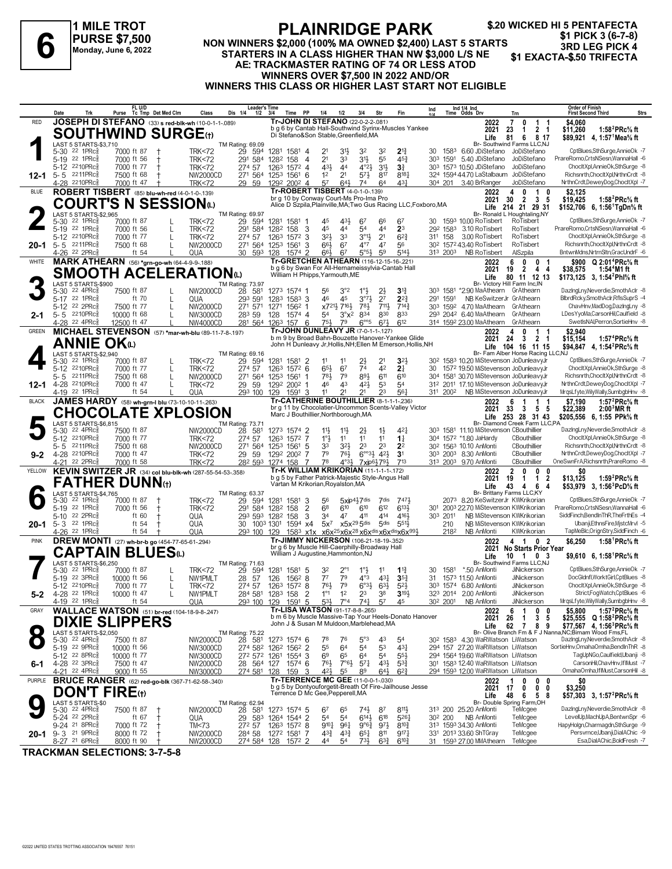**1 MILE TROT PURSE \$7,500 Monday, June 6, 2022**

## **PLAINRIDGE PARK**

#### **NON WINNERS \$2,000 (100% MA OWNED \$2,400) LAST 5 STARTS STARTERS IN A CLASS HIGHER THAN NW \$3,000 L/S NE AE: TRACKMASTER RATING OF 74 OR LESS ATOD WINNERS OVER \$7,500 IN 2022 AND/OR WINNERS THIS CLASS OR HIGHER LAST START NOT ELIGIBLE 3RD LEG PICK 3 (6-7-8)**<br>3RD LEG PICK 4<br>3RD LEG PICK 4<br>3RD LEG PICK 4<br>3RD LEG PICK 4<br>3RD LEG PICK 4<br>3RD LEG PICK 4<br>3RD LEG PICK 4

**\$.20 WICKED HI 5 PENTAFECTA \$1 PICK 3 (6-7-8)**

|               | Date                          | Trk                                                               | FL U/D<br>Purse                                                       | Tc Tmp Det Med Clm | Class                                | <b>Leader's Time</b><br>Dis 1/4<br>$1/2$ $3/4$     |                            | <b>PP</b><br>Time          | 1/4                                                                                        | 1/2                                                  | 3/4                                            | Str                                           | Fin                                                             | Ind      |                      | Ind 1/4 Ind<br>Time Odds Drv                                                                 | Trn                                                                                               | <b>Order of Finish</b><br><b>Strs</b><br><b>First Second Third</b>                                                                     |
|---------------|-------------------------------|-------------------------------------------------------------------|-----------------------------------------------------------------------|--------------------|--------------------------------------|----------------------------------------------------|----------------------------|----------------------------|--------------------------------------------------------------------------------------------|------------------------------------------------------|------------------------------------------------|-----------------------------------------------|-----------------------------------------------------------------|----------|----------------------|----------------------------------------------------------------------------------------------|---------------------------------------------------------------------------------------------------|----------------------------------------------------------------------------------------------------------------------------------------|
| <b>RED</b>    |                               |                                                                   | JOSEPH DI STEFANO (33) s red-blk-wh (10-0-1-1-089)                    |                    |                                      |                                                    |                            |                            | Tr-JOHN DI STEFANO (22-0-2-2-.081)                                                         |                                                      |                                                |                                               | b g 6 by Cantab Hall-Southwind Syrinx-Muscles Yankee            |          |                      | 2022                                                                                         | $\overline{7}$<br>0<br>$\mathbf{1}$<br>-1                                                         | \$4,060                                                                                                                                |
|               |                               |                                                                   | <b>SOUTHWIND SURGE(t)</b>                                             |                    |                                      |                                                    |                            |                            | Di Stefano&Son Stable, Greenfield, MA                                                      |                                                      |                                                |                                               |                                                                 |          |                      | 2021<br>Life                                                                                 | 2 <sub>1</sub><br>23<br>$\mathbf{1}$<br>81<br>6 8 17                                              | \$11,260<br>1:58 ${}^{2}$ PRc ${}^{5}_{8}$ ft<br>\$89,921 4, 1:57 <sup>1</sup> Mea% ft                                                 |
|               |                               | LAST 5 STARTS-\$3,710<br>5-30 22 1PRc <sup>5</sup>                | 7000 ft 87                                                            |                    | <b>TRK&lt;72</b>                     | TM Rating: 69.09<br>29 594                         |                            | 1281 1581 4                |                                                                                            | 31}                                                  | 32                                             | 32                                            | $2^{13}$                                                        | 30       | 1583                 | 6.60 JDiStefano                                                                              | Br- Southwind Farms LLC,NJ<br>JoDiStefano                                                         | CptBlues,SthSurge,AnnieOk -7                                                                                                           |
|               |                               | 5-19 22 1PRcs                                                     | 7000 ft 56                                                            |                    | <b>TRK&lt;72</b>                     | 291 584                                            | 1282 158                   | $\overline{4}$             | 2 <sup>1</sup>                                                                             | 33                                                   | 31}                                            | 55                                            | $45\frac{3}{4}$                                                 |          | 303 1591             | 5.40 JDiStefano                                                                              | JoDiStefano                                                                                       | PrareRomo,CrtsNSesn,WannaHall -6                                                                                                       |
|               |                               | 5-12 2210PRcs                                                     | 7000 ft 77                                                            |                    | <b>TRK&lt;72</b>                     | 274 57                                             |                            | 1263 1572 4                | 431                                                                                        | 44                                                   | $4^{\circ}2\frac{1}{2}$                        | $3^{11}$                                      | 3 <sup>3</sup>                                                  |          |                      | 30 <sup>3</sup> 157 <sup>3</sup> 10.50 JDiStefano                                            | JoDiStefano                                                                                       | ChocltXpl,AnnieOk,SthSurge -8                                                                                                          |
| $12 - 1$      | $5 - 5$ 2211PRc $\frac{5}{8}$ | 4-28 2210PRcs                                                     | 7500 ft 68<br>7000 ft 47                                              |                    | <b>NW2000CD</b><br><b>TRK&lt;72</b>  | 271 564<br>29 59                                   | 1253 1561 6                | 1292 2002 4                | 1 <sup>2</sup><br>57                                                                       | 2 <sup>1</sup><br>$64\frac{1}{2}$                    | $5^{7}$<br>74                                  | 817<br>64                                     | $8^{18}$<br>431                                                 |          |                      | 324 1594 44.70 LaStalbaum<br>304 201 3.40 BrRanger                                           | JoDiStefano<br>JoDiStefano                                                                        | Richsnrth,ChocltXpl,NrthnCrdt -8<br>NrthnCrdt,DeweyDog,ChocltXpl -7                                                                    |
| <b>BLUE</b>   |                               |                                                                   | ROBERT TISBERT (85) blu-wh-red (4-0-1-0-139)                          |                    |                                      |                                                    |                            |                            | Tr-ROBERT TISBERT (4-0-1-0-139)                                                            |                                                      |                                                |                                               |                                                                 |          |                      | 2022                                                                                         | $\overline{1}$<br>4<br>$\mathbf{0}$<br>0                                                          | \$2,125                                                                                                                                |
|               |                               |                                                                   | <b>COURT'S N SESSION</b> (L)                                          |                    |                                      |                                                    |                            |                            | br g 10 by Conway Court-Ms Pro-Ima Pro                                                     |                                                      |                                                |                                               | Alice D Szpila, Plainville, MA; Two Gus Racing LLC, Foxboro, MA |          |                      | 2021                                                                                         | $\overline{\mathbf{3}}$<br>30<br>$\overline{2}$<br>- 5<br>Life 214 21 29 31                       | \$19,425<br>1:58 <sup>2</sup> PRc <sup>5</sup> / <sub>8</sub> ft<br>\$152,706 6, 1:56 <sup>1</sup> TgDn <sup>5</sup> / <sub>8</sub> ft |
|               |                               | LAST 5 STARTS-\$2,965                                             |                                                                       |                    |                                      | TM Rating: 69.97                                   |                            |                            |                                                                                            |                                                      |                                                |                                               |                                                                 |          |                      |                                                                                              | Br- Ronald L Houghtaling, NY                                                                      |                                                                                                                                        |
|               | $5 - 30$<br>5-19 22 1PRcs     | 22 1PRc3                                                          | 7000 ft 87<br>7000 ft 56                                              |                    | <b>TRK&lt;72</b><br><b>TRK&lt;72</b> | 29 594<br>291 584                                  | 1282 158                   | 1281 1581 1<br>-3          | 45<br>45                                                                                   | 43}<br>44                                            | 67<br>54                                       | 66<br>44                                      | 67<br>2 <sup>3</sup>                                            |          |                      | 1593 10.00 RoTisbert<br>292 1583 3.10 RoTisbert                                              | RoTisbert<br>RoTisbert                                                                            | CptBlues,SthSurge,AnnieOk -7<br>PrareRomo,CrtsNSesn,WannaHall -6                                                                       |
|               |                               | 5-12 2210PRc                                                      | 7000 ft 77                                                            | L                  | <b>TRK&lt;72</b>                     | 274 57                                             | 1263                       | 1572 3                     | 32}                                                                                        | 33                                                   | $3^{01}$                                       | 2 <sup>1</sup>                                | $6^{2}3$                                                        | 311      | 158                  | 3.00 RoTisbert                                                                               | RoTisbert                                                                                         | ChocltXpl,AnnieOk,SthSurge -8                                                                                                          |
| $20 - 1$      | 5-5 2211PRc                   | 4-26 <sup>22</sup> 2PRc                                           | 7500 ft 68<br>ft $54$                                                 | L                  | NW2000CD<br>QUA                      | 271 564<br>30                                      | 1253 1561                  | 3<br>1574 2                | $66\frac{1}{2}$<br>66}                                                                     | 6 <sup>7</sup><br>67                                 | $4^{\circ}7$<br>$5°5\frac{1}{2}$               | 47<br>5 <sup>9</sup>                          | 56<br>5143                                                      |          | 313 2003             | 30 <sup>2</sup> 157 <sup>2</sup> 43.40 RoTisbert<br>NB RoTisbert                             | RoTisbert<br>AlSzpila                                                                             | Richsnrth,ChocltXpl,NrthnCrdt -8<br>BntwnMdns,NrtrnSltn,GracUndrF -6                                                                   |
| WHITE         |                               |                                                                   | <b>MARK ATHEARN</b> (56) *grn-go-wh (64-4-9-9-188)                    |                    |                                      | 593                                                | 128                        |                            | Tr-GRETCHEN ATHEARN (116-12-15-16-221)                                                     |                                                      |                                                |                                               |                                                                 |          |                      | 2022                                                                                         | 6<br>$\mathbf{0}$<br>$\mathbf{0}$                                                                 | \$900 Q 2:01 <sup>4</sup> PRc <sup>5</sup> / <sub>8</sub> ft                                                                           |
|               |                               |                                                                   | SMOOTH ACELERATIONധ                                                   |                    |                                      |                                                    |                            |                            | b g 6 by Swan For All-Hernameissylvia-Cantab Hall<br>William H Phipps, Yarmouth, ME        |                                                      |                                                |                                               |                                                                 |          |                      | 2021                                                                                         | $\overline{2}$<br>19<br>4<br>-4                                                                   | 1:54 <sup>4</sup> M1 ft<br>\$38,575                                                                                                    |
|               |                               | LAST 5 STARTS-\$900                                               |                                                                       |                    |                                      | TM Rating: 73.97                                   |                            |                            |                                                                                            |                                                      |                                                |                                               |                                                                 |          |                      | Life                                                                                         | 80<br>11 12 13<br>Br- Victory Hill Farm Inc, IN                                                   | \$173,125 3, 1:54 <sup>2</sup> Phl <sup>5</sup> / <sub>8</sub> ft                                                                      |
|               | $5 - 30$                      | $22$ 4PR $c_{8}^{5}$<br>5-17 22 1PRc                              | 7500 ft 87<br>ft 70                                                   |                    | NW2000CD                             | 28 581                                             | 1273 1574 1                |                            | 56<br>46                                                                                   | 3°2<br>45                                            | $1^{\circ}$                                    |                                               | 31}                                                             |          | 303 1581             | *2.90 MaAthearn GrAthearn                                                                    |                                                                                                   | DazingLny, Neverdie, SmothAclr -8<br>BlbrdRcky,SmothAclr,RflsSuprS -4                                                                  |
|               | 5-12 22 2PRc                  |                                                                   | 7500 ft 77                                                            | L<br>L             | QUA<br>NW2000CD                      | 293 591<br>271 571                                 | 1283 1583 3<br>1271 1562 1 |                            |                                                                                            | x721} 716}                                           | $3^{07}\frac{1}{2}$<br>781                     | 2 <sup>7</sup><br>711,                        | $2^{2}$<br>$7^{14}$                                             | 291      | 1591                 | 303 1592 4.70 MaAthearn GrAthearn                                                            | NB KeSwitzerJr GrAthearn                                                                          | ChavHnv,MadDog,DazIngLny -8                                                                                                            |
| $2 - 1$       | $5 - 5$ 2210PRc               |                                                                   | 10000 ft 68                                                           | L                  | NW3000CD                             | 283 59                                             | 128                        | 1574 4                     | 54                                                                                         | $3^{\circ}x^2$                                       | 834                                            | 830                                           | 833                                                             |          |                      | 293 2042 6.40 MaAthearn GrAthearn                                                            |                                                                                                   | LDesYyoMa,CarsonHil,Caulfield -8                                                                                                       |
| <b>GREEN</b>  |                               | 4-28 <sup>22</sup> 4PRc                                           | 12500 ft 47<br>MICHAEL STEVENSON (57) *mar-wh-blu (89-11-7-8-.197)    |                    | NW4000CD                             | 281 564 1263 157 6                                 |                            |                            | $75\frac{1}{2}$<br>Tr-JOHN DUNLEAVY JR (7-0-1-1-127)                                       | 79                                                   | $6^{\circ 5}$                                  | $67\frac{1}{2}$                               | 612                                                             |          |                      | 314 1592 23.00 MaAthearn GrAthearn                                                           |                                                                                                   | SwetIsNAI, Perron, SortieHnv -8                                                                                                        |
|               |                               | <b>ANNIE OK</b>                                                   |                                                                       |                    |                                      |                                                    |                            |                            |                                                                                            |                                                      |                                                |                                               | b m 9 by Broad Bahn-Bouzette Hanover-Yankee Glide               |          |                      | 2022<br>2021                                                                                 | $\mathbf{1}$<br>4<br>-1<br>$\overline{2}$<br>- 24<br>3<br>-1                                      | \$2,940<br>\$15,154<br>1:57 ${}^4$ PRc ${}^5\!\!$ sft                                                                                  |
|               |                               | LAST 5 STARTS-\$2,940                                             |                                                                       |                    |                                      | TM Rating: 69.16                                   |                            |                            |                                                                                            |                                                      |                                                |                                               | John H Dunleavy Jr, Hollis, NH; Ellen M Emerson, Hollis, NH     |          |                      |                                                                                              | Life 104 16 11 15<br>Br- Fam Alber Horse Racing LLC, NJ                                           | \$94,847  4, 1:54 <sup>2</sup> PRc% ft                                                                                                 |
|               | $5 - 30$                      | $22$ 1PR $c_{8}^{5}$                                              | 7000 ft 87                                                            |                    | <b>TRK&lt;72</b>                     | 29 594                                             |                            | 1281 1581 2                | 11                                                                                         |                                                      | 23                                             | 21                                            | $3^{2}$                                                         |          |                      |                                                                                              | 30 <sup>2</sup> 158 <sup>3</sup> 10.20 MiStevenson JoDunleavyJr                                   | CptBlues,SthSurge,AnnieOk -7                                                                                                           |
|               |                               | 5-12 2210PRc<br>$5 - 5$ 2211PRc                                   | 7000 ft 77<br>7500 ft 68                                              | L<br>L             | <b>TRK&lt;72</b>                     | 274 57<br>271 564                                  | 1263                       | $157^2$ 6                  | 65}<br>781,                                                                                | 67<br>79                                             | 74<br>893                                      | 42<br>611                                     | 2 <sup>1</sup><br>610                                           | 30       |                      |                                                                                              | 1572 19.50 MiStevenson JoDunleavyJr<br>304 1581 30.70 MiStevenson JoDunleavyJr                    | ChocltXpl.AnnieOk.SthSurge -8<br>Richsnrth.ChocltXpl.NrthnCrdt -8                                                                      |
| $12 - 1$      | 4-28 2210PRc                  |                                                                   | 7000 ft 47                                                            | L                  | NW2000CD<br><b>TRK&lt;72</b>         | 29 59                                              |                            | 1253 1561 1<br>1292 2002 1 | 46                                                                                         | 43                                                   | 42}                                            | 53                                            | 54                                                              |          |                      |                                                                                              | 312 2011 17.10 MiStevenson JoDunleavvJr                                                           | NrthnCrdt.DewevDog.ChocItXpl -7                                                                                                        |
|               |                               | 4-19 22 1PRc <sup>3</sup>                                         | ft 54                                                                 |                    | QUA                                  | 293 100                                            | 129                        | 1591 3                     | 11                                                                                         | 21                                                   | 21                                             | 23                                            | 561                                                             |          | 311 2002             |                                                                                              | NB MiStevenson JoDunleavyJr                                                                       | MrgsLfyte, Wily Wally, SumbgbHnv -8                                                                                                    |
| <b>BLACK</b>  |                               |                                                                   | JAMES HARDY (58) wh-grn-I blu (73-10-10-11-.263)                      |                    |                                      |                                                    |                            |                            | Tr-CATHERINE BOUTHILLIER (8-1-1-1-236)                                                     |                                                      |                                                |                                               | br g 11 by Chocolatier-Uncommon Scents-Valley Victor            |          |                      | 2022<br>2021                                                                                 | 6<br>1<br>33<br>55<br>3                                                                           | \$7.190<br>1:57 $^{2}$ PRc $\%$ ft<br>\$22,389<br>2:00 <sup>3</sup> MR ft                                                              |
|               |                               |                                                                   | <b>CHOCOLATE XPLOSION</b>                                             |                    |                                      |                                                    |                            |                            | Marc J Bouthillier, Northborough, MA                                                       |                                                      |                                                |                                               |                                                                 |          |                      |                                                                                              | Life 253 28 31 43                                                                                 | \$205,556 6, 1:55 PPk% ft                                                                                                              |
|               | 5-30                          | LAST 5 STARTS-\$6,815<br>$22$ 4PR $c_8^5$                         | 7500 ft 87                                                            |                    | NW2000CD                             | <b>TM Rating: 73.71</b><br>28<br>581               |                            | 1273 1574 2                | 11                                                                                         | $11\frac{1}{2}$                                      | $2\frac{1}{2}$                                 | $1\frac{1}{2}$                                | 421                                                             |          |                      | 303 1581 11.10 MiStevenson CBouthillier                                                      | Br- Diamond Creek Farm LLC,PA                                                                     | DazingLny, Neverdie, SmothAclr -8                                                                                                      |
|               |                               | 5-12 2210PRc <sup>5</sup>                                         | 7000 ft 77                                                            |                    | <b>TRK&lt;72</b>                     | 274 57                                             |                            | 1263 1572 7                | $1^{\circ}$                                                                                | 11                                                   | 11                                             | 11                                            | $1\frac{1}{4}$                                                  |          |                      | 304 1572 *1.80 JaHardy                                                                       | CBouthillier                                                                                      | ChocltXpl,AnnieOk,SthSurge -8                                                                                                          |
| $9 - 2$       | 4-28 2210PRc                  | 5-5 2211PRc                                                       | 7500 ft 68<br>7000 ft 47                                              |                    | NW2000CD<br><b>TRK&lt;72</b>         | 271 564<br>29<br>59                                | 1253 1561                  | -5<br>1292 2002 7          | 33<br>79                                                                                   | 32}<br>$76\frac{1}{2}$                               | 2 <sup>3</sup>                                 | 2 <sup>3</sup><br>$6^{\circ}3\frac{1}{2}$ 42} | 2 <sup>2</sup><br>3 <sup>1</sup>                                |          |                      | 30 <sup>2</sup> 1563 10.10 AnMonti<br>303 2003 8.30 AnMonti                                  | CBouthillier<br>CBouthillier                                                                      | Richsnrth,ChocltXpl,NrthnCrdt -8<br>NrthnCrdt,DeweyDog,ChocItXpl -7                                                                    |
|               |                               | 4-21 22 2PRc                                                      | 7000 ft 58                                                            |                    | <b>TRK&lt;72</b>                     | 28 <sup>2</sup> 593 1274 158                       |                            | -7                         | 78                                                                                         | $4°3\frac{1}{2}$                                     | 7xip6}79}                                      |                                               | 713                                                             |          |                      | 313 2003 9.70 AnMonti                                                                        | CBouthillier                                                                                      | OneSwnFrA, Richsnrth, PrareRomo -8                                                                                                     |
| YELLOW        |                               |                                                                   | KEVIN SWITZER JR (34) col blu-blk-wh (287-55-54-53-.358)              |                    |                                      |                                                    |                            |                            | Tr-K WILLIAM KRIKORIAN (11-1-1-1-172)<br>b g 5 by Father Patrick-Majestic Style-Angus Hall |                                                      |                                                |                                               |                                                                 |          |                      | 2022<br>2021                                                                                 | $\overline{2}$<br>$\mathbf{0}$<br>$\mathbf{0}$<br>0<br>$\overline{2}$<br>19<br>$\mathbf{1}$<br>-1 | \$0<br>\$13,125<br>1:59 <sup>2</sup> PRc% ft                                                                                           |
|               |                               |                                                                   | FATHER DUNN⑾                                                          |                    |                                      |                                                    |                            |                            | Vartan M Krikorian, Royalston, MA                                                          |                                                      |                                                |                                               |                                                                 |          |                      | Life                                                                                         | 6<br>43<br>4<br>4                                                                                 | \$53,979 3, 1:56 <sup>3</sup> PcD% ft                                                                                                  |
|               |                               | LAST 5 STARTS-\$4,765<br>5-30 22 1PRc <sup>5</sup>                | 7000 ft 87                                                            |                    | <b>TRK&lt;72</b>                     | TM Rating: 63.37<br>29 594                         | 1281 1581                  | 3                          | 56                                                                                         |                                                      | 5xip4}7dis                                     | 7dis                                          | 7471                                                            |          |                      |                                                                                              | Br- Brittany Farms LLC,KY<br>2073 8.20 KeSwitzerJr KWKrikorian                                    | CptBlues,SthSurge,AnnieOk -7                                                                                                           |
|               |                               | 5-19 22 1PRcs                                                     | 7000 ft 56                                                            |                    | <b>TRK&lt;72</b>                     | 291 584 1282 158                                   |                            | 2                          | 6 <sup>8</sup>                                                                             | 610                                                  | 610                                            | 612                                           | 6134                                                            |          |                      |                                                                                              | 301 2003 22.70 MiStevenson KWKrikorian                                                            | PrareRomo.CrtsNSesn.WannaHall -6                                                                                                       |
|               | $5 - 10$                      | 22 2PRc3                                                          | ft 60                                                                 |                    | QUA                                  | 293 593 1282 158                                   |                            | 3                          | 34                                                                                         | 47                                                   | 411                                            | 414                                           | 4164                                                            |          | 303 2011             |                                                                                              | NB MiStevenson KWKrikorian                                                                        | SiddFinch, BendInThR, The Frth Es -4                                                                                                   |
| $20 - 1$      | 5-3 22 1PRc <sup>5</sup>      | 4-26 22 1PRc                                                      | ft $54$<br>ft 54                                                      |                    | QUA<br>QUA                           | 30<br>293 100                                      | 1003 1301 1594 x4<br>129   |                            | $5x^7$                                                                                     |                                                      | $x5x^{29}5$ dis                                | 5 <sub>dis</sub>                              | 551}<br>1583 x1x x6x25x6x28 x6xdisx6xdisx6x994                  |          | 210<br>2182          | NB AnMonti                                                                                   | NB MiStevenson KWKrikorian<br>KWKrikorian                                                         | Ubanji,EthnsFire,MjstcMrvl -5<br>TapMeBlc, OrignStry, SiddFinch -6                                                                     |
| <b>PINK</b>   |                               |                                                                   | <b>DREW MONTI</b> (27) wh-br-b go (454-77-65-61-294)                  |                    |                                      |                                                    |                            |                            | Tr-JIMMY NICKERSON (106-21-18-19-352)                                                      |                                                      |                                                |                                               |                                                                 |          |                      | 2022                                                                                         | 4 1<br>0 <sub>2</sub>                                                                             | \$6,250<br>1:58 <sup>1</sup> PRc <sup>5</sup> / <sub>8</sub> ft                                                                        |
|               |                               |                                                                   | <b>CAPTAIN BLUES</b> to                                               |                    |                                      |                                                    |                            |                            | br g 6 by Muscle Hill-Caerphilly-Broadway Hall<br>William J Augustine, Hammonton, NJ       |                                                      |                                                |                                               |                                                                 |          |                      | 2021<br>Life                                                                                 | No Starts Prior Year<br>10 1<br>0 <sup>3</sup>                                                    | \$9,610 6, 1:58 PRc% ft                                                                                                                |
|               |                               | LAST 5 STARTS-\$6,250<br>$22$ 1PR $c_{8}^{5}$                     |                                                                       |                    |                                      | TM Rating: 71.63                                   |                            |                            |                                                                                            |                                                      |                                                |                                               |                                                                 |          |                      | *.50 AnMonti                                                                                 | Br- Southwind Farms LLC,NJ                                                                        | CptBlues,SthSurge,AnnieOk -7                                                                                                           |
|               | $5 - 30$                      | 5-19 22 3PRcs                                                     | 7000 ft 87<br>10000 ft 56                                             |                    | <b>TRK&lt;72</b><br>NW1PMLT          | 29<br>594<br>28<br>57                              | 1281<br>126                | 1581 5<br>1562 8           | 32<br>7 <sup>7</sup>                                                                       | 2°1<br>79                                            | $1^\circ$<br>$4^{\circ}3$                      | $43\frac{1}{4}$                               | $1\frac{13}{4}$<br>$35\frac{3}{4}$                              | 30<br>31 | 1581                 | 1573 11.50 AnMonti                                                                           | JiNickerson<br>JiNickerson                                                                        | DocGldnfl, WorktGirl, CptBlues -8                                                                                                      |
|               |                               | 5-12 2210PRc <sup>5</sup>                                         | 7000 ft 77                                                            | L                  | <b>TRK&lt;72</b>                     | 274 57                                             | 1263 1572 8                |                            | 76}                                                                                        | 79                                                   | $6°3\frac{1}{2}$                               | $6^{3}\frac{1}{2}$                            | $5^{2}$                                                         |          |                      | 303 1574 6.80 AnMonti                                                                        | JiNickerson                                                                                       | ChocltXpl,AnnieOk,SthSurge -8                                                                                                          |
| 5-2           |                               | 4-28 <sup>22</sup> 1PRc <sup>3</sup><br>4-19 22 1PRc <sup>5</sup> | 10000 ft 47<br>ft 54                                                  |                    | NW1PMLT<br>QUA                       | 284 581 1283 158<br>29 <sup>3</sup> 100 129 1591 5 |                            | - 2                        | $1^{\circ}1$                                                                               | 12<br>$5^{3\frac{1}{2}}$ $7^{04}$ $7^{4\frac{1}{4}}$ | 23                                             | 38<br>57                                      | $3^{19}$<br>45                                                  |          | 30 <sup>2</sup> 2001 | 323 2014 2.00 AnMonti<br>NB AnMonti                                                          | JiNickerson<br>JiNickerson                                                                        | Strict,FogWatch,CptBlues -6<br>MrqsLfyte,WilyWally,SumbgbHnv -8                                                                        |
| GRAY          |                               |                                                                   | <b>WALLACE WATSON</b> (51) br-red (104-18-9-8-.247)                   |                    |                                      |                                                    |                            |                            | Tr-LISA WATSON (91-17-8-8-.265)                                                            |                                                      |                                                |                                               |                                                                 |          |                      | 2022                                                                                         | 6<br>$\overline{1}$<br>0<br>0                                                                     | 1:57 $^{2}$ PRc $\%$ ft<br>\$5,800                                                                                                     |
|               |                               |                                                                   | <b>DIXIE SLIPPERS</b>                                                 |                    |                                      |                                                    |                            |                            | John J & Susan M Muldoon, Marblehead, MA                                                   |                                                      |                                                |                                               | b m 6 by Muscle Massive-Tap Your Heels-Donato Hanover           |          |                      | 2021<br>Life                                                                                 | 26<br>3<br>5<br>-1<br>62<br>$\overline{7}$<br>8<br>9                                              | \$25,555 Q 1:58 <sup>2</sup> PRc% ft<br>\$77,567 4, 1:56 <sup>3</sup> PRc <sup>5</sup> / <sub>8</sub> ft                               |
|               |                               | LAST 5 STARTS-\$2,050                                             |                                                                       |                    |                                      | TM Rating: 75.22                                   |                            |                            |                                                                                            |                                                      |                                                |                                               |                                                                 |          |                      |                                                                                              |                                                                                                   | Br- Olive Branch Fm & F J Nanna, NC; Birnam Wood Fms, FL                                                                               |
|               |                               | 5-30 22 4PRc <sup>5</sup><br>5-19 22 9PRc <sup>5</sup>            | 7500 ft 87<br>10000 ft 56                                             |                    | NW2000CD<br>NW3000CD                 | 28 581<br>274 582 1262 1562 2                      | 1273 1574 6                |                            | 78<br>55                                                                                   | 76<br>64                                             | $5^{\circ}3$<br>54                             | 43<br>53                                      | 54<br>$43\frac{1}{4}$                                           |          |                      | 30 <sup>2</sup> 158 <sup>3</sup> 4.30 WaRWatson LiWatson<br>294 157 27.20 WaRWatson LiWatson |                                                                                                   | DazingLny,Neverdie,SmothAclr -8<br>SortieHnv, Omaha Omha, BendIn ThR -8                                                                |
|               |                               | 5-12 22 8PRcs                                                     | 10000 ft 77                                                           |                    | NW3000CD                             | 272 572 1261 1554 3                                |                            |                            | 69                                                                                         | 65                                                   | 64                                             | 54                                            | 554                                                             |          |                      | 294 1564 19.60 WaRWatson LiWatson                                                            |                                                                                                   | TagUpNGo,Caulfield,Ubanji -8                                                                                                           |
| 6-1           |                               | 4-28 22 3PRc <sup>3</sup>                                         | 7500 ft 47                                                            |                    | NW2000CD                             | 28 564 127 1574 6                                  |                            |                            | 76}                                                                                        | $7°6\frac{1}{2}$                                     | $5^{71}$                                       | 43}                                           | $5^{3}$                                                         |          |                      | 301 1583 12.40 WaRWatson LiWatson                                                            |                                                                                                   | CarsonHil,ChavHnv,IfIMust -7<br>OmahaOmha,IfIMust,CarsonHil -8                                                                         |
| <b>PURPLE</b> |                               | 4-21 22 4PRc <sup>3</sup>                                         | 9000 ft 55<br><b>BRUCE RANGER</b> (62) red-go-blk (367-71-62-58-.340) |                    | <b>NW3000CD</b>                      | 274 581 128 159 3                                  |                            |                            | 42}<br><b>Tr-TERRENCE MC GEE (11-0-0-1-.030)</b>                                           | 55                                                   | 89                                             | 64}                                           | $6^{2}3$                                                        |          |                      | 294 1593 12.00 WaRWatson LiWatson<br>2022                                                    | 0<br>0<br>-1<br>0                                                                                 | \$0                                                                                                                                    |
|               |                               |                                                                   | <b>DON'T FIRE</b> (t)                                                 |                    |                                      |                                                    |                            |                            | Terrence D Mc Gee, Pepperell, MA                                                           |                                                      |                                                |                                               | b g 5 by Dontyouforgetit-Breath Of Fire-Jailhouse Jesse         |          |                      | 2021                                                                                         | 17<br>0<br>0<br>0                                                                                 | \$3,250                                                                                                                                |
|               |                               | LAST 5 STARTS-\$0                                                 |                                                                       |                    |                                      | TM Rating: 62.94                                   |                            |                            |                                                                                            |                                                      |                                                |                                               |                                                                 |          |                      | Life                                                                                         | 48<br>6<br>5 8<br>Br- Double Spring Farm, OH                                                      | \$57,303 3, 1:57 <sup>2</sup> PRc <sup>5</sup> / <sub>8</sub> ft                                                                       |
|               |                               | 5-30 22 4PRc <sup>5</sup>                                         | 7500 ft 87                                                            |                    | NW2000CD                             | 28 581                                             |                            | 1273 1574 5                | 67                                                                                         | 65                                                   | $74\frac{1}{2}$                                | 87                                            | $8^{11}\frac{1}{2}$                                             |          |                      | 313 200 25.20 AnMonti                                                                        | TeMcgee                                                                                           | DazingLny, Neverdie, SmothAclr -8<br>LevelUp,MachUpA,BentwnSpr -6                                                                      |
|               |                               | 5-24 22 2PRc <sup>5</sup><br>9-24 <sup>21</sup> 8PRcs             | ft 67<br>7000 ft 72                                                   | $\mathbf +$        | QUA<br>TM<73                         | 29<br>583<br>272 57                                |                            | 1264 1544 2<br>1263 1572 8 | 54<br>$9^{10}\frac{1}{4}$                                                                  | 54<br>961                                            | $6^{14}\frac{1}{2}$<br>$9^{\circ}6\frac{3}{4}$ | 618<br>97}                                    | 5261<br>$8^{10}\frac{3}{4}$                                     |          | 30 <sup>2</sup> 200  | NB AnMonti<br>313 1593 34.30 AnMonti                                                         | TeMcgee<br>TeMcgee                                                                                | HapyHolgn,Charmagdn,SthSurge -9                                                                                                        |
| 20-1          | $9 - 3$ 21 9PRc $\frac{5}{8}$ |                                                                   | 8000 ft 72                                                            | $^{\rm +}$         | NW2000CD                             | 284 58                                             | 1272 1581 7                |                            | 43}                                                                                        | $43\frac{3}{4}$                                      | $65\frac{1}{4}$                                | $8^{11}$                                      | $9^{17}\frac{1}{4}$                                             |          |                      | 331 2013 33.60 ShTGray                                                                       | TeMcgee                                                                                           | Persvrnce, Ubanji, DialAChic - 9                                                                                                       |
|               |                               | 8-27 21 6PRc <sup>5</sup>                                         | 8000 ft 90                                                            |                    | NW2000CD                             | 274 584 128 1572 2                                 |                            |                            | 44                                                                                         | 54                                                   | 73}                                            | $63\frac{3}{4}$                               | $6^{10}\frac{3}{4}$                                             | 31       |                      | 1593 27.00 MMAthearn                                                                         | TeMcgee                                                                                           | Esa,DialAChic,BoldFresh -7                                                                                                             |

**TRACKMAN SELECTIONS: 3-7-5-8**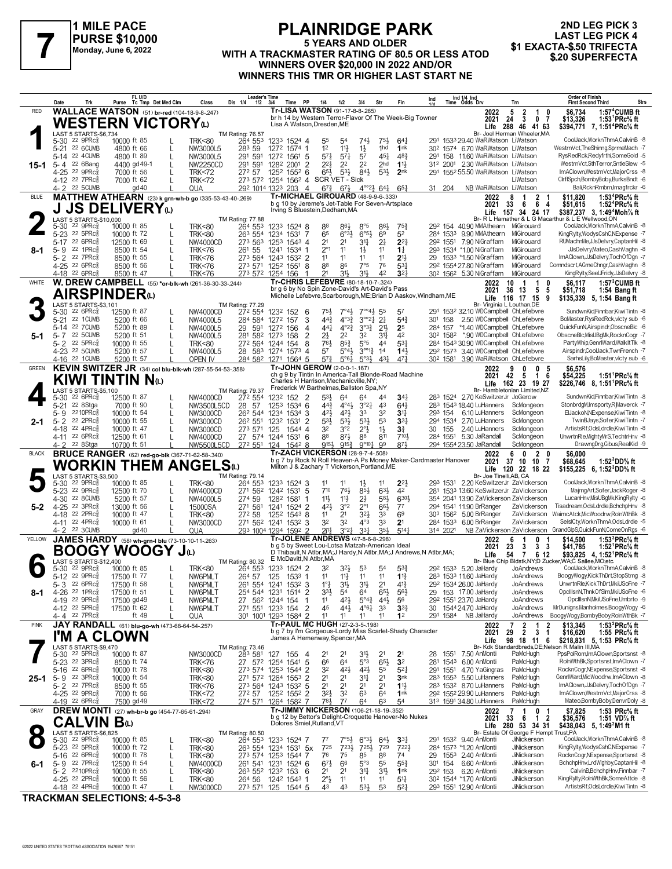

#### **PLAINRIDGE PARK 5 YEARS AND OLDER PURSE \$10,000**<br>WITH A TRACKMASTER RATING OF 80.5 OR LESS ATOD \$1 EXACTA-\$.50 TRIFECTA<br>WITH A TRACKMASTER RATING OF 80.5 OR LESS ATOD \$20 SUPERFECTA **WINNERS OVER \$20,000 IN 2022 AND/OR WINNERS THIS TMR OR HIGHER LAST START NE**

## **2ND LEG PICK 3 LAST LEG PICK 4<br>\$1 EXACTA-\$.50 TRIFECTA**

|              | Date                                               | Trk                                                                 | Purse                      | FL U/D<br>Tc Tmp Det Med Clm                             | Class                                | <b>Leader's Time</b><br>Dis 1/4<br>$1/2$ $3/4$ |                            | Time      | PP                  | 1/4                                                                                | 1/2                                               | 3/4                                        | Str                                                           | Fin                                                      | $\int_{1/\Lambda}$                                                     |                      | Ind 1/4 Ind<br>Time Odds Drv                                                                        | Trn                                                   | <b>Order of Finish</b><br><b>Strs</b><br><b>First Second Third</b>                                                      |
|--------------|----------------------------------------------------|---------------------------------------------------------------------|----------------------------|----------------------------------------------------------|--------------------------------------|------------------------------------------------|----------------------------|-----------|---------------------|------------------------------------------------------------------------------------|---------------------------------------------------|--------------------------------------------|---------------------------------------------------------------|----------------------------------------------------------|------------------------------------------------------------------------|----------------------|-----------------------------------------------------------------------------------------------------|-------------------------------------------------------|-------------------------------------------------------------------------------------------------------------------------|
| RED          |                                                    |                                                                     |                            | <b>WALLACE WATSON</b> (51) br-red (104-18-9-8-247)       |                                      |                                                |                            |           |                     | Tr-LISA WATSON (91-17-8-8-.265)                                                    |                                                   |                                            |                                                               |                                                          |                                                                        |                      | 2022                                                                                                | 5<br>$\overline{2}$<br>$\mathbf{1}$<br>0              | $1:57^4$ CUMB ft<br>\$6,734                                                                                             |
|              |                                                    |                                                                     |                            | WESTERN VICTORYω                                         |                                      |                                                |                            |           |                     | Lisa A Watson, Dresden, ME                                                         |                                                   |                                            |                                                               | br h 14 by Western Terror-Flavor Of The Week-Big Towner  |                                                                        |                      | 2021                                                                                                | 24<br>-3<br>0<br>-7<br>Life 288 46 41 63              | 1:53 <sup>1</sup> PRc <sup>5</sup> / <sub>8</sub> ft<br>\$13,326<br>\$394,771 7, 1:51 <sup>4</sup> PRc% ft              |
|              |                                                    | LAST 5 STARTS-\$6,734                                               |                            |                                                          |                                      | TM Rating: 76.57                               |                            |           |                     |                                                                                    |                                                   |                                            |                                                               |                                                          |                                                                        |                      |                                                                                                     | Br- Joel Herman Wheeler, MA                           | CoolJack, WorknThmA, CalvinB -8                                                                                         |
|              | 5-30                                               | $22$ 9PR $c_{8}$<br>5-21 22 6CUMB                                   | 10000 ft 85<br>4800 ft 66  |                                                          | <b>TRK&lt;80</b><br>NW3000L5         | 264 553<br>283 59                              | 1233 1524 4<br>1272 1574 1 |           |                     | 55<br>1 <sup>2</sup>                                                               | 54<br>$11\frac{1}{2}$                             | $74\frac{1}{2}$<br>$1\frac{1}{2}$          | 75}<br>1hd                                                    | 64 <sup>1</sup><br>1nk                                   |                                                                        |                      | 291 1533 29.40 WaRWatson LiWatson<br>30 <sup>2</sup> 1574 6.70 WaRWatson LiWatson                   |                                                       | WestrnVct, The Shinng, SprmeMach -7                                                                                     |
|              |                                                    | 5-14 22 4CUMB                                                       | 4800 ft 89                 | L                                                        | NW3000L5                             | 291 591                                        | 1272 1561 5                |           |                     | $57\frac{1}{4}$                                                                    | $5^{7}$ <sup>1</sup>                              | 57                                         | 451                                                           | 48 <sup>3</sup>                                          | 291                                                                    |                      | 158 11.60 WaRWatson LiWatson                                                                        |                                                       | RysRedRck,Redyfrthl,SomeGold -5                                                                                         |
| 15-1         | 5-4 22 6Bang                                       | 4-25 22 9PRc <sup>5</sup>                                           | 4400 gd 49-1<br>7000 ft 56 | L                                                        | NW2250CD<br><b>TRK&lt;72</b>         | 291 591<br>272 57                              | 1282 2001<br>1252          | $155^2$ 6 | $\overline{2}$      | 221<br>$65\frac{1}{2}$                                                             | 2 <sup>2</sup><br>$5^{3}$                         | 2 <sup>2</sup><br>84}                      | 2 <sub>hd</sub><br>$5^{3}$                                    | $11\frac{1}{2}$<br>2 <sub>nk</sub>                       |                                                                        |                      | 312 2001 2.30 WaRWatson LiWatson<br>291 1552 55.50 WaRWatson LiWatson                               |                                                       | WestrnVct,SthTerror,SntleSlew -5<br>ImAClown, Westrn Vct, MajorCrss -8                                                  |
|              |                                                    | 4-12 22 7PRc <sup>3</sup>                                           | 7000 ft 62                 |                                                          | <b>TRK&lt;72</b>                     | 273 572 1254 1562 4 SCR VET - Sick             |                            |           |                     |                                                                                    |                                                   |                                            |                                                               |                                                          |                                                                        |                      |                                                                                                     | LiWatson                                              | CirfiSpch,BombyBoby,BurksBndt -6                                                                                        |
|              | 4- 2                                               | 22 5 CUMB                                                           |                            | gd 40                                                    | QUA                                  | 292 1014 1323 203                              |                            |           | $\overline{4}$      | $6^{7\frac{3}{4}}$<br>Tr-MICHAEL GIROUARD (48-9-9-6-.333)                          | $6^{7}\frac{1}{2}$                                |                                            | $4^{\circ}2^{\frac{1}{2}}$ 64 <sup>1</sup>                    | $65\frac{1}{4}$                                          | 31 204                                                                 |                      | NB WaRWatson LiWatson                                                                               |                                                       | Bali, RcknRmbrn, Imagfrckr - 6                                                                                          |
| <b>BLUE</b>  |                                                    |                                                                     |                            | MATTHEW ATHEARN (23) k grn-wh-b go (335-53-43-40-.269)   |                                      |                                                |                            |           |                     |                                                                                    |                                                   |                                            |                                                               | b q 10 by Jereme's Jet-Table For Seven-Artsplace         |                                                                        |                      | 2022<br>2021                                                                                        | 8<br>2<br>33<br>6<br>6<br>4                           | 1:53 <sup>4</sup> PRc% ft<br>\$11,820<br>1:52 <sup>4</sup> PRc <sup>5</sup> / <sub>8</sub> ft<br>\$51,615               |
|              |                                                    | LAST 5 STARTS-\$10,000                                              |                            | <b>JS DELIVERY</b> <sub>(1)</sub>                        |                                      | <b>TM Rating: 77.88</b>                        |                            |           |                     | Irving S Bluestein, Dedham, MA                                                     |                                                   |                                            |                                                               |                                                          |                                                                        |                      | Life                                                                                                | 157 34<br>24 17                                       | \$387,237 3, 1:49 <sup>4</sup> Moh <sup>7</sup> / <sub>8</sub> ft<br>Br- R L Hamather & L G Macarthur & L E Wellwood.ON |
|              | 5-30                                               | $22$ 9PR $c_{8}^5$                                                  | 10000 ft 85                |                                                          | <b>TRK&lt;80</b>                     | 264 553                                        | 1233 1524 8                |           |                     | 88                                                                                 | 861                                               | 8°5                                        | 86}                                                           | $75\frac{3}{4}$                                          |                                                                        |                      | 292 154 40.90 MMAthearn MiGirouard                                                                  |                                                       | CoolJack.WorknThmA.CalvinB -8                                                                                           |
|              | $5 - 23$                                           | $22$ 5PR $c_{8}$<br>22 6PRc3                                        | 10000 ft 72                |                                                          | <b>TRK&lt;80</b>                     | 263 554<br>273 563                             | 1234 1531 7                |           |                     | 65<br>21                                                                           | $6^{o3}\frac{1}{2}$<br>2 <sup>1</sup>             | $6^{\circ 5\frac{1}{2}}$<br>34             | 6 <sup>9</sup><br>2 <sup>1</sup>                              | 5 <sup>2</sup><br>$2^{2}$                                |                                                                        |                      | 284 1533 9.90 MMAthearn<br>292 1551 7.90 NiGraffam                                                  | MiGirouard<br>MiGirouard                              | KingRvltv.WodvsCshC.NExpense -7<br>RUMachnMe.JJsDelvrv.CaptanHil -8                                                     |
| 8-1          | 5-17<br>5-9                                        | 22 1PRc3                                                            | 12500 ft 69<br>8500 ft 54  |                                                          | NW4000CD<br><b>TRK&lt;76</b>         | 261 55                                         | 1253 1543 4<br>1241 1534 1 |           |                     | $2^{\circ}1$                                                                       | 11                                                | $1\frac{1}{2}$                             | 11                                                            | $1\frac{1}{4}$                                           |                                                                        |                      | 293 1534 *1.00 NiGraffam                                                                            | MiGirouard                                            | JJsDelvry,Mateo,CashVaghn -8                                                                                            |
|              | $5 - 2$                                            | 22 7PRc3                                                            | 8500 ft 55                 |                                                          | <b>TRK&lt;76</b>                     | 273 564 1243 1532 2                            |                            |           |                     | 11                                                                                 | 11                                                | 11                                         | 11                                                            | 213                                                      |                                                                        |                      | 29 1533 *1.50 NiGraffam                                                                             | MiGirouard                                            | ImAClown,JJsDelvry,TochOfDgn -7                                                                                         |
|              |                                                    | 4-25 <sup>22</sup> 6PRc3<br>4-18 <sup>22</sup> 6PRc                 | 8500 ft 56<br>8500 ft 47   |                                                          | <b>TRK&lt;76</b><br><b>TRK&lt;76</b> | 273 571<br>273 572                             | 1252 1551 8<br>1254 156    |           | -1                  | 88<br>21                                                                           | 86<br>31}                                         | 7°5<br>31}                                 | 76<br>42                                                      | $5^{3}$<br>3 <sup>2</sup>                                |                                                                        |                      | 292 1554 27.80 NiGraffam<br>30 <sup>2</sup> 156 <sup>2</sup> 5.30 NiGraffam                         | MiGirouard<br>MiGirouard                              | Comndscrt, AGmeChngr, CashVaghn -8<br>KingRylty,SeeUFridy,JJsDelvry -8                                                  |
| WHITE        |                                                    |                                                                     |                            | W. DREW CAMPBELL (55) *or-blk-wh (261-36-30-33-.244)     |                                      |                                                |                            |           |                     | Tr-CHRIS LEFEBVRE (80-18-10-7-.324)                                                |                                                   |                                            |                                                               |                                                          |                                                                        |                      | 2022                                                                                                | 10<br>1<br>0                                          | \$6.117<br>$1:573$ CUMB ft                                                                                              |
|              |                                                    | <b>AIRSPINDER</b> <sup>(L)</sup>                                    |                            |                                                          |                                      |                                                |                            |           |                     | br g 6 by No Spin Zone-David's Art-David's Pass                                    |                                                   |                                            |                                                               |                                                          | Michelle Lefebvre, Scarborough, ME; Brian D Aaskov, Windham, ME        |                      | 2021                                                                                                | 13<br>5<br>5<br>36<br>Life 116 17 15<br>9             | \$51,718<br>1:54 Bang ft<br>\$135,339 5, 1:54 Bang ft                                                                   |
|              |                                                    | LAST 5 STARTS-\$3,101                                               |                            |                                                          |                                      | TM Rating: 77.29                               |                            |           |                     |                                                                                    |                                                   |                                            |                                                               |                                                          |                                                                        |                      | Br- Virginia L Louthan.DE                                                                           |                                                       | SundwnKid.Finnbar.KiwiTintn -8                                                                                          |
|              | 5-30<br>5-21                                       | $226$ PRc $\frac{5}{8}$<br>22 1CUMB                                 | 12500 ft 87<br>5200 ft 66  | L                                                        | NW4000CD<br>NW4000L5                 | 272 554<br>284 584                             | 1232 152<br>1272 157       |           | -6<br>3             | 75}<br>$44\frac{3}{4}$                                                             | $7^\circ 4\frac{1}{2}$<br>$4^{\circ}3\frac{3}{2}$ | $7^{\circ}$ <sup>4</sup> }<br>$3^{o_2}2^1$ | 55<br>2 <sup>1</sup>                                          | 57<br>$5^{4}$                                            | 301 158                                                                |                      | 291 1532 32.10 WDCampbell ChLefebvre<br>2.50 WDCampbell ChLefebvre                                  |                                                       | BoMaster, RysRedRck, vlcty sub -6                                                                                       |
|              | 5-14                                               | 22 7 CUMB                                                           | 5200 ft 89                 |                                                          | NW4000L5                             | 29 591                                         | 1272 156                   |           | 4                   | 441                                                                                | $4^{\circ}2^{\frac{3}{2}}$                        | $3^{03}\frac{3}{4}$                        | 2 <sup>1</sup>                                                | 2 <sup>5</sup>                                           | 284 157                                                                |                      | *1.40 WDCampbell ChLefebvre                                                                         |                                                       | QuickFunN,Airspindr,ObscneBlc -6                                                                                        |
| 5-1          |                                                    | 5-7 22 5 CUMB<br>5-2 22 5PRc <sup>5</sup>                           | 5200 ft 51<br>10000 ft 55  |                                                          | NW4000L5<br><b>TRK&lt;80</b>         | 281 582 1273 158<br>272 564 1244 154           |                            |           | $\overline{2}$<br>8 | 21<br>761                                                                          | 2 <sup>2</sup><br>$85\frac{3}{4}$                 | 32<br>$5^{\circ}5$                         | $31\frac{1}{4}$<br>44                                         | 42<br>531                                                |                                                                        |                      | 30 <sup>2</sup> 158 <sup>2</sup> *.90 WDCampbell ChLefebvre<br>284 1543 30.90 WDCampbell ChLefebvre |                                                       | ObscneBlc.MisUBqMk.RocknCogr -7<br>PartyWhip,GenrlWard,WalkItTlk -8                                                     |
|              |                                                    | 4-23 22 5CUMB                                                       | 5200 ft 57                 |                                                          | NW4000L5                             | 28 583 1274 1573 4                             |                            |           |                     | 57                                                                                 | 5°43,                                             | $3^{0012}$                                 | 1 <sup>4</sup>                                                | 143                                                      |                                                                        |                      | 292 1573 3.40 WDCampbell ChLefebvre                                                                 |                                                       | Airspindr.CoolJack.TwnFrench -7                                                                                         |
| <b>GREEN</b> |                                                    | 4-16 22 1 CUMB                                                      | 5200 ft 57                 | KEVIN SWITZER JR (34) col blu-blk-wh (287-55-54-53-.358) | OPEN IV                              | 284 582 1271 1564 5                            |                            |           |                     | $5^{7}$<br>Tr-JOHN GEROW (2-0-0-1-.167)                                            | $5^{\circ}6\frac{1}{4}$                           | $5°3\frac{1}{2}$                           | 431                                                           | 471                                                      |                                                                        |                      | 30 <sup>2</sup> 158 <sup>1</sup> 3.90 WaRWatson ChLefebvre                                          | 0<br>5                                                | SarhsLilv.BoMaster.vlctv sub -6                                                                                         |
|              |                                                    | KIWI TINTIN Nω                                                      |                            |                                                          |                                      |                                                |                            |           |                     |                                                                                    |                                                   |                                            |                                                               | ch q 9 by Tintin In America-Tall Blonde-Road Machine     |                                                                        |                      | 2022<br>2021                                                                                        | 9<br>0<br>42<br>5<br>$\mathbf{1}$<br>6                | \$6,576<br>\$54,225<br>1:51 PRc% ft                                                                                     |
|              |                                                    | LAST 5 STARTS-\$5,100                                               |                            |                                                          |                                      | TM Rating: 79.37                               |                            |           |                     | Charles H Harrison, Mechanicville, NY;<br>Frederick W Barthelmas, Ballston Spa, NY |                                                   |                                            |                                                               |                                                          |                                                                        |                      | Life                                                                                                | 162 23 19 27<br>Br- Hambletonian Limited.NZ           | \$226,746 8, 1:51 <sup>1</sup> PRc <sup>5</sup> / <sub>8</sub> ft                                                       |
|              | 5-30                                               | $226$ PRc $\frac{5}{8}$                                             | 12500 ft 87                |                                                          | NW4000CD                             | 272 554                                        | 1232 152 2                 |           |                     | 53}                                                                                | 64                                                | 64                                         | 44                                                            | 34 <sub>1</sub>                                          |                                                                        |                      | 283 1524 2.70 KeSwitzerJr JoGerow                                                                   |                                                       | SundwnKid,Finnbar,KiwiTintn -8                                                                                          |
|              | 5-21<br>5- 9                                       | 22 8Stga<br>2210PRc                                                 | 7000 ft 90<br>10000 ft 54  | L                                                        | NW3500L5CD<br>NW3000CD               | 28 57<br>26 <sup>2</sup> 544                   | 1253 1534 6<br>1234 1534 3 |           |                     | $44\frac{3}{4}$<br>423                                                             | $4^{\circ}4\frac{1}{2}$<br>$42\frac{1}{2}$        | $3^{°2}\frac{1}{4}$<br>3 <sup>3</sup>      | 4 <sup>3</sup><br>32                                          | $64\frac{1}{2}$<br>3 <sup>11</sup>                       | 293 154                                                                |                      | 283 1543 18.40 LuHanners<br>6.10 LuHanners                                                          | ScMongeon<br>ScMongeon                                | StonbrdgM.Imsportv.RiMaverck -7<br>ElJackoN, NExpense, KiwiTintn -8                                                     |
| 2-1          | $5 - 2$                                            | 22 2PRc3                                                            | 10000 ft 55                |                                                          | NW3000CD                             | 26 <sup>2</sup> 551                            | 1232 1531                  |           | $\overline{2}$      | $5^{31}$                                                                           | 53}                                               | $5^{31}$                                   | 53                                                            | 3 <sup>3</sup>                                           |                                                                        |                      | 294 1534 2.70 LuHanners                                                                             | ScMongeon                                             | TwinBJays,Sofer,KiwiTintn -7                                                                                            |
|              | 4-18                                               | 22 4PRc3<br>4-11 22 6PRc                                            | 10000 ft 47<br>12500 ft 61 |                                                          | NW3000CD<br>NW4000CD                 | 273 571<br>27 574 1244 1531 6                  | 125                        | $1544$ 4  |                     | 32<br>88                                                                           | 3°2<br>873                                        | $2^{\circ}$<br>88                          | $1\frac{1}{2}$<br>811                                         | 3 <sup>3</sup><br>7104                                   | 30 155                                                                 |                      | 2.40 LuHanners<br>284 1551 5.30 JaRandall                                                           | ScMongeon<br>ScMongeon                                | ArtistsRf, OdsLdrdle, KiwiTintn -8<br>UnwrtnRle, Mighty MrS, TechtrHnv -8                                               |
|              | $4 - 2$                                            | 22 8Stga                                                            | 10700 ft 51                |                                                          | NW5500L5CD                           | 272 551 124                                    |                            | $154^2$ 8 |                     | 9154                                                                               | 9153                                              | $9^{\circ}10^{\frac{1}{2}}$                | .99                                                           | $8^{7\frac{1}{2}}$                                       |                                                                        |                      | 294 1554 23.50 JaRandall                                                                            | ScMongeon                                             | DrawngDrg,Gibus,RealKid -9                                                                                              |
| <b>BLACK</b> |                                                    |                                                                     |                            | <b>BRUCE RANGER</b> (62) red-go-blk (367-71-62-58-.340)  |                                      |                                                |                            |           |                     | <b>Tr-ZACH VICKERSON (28-9-7-4-.508)</b>                                           |                                                   |                                            |                                                               |                                                          | b g 7 by Rock N Roll Heaven-A Ps Money Maker-Cardmaster Hanover        |                      | 2022<br>2021                                                                                        | 0<br>$\overline{2}$<br>6<br>0<br>37<br>10<br>10<br>-7 | \$6.000<br>1:52 ${}^{3}$ DD% ft<br>\$68,645                                                                             |
|              |                                                    |                                                                     |                            | WORKIN THEM ANGELS $\omega$                              |                                      |                                                |                            |           |                     | Milton J & Zachary T Vickerson, Portland, ME                                       |                                                   |                                            |                                                               |                                                          |                                                                        |                      |                                                                                                     | Life 120 22 18 22                                     | \$155,225 6, 1:52 DD% ft                                                                                                |
|              | 5-30                                               | LAST 5 STARTS-\$3,500<br>$22$ 9PR $c_{8}^5$                         | 10000 ft 85                |                                                          | <b>TRK&lt;80</b>                     | TM Rating: 79.14<br>264 553                    | 1233 1524 3                |           |                     | 11                                                                                 | 11                                                | $1\frac{1}{2}$                             | 11                                                            | $2^{2}$                                                  |                                                                        |                      | Br- Joe Tinelli, AB, CA<br>293 1531 2.20 KeSwitzerJr ZaVickerson                                    |                                                       | CoolJack, WorknThmA, CalvinB -8                                                                                         |
|              |                                                    | 5-23 <sup>22</sup> 9PRc <sup>5</sup>                                | 12500 ft 70                |                                                          | NW4000CD                             | 271 562                                        | 1242 1531 5                |           |                     | $7^{10}$                                                                           | 76}                                               | $85\frac{1}{2}$                            | $63\frac{1}{2}$                                               | 4 <sup>2</sup>                                           |                                                                        |                      | 281 1533 13.60 KeSwitzerJr ZaVickerson                                                              |                                                       | MajrngArt,Sofer,JackRoger -8                                                                                            |
| $5-2$        | 4-30<br>4-25 22 3PRcs                              | 22 8CUMB                                                            | 5200 ft 57<br>13000 ft 56  | L                                                        | NW4000L5<br>15000SA                  | 274 59<br>271 561                              | 1282 1581<br>1241          | 1524 2    | -1                  | 11}<br>42}                                                                         | $11\frac{1}{2}$<br>3°2                            | $2\frac{1}{2}$<br>$2^{\circ}1$             | $5^{8}$<br>66}                                                | 6301<br>$7^7$                                            |                                                                        |                      | 354 2041 13.90 ZaVickerson ZaVickerson<br>294 1541 11.90 BrRanger                                   | ZaVickerson                                           | LucanHnv, MisUBgMk, King Rylty -6<br>Tisadream, OdsLdrdle, BchchpHnv -8                                                 |
|              |                                                    | 4-18 22 2PRc                                                        | 10000 ft 47                | L                                                        | <b>TRK&lt;80</b>                     | 272 58                                         | 1252 1543 8                |           |                     | 11                                                                                 | 2 <sup>1</sup>                                    | 32}                                        | 33                                                            | 69                                                       |                                                                        |                      | 303 1562 5.00 BrRanger                                                                              | ZaVickerson                                           | WaimcAtck, MicWoodrw, RolnWthBk -8                                                                                      |
|              | 4-11                                               | $22$ 4PR $c_{8}^{5}$<br>4-2 22 3CUMB                                | 10000 ft 61                | gd 40                                                    | NW3000CD<br>QUA                      | 271 562 1241 1532 3<br>293 1004 1294 1592 2    |                            |           |                     | 32<br>2i1]                                                                         | 32<br>$3^{o}2^{1}$                                | $4^{\circ}3$<br>3 <sup>31</sup>            | 33<br>35}                                                     | 2 <sup>1</sup><br>$5^{14}$                               |                                                                        | 284 1533<br>314 2021 | 6.00 BrRanger<br>NB ZaVickerson ZaVickerson                                                         | ZaVickerson                                           | SelslCty,WorknThmA,OdsLdrdle -5<br>GrandGlpS,QuickFunN,ComeOnRgs -6                                                     |
| YELLOW       |                                                    |                                                                     |                            | JAMES HARDY (58) wh-grn-I blu (73-10-10-11-.263)         |                                      |                                                |                            |           |                     | Tr-JOLENE ANDREWS (47-8-6-8-298)                                                   |                                                   |                                            |                                                               |                                                          |                                                                        |                      | 2022                                                                                                | 0<br>6                                                | 1:53 ${}^{3}$ PRc ${}^{5}$ ft<br>\$14,500                                                                               |
|              |                                                    |                                                                     |                            | <b>BOOGY WOOGY J</b> ω                                   |                                      |                                                |                            |           |                     | b g 5 by Sweet Lou-Lotsa Matzah-American Ideal                                     |                                                   |                                            |                                                               |                                                          | D Thibault, N Atlbr, MA; J Hardy, N Atlbr, MA; J Andrews, N Atlbr, MA; |                      | 2021<br>Life                                                                                        | 3<br>23<br>3<br>3<br>54<br>7<br>6 12                  | \$41,785<br>1:52 ${}^1$ PRc% ft<br>\$93,825 4, 1:52 <sup>1</sup> PRc <sup>5</sup> / <sub>8</sub> ft                     |
|              |                                                    | LAST 5 STARTS-\$12,400                                              |                            |                                                          |                                      | TM Rating: 80.32                               |                            |           |                     | E McDavitt, N Atlbr, MA                                                            |                                                   |                                            |                                                               |                                                          |                                                                        |                      |                                                                                                     |                                                       | Br- Blue Chip Bldstk, NY; D Zucker, WA; C Sallee, MO; etc.                                                              |
|              |                                                    | 5-30 22 9PRc <sup>5</sup><br>5-12 22 9PRc <sup>5</sup>              | 10000 ft 85<br>17500 ft 77 |                                                          | <b>TRK&lt;80</b><br>NW6PMLT          | 264 553<br>264 57                              | 1233 1524 2<br>125 1533 1  |           |                     | 32<br>11                                                                           | 32}<br>$11\frac{1}{2}$                            | 53<br>11                                   | 5 <sup>4</sup><br>11                                          | $5^{3}$<br>$1^{13}$                                      |                                                                        |                      | 292 1533 5.20 JaHardv<br>283 1533 11.60 JaHardy                                                     | JoAndrews<br>JoAndrews                                | CoolJack, WorknThmA, CalvinB -8<br>BoogyWogy,KickThDrt,StopStrng -8                                                     |
|              |                                                    | 5-3 22 6PRcs                                                        | 17500 ft 58                | L                                                        | NW6PMLT                              | 261 554 1241 1532 3                            |                            |           |                     | $1^\circ \frac{1}{2}$                                                              |                                                   | 31}                                        | 2 <sup>1</sup>                                                | $4^{14}$                                                 |                                                                        |                      | 292 1534 26.00 JaHardy                                                                              | JoAndrews                                             | UnwrtnRle,KickThDrt,MkiUSoFne -7                                                                                        |
| 8-1          |                                                    | 4-26 22 1PRc <sup>5</sup><br>4-19 22 9PRc                           | 17500 ft 51<br>17500 gd 49 | L<br>$\mathbf{L}$                                        | NW6PMLT<br>NW6PMLT                   | 254 544 1231 1514 2<br>27 562 1244 154         |                            |           | $\mathbf{1}$        | 3 <sup>3</sup><br>11                                                               | 5 <sup>4</sup><br>42}                             | 64                                         | $65\frac{1}{2}$<br>$5^{\circ}4^{\frac{3}{4}}$ 44 <sup>1</sup> | $56\frac{1}{2}$<br>56                                    |                                                                        |                      | 29 153 17.00 JaHardy<br>292 1551 23.70 JaHardy                                                      | JoAndrews<br>JoAndrews                                | OpcIIIsnN,ThnkOfSIm,MkiUSoFne -6<br>OpcIIIsnN, MkiUSoFne, Umbrto -9                                                     |
|              |                                                    | 4-12 <sup>22</sup> 5PRc <sup>3</sup>                                | 17500 ft 62                |                                                          | NW6PMLT                              | 271 551 1233 154                               |                            |           | $\overline{2}$      | 45                                                                                 | $44\frac{1}{2}$                                   | $4^{\circ}6\frac{1}{4}$                    | 3 <sup>3</sup>                                                | $3^{3}{}_{4}$                                            |                                                                        |                      | 30 1544 24.70 JaHardy                                                                               | JoAndrews                                             | MrDunigns, Manholmes, Boogy Wogy -6                                                                                     |
| <b>PINK</b>  |                                                    | 4-4 22 7PRc                                                         |                            | ft 49<br>JAY RANDALL (61) blu-go-wh (473-68-64-54-257)   | QUA                                  | 301 1001 1293 1584 2                           |                            |           |                     | 11<br>Tr-PAUL MC HUGH (27-2-3-5-198)                                               | 11                                                | 11                                         | 11                                                            | 1 <sup>2</sup>                                           |                                                                        |                      | 291 1584 NB JaHardy<br>2022                                                                         | JoAndrews<br>$\overline{\mathbf{2}}$<br>2<br>1        | BoogyWogy,BombyBoby,RolnWthBk -7<br>\$13,345<br>1:53 ${}^{2}$ PRc ${}^{5}_{8}$ ft                                       |
|              |                                                    | I'M A CLOWN                                                         |                            |                                                          |                                      |                                                |                            |           |                     |                                                                                    |                                                   |                                            |                                                               | b g 7 by I'm Gorgeous-Lordy Miss Scarlet-Shady Character |                                                                        |                      | 2021                                                                                                | $\overline{2}$<br>3<br>29<br>1                        | 1:55 PRc% ft<br>\$16,620                                                                                                |
|              |                                                    | LAST 5 STARTS-\$9,470                                               |                            |                                                          |                                      | TM Rating: 73.46                               |                            |           |                     | James A Hemenway, Spencer, MA                                                      |                                                   |                                            |                                                               |                                                          |                                                                        |                      | Life                                                                                                | 98 18 11<br>6                                         | \$218,831 5, 1:53 PRc% ft<br>Br- Kdk Standardbreds, DE; Nelson R Malin III, MA                                          |
|              |                                                    | 5-30 22 5PRc <sup>5</sup>                                           | 10000 ft 87                |                                                          | NW3000CD                             | 283 581                                        | 127 155                    |           | -4                  | 21                                                                                 | 2 <sup>1</sup>                                    | 3 <sup>1</sup>                             | 21                                                            | 2 <sup>1</sup>                                           |                                                                        |                      | 28 1551 7.50 AnMonti                                                                                | PaMcHugh                                              | PpsPolRom,ImAClown,Sportsnst -8                                                                                         |
|              |                                                    | 5-23 <sup>22</sup> 3PRc <sup>3</sup><br>5-16 22 6PRc <sup>5</sup>   | 8500 ft 74<br>10000 ft 78  |                                                          | <b>TRK&lt;76</b><br><b>TRK&lt;80</b> | 27 572 1254 1541 5<br>273 574 1253 1544 2      |                            |           |                     | 66<br>32                                                                           | 6 <sup>4</sup><br>$4^{2}\frac{1}{2}$              | 5°3<br>$4^{2}\frac{1}{2}$                  | $65\frac{1}{2}$<br>55                                         | 3 <sup>2</sup><br>$5^{2}$                                |                                                                        |                      | 281 1543 6.00 AnMonti<br>291 1551 4.70 YaGingras                                                    | PaMcHugh<br>PaMcHugh                                  | RolnWthBk,Sportsnst,ImAClown -7<br>RocknCogr,NExpense,Sportsnst -8                                                      |
|              | 25-1 5-9 $22 \text{ } 3 \text{ } \text{ } PBC_8^5$ |                                                                     | 10000 ft 54                |                                                          | <b>TRK&lt;80</b>                     | 271 572 1264 1553 2                            |                            |           |                     | 21                                                                                 | 2 <sup>1</sup>                                    | 34                                         | 2 <sup>1</sup>                                                | 3 <sub>nk</sub>                                          |                                                                        |                      | 283 1553 5.50 LuHanners                                                                             | PaMcHugh                                              | GenrlWard, MicWoodrw, ImAClown -8                                                                                       |
|              |                                                    | 5-2 $22$ 7PRc $\frac{5}{8}$<br>4-25 <sup>22</sup> 9PRc <sup>5</sup> | 8500 ft 55<br>7000 ft 56   |                                                          | <b>TRK&lt;76</b>                     | 273 564 1243 1532 5<br>272 57                  | 1252 1552 2                |           |                     | 2 <sup>1</sup><br>32}                                                              | 2 <sup>1</sup><br>32                              | 2 <sup>1</sup><br>6 <sup>3</sup>           | 2 <sup>1</sup><br>64                                          | $11\frac{1}{2}$<br>1nk                                   |                                                                        |                      | 283 1532 8.70 LuHanners<br>292 1552 29.90 LuHanners                                                 | PaMcHugh<br>PaMcHugh                                  | ImAClown,JJsDelvry,TochOfDgn -7<br>ImAClown, WestmVct, MajorCrss -8                                                     |
|              |                                                    | 4-19 22 6PRc                                                        | 7500 gd 49                 |                                                          | TRK<72<br><b>TRK&lt;72</b>           | 274 571                                        | 1264 1582 7                |           |                     | 781,                                                                               | 77                                                | 64                                         | 63                                                            | 5 <sup>4</sup>                                           |                                                                        |                      | 313 1591 34.80 LuHanners                                                                            | PaMcHugh                                              | Mateo,BombyBoby,DenvrDoly -8                                                                                            |
| GRAY         |                                                    |                                                                     |                            | DREW MONTI (27) wh-br-b go (454-77-65-61-.294)           |                                      |                                                |                            |           |                     | Tr-JIMMY NICKERSON (106-21-18-19-.352)                                             |                                                   |                                            |                                                               |                                                          |                                                                        |                      | 2022                                                                                                | 0<br>-1<br>-1                                         | 1:53 PRc% ft<br>\$7,825                                                                                                 |
|              |                                                    | <b>CALVIN Bas</b>                                                   |                            |                                                          |                                      |                                                |                            |           |                     | Dolores Smiel, Rutland, VT                                                         |                                                   |                                            |                                                               | b g 12 by Bettor's Delight-Croquette Hanover-No Nukes    |                                                                        |                      | 2021                                                                                                | 33<br>$\overline{1}$<br>- 6<br>2<br>Life 280 53 34 31 | 1:51 VD% ft<br>\$36,576<br>\$438,043 5, 1:49 <sup>2</sup> M1 ft                                                         |
|              |                                                    | LAST 5 STARTS-\$6,825<br>5-30 <sup>22</sup> 9PRc <sup>5</sup>       | 10000 ft 85                |                                                          | <b>TRK&lt;80</b>                     | TM Rating: 80.50<br>264 553                    | 1233 1524 7                |           |                     | 77                                                                                 | $7°5\frac{1}{2}$                                  | $6^{o_{31}}$                               | $64\frac{1}{2}$                                               | 3 <sup>31</sup>                                          |                                                                        |                      | 291 1532 9.40 AnMonti                                                                               | Br- Estate Of George F Hempt Trust, PA<br>JiNickerson | CoolJack, WorknThmA, CalvinB -8                                                                                         |
|              |                                                    | 5-23 <sup>22</sup> 5PRc <sup>3</sup>                                | 10000 ft 72                | L                                                        | <b>TRK&lt;80</b>                     | 263 554 1234 1531 5x                           |                            |           |                     | 725                                                                                | 7231                                              | $725\frac{1}{2}$                           | 729                                                           | 722}                                                     |                                                                        |                      | 284 1573 *1.20 AnMonti                                                                              | JiNickerson                                           | KingRylty, WodysCshC, NExpense -7                                                                                       |
|              |                                                    | 5-16 22 6PRc <sup>5</sup>                                           | 10000 ft 78                | L                                                        | <b>TRK&lt;80</b>                     | 273 574 1253 1544 7                            |                            |           |                     | 76                                                                                 | 75                                                | 85                                         | 88                                                            | 7 <sup>4</sup>                                           |                                                                        |                      | 29 1553 2.40 AnMonti                                                                                | JiNickerson<br>JiNickerson                            | RocknCogr, NExpense, Sportsnst -8<br>BchchpHnv,LrdWlghby,CaptanHil -8                                                   |
| 6-1          | 5-9 22 7PRc <sup>5</sup>                           | 5-2 2210PRc                                                         | 12500 ft 54<br>10000 ft 55 | L                                                        | NW4000CD<br><b>TRK&lt;80</b>         | 261 541 1231 1524 6<br>263 552 1232 153        |                            |           | 6                   | $6^{7}\frac{1}{2}$<br>2 <sup>1</sup>                                               | 66<br>2 <sup>1</sup>                              | $5^{\circ}3$<br>34                         | 55<br>3 <sup>1</sup>                                          | $55\frac{3}{4}$<br>1 <sub>nk</sub>                       | 301 154<br>292 153                                                     |                      | 6.60 AnMonti<br>6.20 AnMonti                                                                        | JiNickerson                                           | CalvinB,BchchpHnv,Finnbar -7                                                                                            |
|              |                                                    | 4-25 22 2PRc <sup>5</sup>                                           | 10000 ft 56                |                                                          | <b>TRK&lt;80</b>                     | 264 56                                         | 1242 1543 1                |           |                     | $2^{\circ}$                                                                        | 11                                                | 11                                         | 11                                                            | $5^{11}$                                                 |                                                                        |                      | 302 1544 *1.70 AnMonti                                                                              | JiNickerson                                           | KingRylty,RolnWthBk,SomeAttde -8                                                                                        |
|              |                                                    | 4-18 <sup>22</sup> 4PRc                                             | 10000 ft 47                |                                                          | NW3000CD                             | 273 571 125                                    |                            | 1544 5    |                     | 43                                                                                 | 43                                                | 53}                                        | 53                                                            | $5^{2}$                                                  |                                                                        |                      | 293 1551 12.90 AnMonti                                                                              | JiNickerson                                           | ArtistsRf, OdsLdrdle, KiwiTintn -8                                                                                      |

**TRACKMAN SELECTIONS: 4-5-3-8**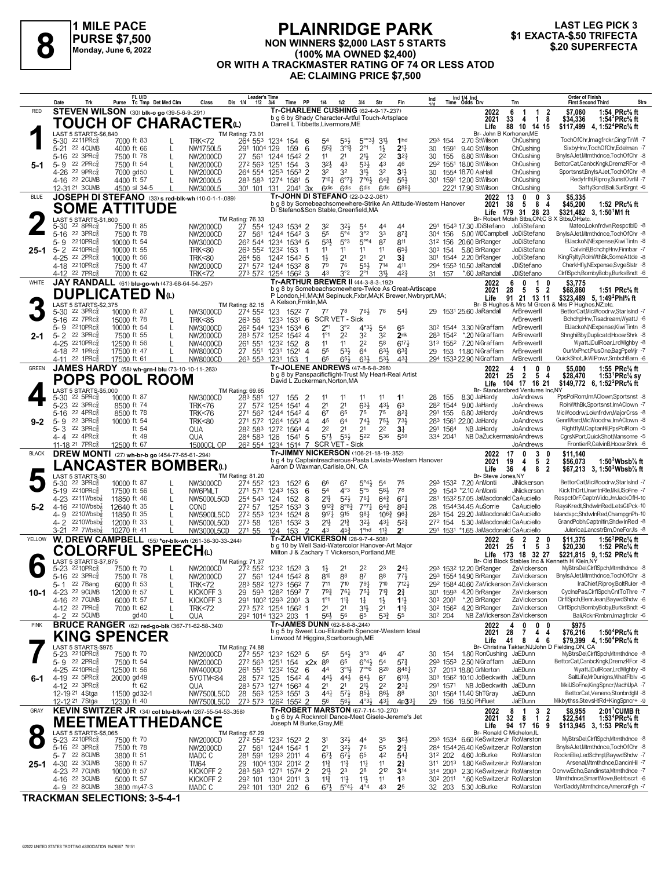

#### **PLAINRIDGE PARK NON WINNERS \$2,000 LAST 5 STARTS (100% MA OWNED \$2,400) OR WITH A TRACKMASTER RATING OF 74 OR LESS ATOD AE: CLAIMING PRICE \$7,500 \$1 EXACTA-\$.50 TRIFECTA 8 \$.20 SUPERFECTA**



| Ind 1/4 Ind<br>Time Odds Drv<br>Tc Tmp Det Med Clm<br>Tr-CHARLENE CUSHING (62-4-9-17-.237)<br><b>STEVEN WILSON</b> (30) blk-o go (39-5-6-9-291)<br>RED<br>2022<br>6<br>-1<br>-1<br>2<br>b g 6 by Shady Character-Artful Touch-Artsplace<br>2021<br>33<br>$\overline{1}$<br>8<br>4<br>TOUCH OF CHARACTER $\omega$<br>Darrell L Tibbetts, Livermore, ME<br>88 10 14 15<br>Life<br>Br- John B Korhonen, ME<br>LAST 5 STARTS-\$6,840<br>TM Rating: 73.01<br>$2211$ PR $c_8^5$<br><b>TRK&lt;72</b><br>264 553<br>$5^{\circ}33}$ $31\frac{1}{2}$<br>1 <sub>hd</sub><br>2.70 StWilson<br>ChCushing<br>5-30<br>7000 ft 83<br>1234 154 6<br>54<br>293 154<br>$55\frac{1}{2}$<br>$3^{012}$<br>$2^{\circ}1$<br>$2^{11}$<br>5-21 22 4CUMB<br>$55\frac{3}{4}$<br>$1\frac{1}{2}$<br>1591<br>9.40 StWilson<br>4000 ft 66<br>NW1750L5<br>291 1004 129<br>159<br>6<br>30<br>ChCushing<br>L<br>22 3PRc3<br>$21\frac{1}{2}$<br>2 <sup>2</sup><br>2 <sup>1</sup><br>$3^{2}3$<br>5-16<br>7500 ft 78<br>NW2000CD<br>27<br>561<br>1244 1542 2<br>11<br>30<br>155<br>6.80 StWilson<br>ChCushing<br>L<br>22 2PRc3<br>32}<br>43<br>7500 ft 54<br>272 563<br>3<br>43<br>533<br>46<br>292 1551 18.00 StWilson<br>ChCushing<br>5-9<br>L<br>NW2000CD<br>1251<br>154<br>5-1<br>4-26 22 9PRcs<br>32<br>32<br>32<br>31}<br>ChCushing<br>7000 gd50<br>264 554<br>1553<br>2<br>31}<br>1554 18.70 AaHall<br>NW2000CD<br>1253<br>30<br>710 <sub>7</sub><br>$7°6\frac{1}{2}$<br>4-16 22 2CUMB<br>4400 ft 57<br>NW2000L5<br>283 583<br>1274 1581<br>$6^{07}\frac{3}{4}$<br>$64\frac{3}{4}$<br>$55\frac{1}{2}$<br>30 <sup>1</sup><br>1591 12.00 StWilson<br>ChCushing<br>-5<br><b>Gdis</b><br>6893<br>12-31 21 3 CUMB<br>4500 sl 34-5<br>301 101 131<br><b>Gdis</b><br>6 <sup>dis</sup><br><b>Gdis</b><br>2221 17.90 StWilson<br>ChCushing<br>NW3000L5<br>204 <sup>1</sup> 3x<br>Tr-JOHN DI STEFANO (22-0-2-2-081)<br>JOSEPH DI STEFANO (33) s red-blk-wh (10-0-1-1-089)<br><b>BLUE</b><br>0<br>3<br>2022<br>13<br>0<br>b g 8 by Somebeachsomewhere-Strike An Attitude-Western Hanover<br>38<br>8<br>$\overline{4}$<br>2021<br>5<br><b>SOME ATTITUDE</b><br>Di Stefano&Son Stable, Greenfield, MA<br>31 28 23<br>Life<br>179<br>LAST 5 STARTS-\$1,800<br>Br- Robert Mctsh Stbs.ON:C S X<br>TM Rating: 76.33<br>27<br>$22$ 8PR $c_{8}$<br>7500 ft 85<br>NW2000CD<br>32<br>3 <sup>2</sup><br>1543 17.30 JDiStefano<br>JoDiStefano<br>5-30<br>554<br>1243 1534 2<br>54<br>44<br>44<br>3°2<br>55<br>$5^{\circ}4$<br>3 <sup>3</sup><br>$8^{7}\frac{3}{4}$<br>22 3PRc3<br>7500 ft 78<br>561<br>1244 1542 3<br>5.00 WDCampbell JoDiStefano<br>5-16<br>NW2000CD<br>27<br>304 156<br>$5^{\circ\circ_4}$<br>$5^{31}$<br>5°3<br>2210PRc<br>87<br>811<br>312 156 20.60 BrRanger<br>JoDiStefano<br>5- 9<br>10000 ft 54<br>NW3000CD<br>26 <sup>2</sup> 544 1234 1534 5<br>2210PRc<br>$65\frac{1}{2}$<br>5.80 BrRanger<br>JoDiStefano<br>$5 - 2$<br>10000 ft 55<br>263 552 1232 153<br>11<br>11<br>11<br>303 154<br><b>TRK&lt;80</b><br>11<br>25-1<br>4-25 22 2PRc<br>2 <sup>1</sup><br>301 1544 2.20 BrRanger<br>JoDiStefano<br>10000 ft 56<br>264 56<br>$1\frac{1}{2}$<br>2 <sup>1</sup><br>2 <sup>1</sup><br>$3\frac{3}{4}$<br><b>TRK&lt;80</b><br>1242 1543 5<br>76<br>4-18 2210PRc<br>7500 ft 47<br><b>NW2000CD</b><br>271 572 1244 1532 8<br>79<br>$55\frac{1}{2}$<br>714<br>411<br>294 1553 10.50 JaRandall<br>JDiStefano<br>43<br>3°2<br>313<br>42}<br>4-12 22 7PRc3<br>273 572 1254 1562 3<br>$2^{\circ}1$<br>31 157<br>*.60 JaRandall<br>JDiStefano<br>7000 ft 62<br><b>TRK&lt;72</b><br>Tr-ARTHUR BREWER II (44-3-8-3-192)<br>JAY RANDALL (61) blu-go-wh (473-68-64-54-.257)<br>WHITE<br>6<br>0<br>$\overline{1}$<br>2022<br>0<br>b g 8 by Somebeachsomewhere-Twice As Great-Artiscape<br>28<br>5 5 2<br>2021<br>DUPLICATED Nധ<br>P London, HI, MA; M Sepinuck, Fxbr, MA; K Brewer, Nwbryprt, MA;<br>91 21 13 11<br>Life<br>A Kelson, Frnkin, MA<br>TM Rating: 82.15<br>Br- B Hughes & Mrs M Green & Mrs P Hughes NZ:etc.<br>LAST 5 STARTS-\$2.375<br>$22$ 3PR $c_{\overline{8}}$<br>NW3000CD<br>274 552<br>1522 7<br>$76\frac{1}{2}$<br>543<br>1531 25.60 JaRandall<br>ArBrewerll<br>$5 - 30$<br>10000 ft 87<br>123<br>$7^7$<br>78<br>76<br>29<br>22 7PRc3<br>263 56<br>1233 1531 6<br><b>SCR VET - Sick</b><br>ArBrewerll<br>5-16<br>15000 ft 78<br>L<br><b>TRK&lt;85</b><br>2210PRc3<br>3°2<br>$4^{\circ}3\frac{1}{2}$<br>65<br>ArBrewerll<br>5-9<br>10000 ft 54<br>L<br>NW3000CD<br>26 <sup>2</sup> 544 1234<br>1534 6<br>$2^{\circ}$ 1<br>30 <sup>2</sup> 1544<br>3.30 NiGraffam<br>5 <sup>4</sup><br>22 3PRc3<br>2 <sup>2</sup><br>32<br>32<br>283 1542 *.20 NiGraffam<br>$5 - 2$<br>7500 ft 55<br>283 572 1252 1542 4<br>$1^{\circ}1$<br>2 <sub>nk</sub><br>ArBrewerll<br>L<br>NW2000CD<br>2-1<br>4-25 2210PRcs<br>2 <sup>2</sup><br>$6^{17}$<br>ArBrewerll<br>12500 ft 56<br>261 551<br>11<br>11<br>58<br>313 1552 7.20 NiGraffam<br>L<br>NW4000CD<br>123 <sup>2</sup> 152 8<br>4-18 22 1PRc<br>17500 ft 47<br>27 551<br>1231 1521<br>55<br>$5^{3}\frac{1}{2}$<br>64<br>$63\frac{1}{2}$<br>$63\frac{3}{4}$<br>29<br>153 11.80 NiGraffam<br>ArBrewerll<br>NW8000CD<br>-4<br>65<br>4-11 22 1PRc3<br>263 553 1231<br>$65\frac{1}{2}$<br>63}<br>53}<br>431<br>294 1533 22.90 NiGraffam<br>17500 ft 61<br>NW8000CD<br>153<br>$\overline{1}$<br>ArBrewerll<br>Tr-JOLENE ANDREWS (47-8-6-8-298)<br>JAMES HARDY (58) wh-grn-I blu (73-10-10-11-.263)<br><b>GREEN</b><br>0<br>2022<br>4<br>-1<br>0<br>b q 8 by Panspacificflight-Trust My Heart-Real Artist<br>2021<br>25<br>2 5 4<br><b>POPS POOL ROOM</b><br>David L Zuckerman, Norton, MA<br>Life<br>104 17 16 21<br>LAST 5 STARTS-\$5,000<br>Br- Standardbred Ventures Inc,NY<br>TM Rating: 69.65<br>$22$ 5PR $c_{8}$<br>10000 ft 87<br>NW3000CD<br>283 581<br>11<br>8.30 JaHardy<br>JoAndrews<br>5-30<br>127<br>$\overline{\mathbf{2}}$<br>11<br>11<br>11<br>11<br>28<br>155<br>155<br>2 <sup>1</sup><br>2 <sup>1</sup><br>431<br>5-23 22 3PRc<br>8500 ft 74<br>572<br>1541 4<br>$63\frac{1}{2}$<br>63<br>282 1544 9.00 JaHardy<br><b>TRK&lt;76</b><br>27<br>1254<br>JoAndrews<br>22 4PRc3<br>67<br>65<br>75<br>75<br>$8^{2}\frac{3}{4}$<br>5-16<br>8500 ft 78<br><b>TRK&lt;76</b><br>271 562 1244 1542 4<br>291<br>155<br>6.80 JaHardy<br>JoAndrews<br>5-9 22 3PRc<br>10000 ft 54<br>283 1561 22.00 JaHardy<br>JoAndrews<br>271 572<br>45<br>64<br>$74\frac{1}{2}$<br>75}<br>731<br><b>TRK&lt;80</b><br>1264 1553 4<br>$9 - 2$<br>5-3 22 3PRc<br>ft 54<br>2 <sup>2</sup><br>2 <sup>1</sup><br>2 <sup>2</sup><br>JoAndrews<br>282 583<br>2 <sup>1</sup><br>3 <sup>1</sup><br>291 1564<br>NB JaHardy<br>QUA<br>1272 1564 4<br>4-4 22 4PRc<br>ft 49<br>QUA<br>284 583<br>1541 5<br>$5^{7}\frac{1}{2}$<br>$55\frac{1}{2}$<br>522<br>536<br>550<br>334 2041<br>NB DaZuckermanJoAndrews<br>126 | 1:54 PRc% ft<br>\$7.060<br>\$34,336<br>1:54 ${}^{2}$ PRc ${}^{5}$ s ft<br>\$117,499<br>4, 1:52 <sup>4</sup> PRc% ft<br>TochOfChr, Imagfrckr, GingrTrWI-7<br>SixbyHnv,TochOfChr,Edelman -7<br>BnylsAJet,Mtmthdnce,TochOfChr -8<br>BettorCat,CanbcKngk,DremzRFor -8<br>Sportsnst, Bnyls AJet, TochOfChr -8<br>Redyfrthl, Riproy, SunstOvrM -7 |
|---------------------------------------------------------------------------------------------------------------------------------------------------------------------------------------------------------------------------------------------------------------------------------------------------------------------------------------------------------------------------------------------------------------------------------------------------------------------------------------------------------------------------------------------------------------------------------------------------------------------------------------------------------------------------------------------------------------------------------------------------------------------------------------------------------------------------------------------------------------------------------------------------------------------------------------------------------------------------------------------------------------------------------------------------------------------------------------------------------------------------------------------------------------------------------------------------------------------------------------------------------------------------------------------------------------------------------------------------------------------------------------------------------------------------------------------------------------------------------------------------------------------------------------------------------------------------------------------------------------------------------------------------------------------------------------------------------------------------------------------------------------------------------------------------------------------------------------------------------------------------------------------------------------------------------------------------------------------------------------------------------------------------------------------------------------------------------------------------------------------------------------------------------------------------------------------------------------------------------------------------------------------------------------------------------------------------------------------------------------------------------------------------------------------------------------------------------------------------------------------------------------------------------------------------------------------------------------------------------------------------------------------------------------------------------------------------------------------------------------------------------------------------------------------------------------------------------------------------------------------------------------------------------------------------------------------------------------------------------------------------------------------------------------------------------------------------------------------------------------------------------------------------------------------------------------------------------------------------------------------------------------------------------------------------------------------------------------------------------------------------------------------------------------------------------------------------------------------------------------------------------------------------------------------------------------------------------------------------------------------------------------------------------------------------------------------------------------------------------------------------------------------------------------------------------------------------------------------------------------------------------------------------------------------------------------------------------------------------------------------------------------------------------------------------------------------------------------------------------------------------------------------------------------------------------------------------------------------------------------------------------------------------------------------------------------------------------------------------------------------------------------------------------------------------------------------------------------------------------------------------------------------------------------------------------------------------------------------------------------------------------------------------------------------------------------------------------------------------------------------------------------------------------------------------------------------------------------------------------------------------------------------------------------------------------------------------------------------------------------------------------------------------------------------------------------------------------------------------------------------------------------------------------------------------------------------------------------------------------------------------------------------------------------------------------------------------------------------------------------------------------------------------------------------------------------------------------------------------------------------------------------------------------------------------------------------------------------------------------------------------------------------------------------------------------------------------------------------------------------------------------------------------------------------------------------------------------------------------------------------------------------------------------------------------------------------------------------------------------------------------------------------------------------------------------------------------------------------------------------------------------------------------------------------------------------------------------------------------------------------------------------------------------------------------------------------------------------------------------------------------------------------------------------------------------------------------------------------------------------------------------------------------------------------------------------------------------------------------------------------------------------------------------------------------------------------------------------------------------------------------------------------------------------------------|---------------------------------------------------------------------------------------------------------------------------------------------------------------------------------------------------------------------------------------------------------------------------------------------------------------------------------------------|
|                                                                                                                                                                                                                                                                                                                                                                                                                                                                                                                                                                                                                                                                                                                                                                                                                                                                                                                                                                                                                                                                                                                                                                                                                                                                                                                                                                                                                                                                                                                                                                                                                                                                                                                                                                                                                                                                                                                                                                                                                                                                                                                                                                                                                                                                                                                                                                                                                                                                                                                                                                                                                                                                                                                                                                                                                                                                                                                                                                                                                                                                                                                                                                                                                                                                                                                                                                                                                                                                                                                                                                                                                                                                                                                                                                                                                                                                                                                                                                                                                                                                                                                                                                                                                                                                                                                                                                                                                                                                                                                                                                                                                                                                                                                                                                                                                                                                                                                                                                                                                                                                                                                                                                                                                                                                                                                                                                                                                                                                                                                                                                                                                                                                                                                                                                                                                                                                                                                                                                                                                                                                                                                                                                                                                                                                                                                                                                                                                                                                                                                                                                                                                                                                                                                                                                                                   |                                                                                                                                                                                                                                                                                                                                             |
|                                                                                                                                                                                                                                                                                                                                                                                                                                                                                                                                                                                                                                                                                                                                                                                                                                                                                                                                                                                                                                                                                                                                                                                                                                                                                                                                                                                                                                                                                                                                                                                                                                                                                                                                                                                                                                                                                                                                                                                                                                                                                                                                                                                                                                                                                                                                                                                                                                                                                                                                                                                                                                                                                                                                                                                                                                                                                                                                                                                                                                                                                                                                                                                                                                                                                                                                                                                                                                                                                                                                                                                                                                                                                                                                                                                                                                                                                                                                                                                                                                                                                                                                                                                                                                                                                                                                                                                                                                                                                                                                                                                                                                                                                                                                                                                                                                                                                                                                                                                                                                                                                                                                                                                                                                                                                                                                                                                                                                                                                                                                                                                                                                                                                                                                                                                                                                                                                                                                                                                                                                                                                                                                                                                                                                                                                                                                                                                                                                                                                                                                                                                                                                                                                                                                                                                                   |                                                                                                                                                                                                                                                                                                                                             |
|                                                                                                                                                                                                                                                                                                                                                                                                                                                                                                                                                                                                                                                                                                                                                                                                                                                                                                                                                                                                                                                                                                                                                                                                                                                                                                                                                                                                                                                                                                                                                                                                                                                                                                                                                                                                                                                                                                                                                                                                                                                                                                                                                                                                                                                                                                                                                                                                                                                                                                                                                                                                                                                                                                                                                                                                                                                                                                                                                                                                                                                                                                                                                                                                                                                                                                                                                                                                                                                                                                                                                                                                                                                                                                                                                                                                                                                                                                                                                                                                                                                                                                                                                                                                                                                                                                                                                                                                                                                                                                                                                                                                                                                                                                                                                                                                                                                                                                                                                                                                                                                                                                                                                                                                                                                                                                                                                                                                                                                                                                                                                                                                                                                                                                                                                                                                                                                                                                                                                                                                                                                                                                                                                                                                                                                                                                                                                                                                                                                                                                                                                                                                                                                                                                                                                                                                   |                                                                                                                                                                                                                                                                                                                                             |
|                                                                                                                                                                                                                                                                                                                                                                                                                                                                                                                                                                                                                                                                                                                                                                                                                                                                                                                                                                                                                                                                                                                                                                                                                                                                                                                                                                                                                                                                                                                                                                                                                                                                                                                                                                                                                                                                                                                                                                                                                                                                                                                                                                                                                                                                                                                                                                                                                                                                                                                                                                                                                                                                                                                                                                                                                                                                                                                                                                                                                                                                                                                                                                                                                                                                                                                                                                                                                                                                                                                                                                                                                                                                                                                                                                                                                                                                                                                                                                                                                                                                                                                                                                                                                                                                                                                                                                                                                                                                                                                                                                                                                                                                                                                                                                                                                                                                                                                                                                                                                                                                                                                                                                                                                                                                                                                                                                                                                                                                                                                                                                                                                                                                                                                                                                                                                                                                                                                                                                                                                                                                                                                                                                                                                                                                                                                                                                                                                                                                                                                                                                                                                                                                                                                                                                                                   |                                                                                                                                                                                                                                                                                                                                             |
|                                                                                                                                                                                                                                                                                                                                                                                                                                                                                                                                                                                                                                                                                                                                                                                                                                                                                                                                                                                                                                                                                                                                                                                                                                                                                                                                                                                                                                                                                                                                                                                                                                                                                                                                                                                                                                                                                                                                                                                                                                                                                                                                                                                                                                                                                                                                                                                                                                                                                                                                                                                                                                                                                                                                                                                                                                                                                                                                                                                                                                                                                                                                                                                                                                                                                                                                                                                                                                                                                                                                                                                                                                                                                                                                                                                                                                                                                                                                                                                                                                                                                                                                                                                                                                                                                                                                                                                                                                                                                                                                                                                                                                                                                                                                                                                                                                                                                                                                                                                                                                                                                                                                                                                                                                                                                                                                                                                                                                                                                                                                                                                                                                                                                                                                                                                                                                                                                                                                                                                                                                                                                                                                                                                                                                                                                                                                                                                                                                                                                                                                                                                                                                                                                                                                                                                                   |                                                                                                                                                                                                                                                                                                                                             |
|                                                                                                                                                                                                                                                                                                                                                                                                                                                                                                                                                                                                                                                                                                                                                                                                                                                                                                                                                                                                                                                                                                                                                                                                                                                                                                                                                                                                                                                                                                                                                                                                                                                                                                                                                                                                                                                                                                                                                                                                                                                                                                                                                                                                                                                                                                                                                                                                                                                                                                                                                                                                                                                                                                                                                                                                                                                                                                                                                                                                                                                                                                                                                                                                                                                                                                                                                                                                                                                                                                                                                                                                                                                                                                                                                                                                                                                                                                                                                                                                                                                                                                                                                                                                                                                                                                                                                                                                                                                                                                                                                                                                                                                                                                                                                                                                                                                                                                                                                                                                                                                                                                                                                                                                                                                                                                                                                                                                                                                                                                                                                                                                                                                                                                                                                                                                                                                                                                                                                                                                                                                                                                                                                                                                                                                                                                                                                                                                                                                                                                                                                                                                                                                                                                                                                                                                   |                                                                                                                                                                                                                                                                                                                                             |
|                                                                                                                                                                                                                                                                                                                                                                                                                                                                                                                                                                                                                                                                                                                                                                                                                                                                                                                                                                                                                                                                                                                                                                                                                                                                                                                                                                                                                                                                                                                                                                                                                                                                                                                                                                                                                                                                                                                                                                                                                                                                                                                                                                                                                                                                                                                                                                                                                                                                                                                                                                                                                                                                                                                                                                                                                                                                                                                                                                                                                                                                                                                                                                                                                                                                                                                                                                                                                                                                                                                                                                                                                                                                                                                                                                                                                                                                                                                                                                                                                                                                                                                                                                                                                                                                                                                                                                                                                                                                                                                                                                                                                                                                                                                                                                                                                                                                                                                                                                                                                                                                                                                                                                                                                                                                                                                                                                                                                                                                                                                                                                                                                                                                                                                                                                                                                                                                                                                                                                                                                                                                                                                                                                                                                                                                                                                                                                                                                                                                                                                                                                                                                                                                                                                                                                                                   | SaftyScnd,Bali,SurlSrgnt -6                                                                                                                                                                                                                                                                                                                 |
|                                                                                                                                                                                                                                                                                                                                                                                                                                                                                                                                                                                                                                                                                                                                                                                                                                                                                                                                                                                                                                                                                                                                                                                                                                                                                                                                                                                                                                                                                                                                                                                                                                                                                                                                                                                                                                                                                                                                                                                                                                                                                                                                                                                                                                                                                                                                                                                                                                                                                                                                                                                                                                                                                                                                                                                                                                                                                                                                                                                                                                                                                                                                                                                                                                                                                                                                                                                                                                                                                                                                                                                                                                                                                                                                                                                                                                                                                                                                                                                                                                                                                                                                                                                                                                                                                                                                                                                                                                                                                                                                                                                                                                                                                                                                                                                                                                                                                                                                                                                                                                                                                                                                                                                                                                                                                                                                                                                                                                                                                                                                                                                                                                                                                                                                                                                                                                                                                                                                                                                                                                                                                                                                                                                                                                                                                                                                                                                                                                                                                                                                                                                                                                                                                                                                                                                                   | \$5,335<br>\$45,200<br>1:52 $PRc\%$ ft                                                                                                                                                                                                                                                                                                      |
|                                                                                                                                                                                                                                                                                                                                                                                                                                                                                                                                                                                                                                                                                                                                                                                                                                                                                                                                                                                                                                                                                                                                                                                                                                                                                                                                                                                                                                                                                                                                                                                                                                                                                                                                                                                                                                                                                                                                                                                                                                                                                                                                                                                                                                                                                                                                                                                                                                                                                                                                                                                                                                                                                                                                                                                                                                                                                                                                                                                                                                                                                                                                                                                                                                                                                                                                                                                                                                                                                                                                                                                                                                                                                                                                                                                                                                                                                                                                                                                                                                                                                                                                                                                                                                                                                                                                                                                                                                                                                                                                                                                                                                                                                                                                                                                                                                                                                                                                                                                                                                                                                                                                                                                                                                                                                                                                                                                                                                                                                                                                                                                                                                                                                                                                                                                                                                                                                                                                                                                                                                                                                                                                                                                                                                                                                                                                                                                                                                                                                                                                                                                                                                                                                                                                                                                                   | \$321,482 3, 1:50 M1 ft<br>Stbs, OH; etc.                                                                                                                                                                                                                                                                                                   |
|                                                                                                                                                                                                                                                                                                                                                                                                                                                                                                                                                                                                                                                                                                                                                                                                                                                                                                                                                                                                                                                                                                                                                                                                                                                                                                                                                                                                                                                                                                                                                                                                                                                                                                                                                                                                                                                                                                                                                                                                                                                                                                                                                                                                                                                                                                                                                                                                                                                                                                                                                                                                                                                                                                                                                                                                                                                                                                                                                                                                                                                                                                                                                                                                                                                                                                                                                                                                                                                                                                                                                                                                                                                                                                                                                                                                                                                                                                                                                                                                                                                                                                                                                                                                                                                                                                                                                                                                                                                                                                                                                                                                                                                                                                                                                                                                                                                                                                                                                                                                                                                                                                                                                                                                                                                                                                                                                                                                                                                                                                                                                                                                                                                                                                                                                                                                                                                                                                                                                                                                                                                                                                                                                                                                                                                                                                                                                                                                                                                                                                                                                                                                                                                                                                                                                                                                   | Mateo,Loknfrdvn,RespctblD -8<br>BnvIsAJetMtmthdnce.TochOfChr -8                                                                                                                                                                                                                                                                             |
|                                                                                                                                                                                                                                                                                                                                                                                                                                                                                                                                                                                                                                                                                                                                                                                                                                                                                                                                                                                                                                                                                                                                                                                                                                                                                                                                                                                                                                                                                                                                                                                                                                                                                                                                                                                                                                                                                                                                                                                                                                                                                                                                                                                                                                                                                                                                                                                                                                                                                                                                                                                                                                                                                                                                                                                                                                                                                                                                                                                                                                                                                                                                                                                                                                                                                                                                                                                                                                                                                                                                                                                                                                                                                                                                                                                                                                                                                                                                                                                                                                                                                                                                                                                                                                                                                                                                                                                                                                                                                                                                                                                                                                                                                                                                                                                                                                                                                                                                                                                                                                                                                                                                                                                                                                                                                                                                                                                                                                                                                                                                                                                                                                                                                                                                                                                                                                                                                                                                                                                                                                                                                                                                                                                                                                                                                                                                                                                                                                                                                                                                                                                                                                                                                                                                                                                                   | ElJackoN.NExpense.KiwiTintn -8                                                                                                                                                                                                                                                                                                              |
|                                                                                                                                                                                                                                                                                                                                                                                                                                                                                                                                                                                                                                                                                                                                                                                                                                                                                                                                                                                                                                                                                                                                                                                                                                                                                                                                                                                                                                                                                                                                                                                                                                                                                                                                                                                                                                                                                                                                                                                                                                                                                                                                                                                                                                                                                                                                                                                                                                                                                                                                                                                                                                                                                                                                                                                                                                                                                                                                                                                                                                                                                                                                                                                                                                                                                                                                                                                                                                                                                                                                                                                                                                                                                                                                                                                                                                                                                                                                                                                                                                                                                                                                                                                                                                                                                                                                                                                                                                                                                                                                                                                                                                                                                                                                                                                                                                                                                                                                                                                                                                                                                                                                                                                                                                                                                                                                                                                                                                                                                                                                                                                                                                                                                                                                                                                                                                                                                                                                                                                                                                                                                                                                                                                                                                                                                                                                                                                                                                                                                                                                                                                                                                                                                                                                                                                                   | CalvinB,BchchpHnv,Finnbar -7<br>KingRylty,RolnWthBk,SomeAttde -8                                                                                                                                                                                                                                                                            |
|                                                                                                                                                                                                                                                                                                                                                                                                                                                                                                                                                                                                                                                                                                                                                                                                                                                                                                                                                                                                                                                                                                                                                                                                                                                                                                                                                                                                                                                                                                                                                                                                                                                                                                                                                                                                                                                                                                                                                                                                                                                                                                                                                                                                                                                                                                                                                                                                                                                                                                                                                                                                                                                                                                                                                                                                                                                                                                                                                                                                                                                                                                                                                                                                                                                                                                                                                                                                                                                                                                                                                                                                                                                                                                                                                                                                                                                                                                                                                                                                                                                                                                                                                                                                                                                                                                                                                                                                                                                                                                                                                                                                                                                                                                                                                                                                                                                                                                                                                                                                                                                                                                                                                                                                                                                                                                                                                                                                                                                                                                                                                                                                                                                                                                                                                                                                                                                                                                                                                                                                                                                                                                                                                                                                                                                                                                                                                                                                                                                                                                                                                                                                                                                                                                                                                                                                   | CherkHfly,NExpense,SvgeSlstr -8<br>CirfiSpch,BombyBoby,BurksBndt -6                                                                                                                                                                                                                                                                         |
|                                                                                                                                                                                                                                                                                                                                                                                                                                                                                                                                                                                                                                                                                                                                                                                                                                                                                                                                                                                                                                                                                                                                                                                                                                                                                                                                                                                                                                                                                                                                                                                                                                                                                                                                                                                                                                                                                                                                                                                                                                                                                                                                                                                                                                                                                                                                                                                                                                                                                                                                                                                                                                                                                                                                                                                                                                                                                                                                                                                                                                                                                                                                                                                                                                                                                                                                                                                                                                                                                                                                                                                                                                                                                                                                                                                                                                                                                                                                                                                                                                                                                                                                                                                                                                                                                                                                                                                                                                                                                                                                                                                                                                                                                                                                                                                                                                                                                                                                                                                                                                                                                                                                                                                                                                                                                                                                                                                                                                                                                                                                                                                                                                                                                                                                                                                                                                                                                                                                                                                                                                                                                                                                                                                                                                                                                                                                                                                                                                                                                                                                                                                                                                                                                                                                                                                                   | \$3,775                                                                                                                                                                                                                                                                                                                                     |
|                                                                                                                                                                                                                                                                                                                                                                                                                                                                                                                                                                                                                                                                                                                                                                                                                                                                                                                                                                                                                                                                                                                                                                                                                                                                                                                                                                                                                                                                                                                                                                                                                                                                                                                                                                                                                                                                                                                                                                                                                                                                                                                                                                                                                                                                                                                                                                                                                                                                                                                                                                                                                                                                                                                                                                                                                                                                                                                                                                                                                                                                                                                                                                                                                                                                                                                                                                                                                                                                                                                                                                                                                                                                                                                                                                                                                                                                                                                                                                                                                                                                                                                                                                                                                                                                                                                                                                                                                                                                                                                                                                                                                                                                                                                                                                                                                                                                                                                                                                                                                                                                                                                                                                                                                                                                                                                                                                                                                                                                                                                                                                                                                                                                                                                                                                                                                                                                                                                                                                                                                                                                                                                                                                                                                                                                                                                                                                                                                                                                                                                                                                                                                                                                                                                                                                                                   | \$68,860<br>1:51 PRc% ft<br>\$323,489 5, 1:49 <sup>2</sup> Phl <sup>5</sup> / <sub>8</sub> ft                                                                                                                                                                                                                                               |
|                                                                                                                                                                                                                                                                                                                                                                                                                                                                                                                                                                                                                                                                                                                                                                                                                                                                                                                                                                                                                                                                                                                                                                                                                                                                                                                                                                                                                                                                                                                                                                                                                                                                                                                                                                                                                                                                                                                                                                                                                                                                                                                                                                                                                                                                                                                                                                                                                                                                                                                                                                                                                                                                                                                                                                                                                                                                                                                                                                                                                                                                                                                                                                                                                                                                                                                                                                                                                                                                                                                                                                                                                                                                                                                                                                                                                                                                                                                                                                                                                                                                                                                                                                                                                                                                                                                                                                                                                                                                                                                                                                                                                                                                                                                                                                                                                                                                                                                                                                                                                                                                                                                                                                                                                                                                                                                                                                                                                                                                                                                                                                                                                                                                                                                                                                                                                                                                                                                                                                                                                                                                                                                                                                                                                                                                                                                                                                                                                                                                                                                                                                                                                                                                                                                                                                                                   | BettorCat,MicWoodrw,StarIsInd -7                                                                                                                                                                                                                                                                                                            |
|                                                                                                                                                                                                                                                                                                                                                                                                                                                                                                                                                                                                                                                                                                                                                                                                                                                                                                                                                                                                                                                                                                                                                                                                                                                                                                                                                                                                                                                                                                                                                                                                                                                                                                                                                                                                                                                                                                                                                                                                                                                                                                                                                                                                                                                                                                                                                                                                                                                                                                                                                                                                                                                                                                                                                                                                                                                                                                                                                                                                                                                                                                                                                                                                                                                                                                                                                                                                                                                                                                                                                                                                                                                                                                                                                                                                                                                                                                                                                                                                                                                                                                                                                                                                                                                                                                                                                                                                                                                                                                                                                                                                                                                                                                                                                                                                                                                                                                                                                                                                                                                                                                                                                                                                                                                                                                                                                                                                                                                                                                                                                                                                                                                                                                                                                                                                                                                                                                                                                                                                                                                                                                                                                                                                                                                                                                                                                                                                                                                                                                                                                                                                                                                                                                                                                                                                   | BchchpHnv, Tisadream, WyattJ -6                                                                                                                                                                                                                                                                                                             |
|                                                                                                                                                                                                                                                                                                                                                                                                                                                                                                                                                                                                                                                                                                                                                                                                                                                                                                                                                                                                                                                                                                                                                                                                                                                                                                                                                                                                                                                                                                                                                                                                                                                                                                                                                                                                                                                                                                                                                                                                                                                                                                                                                                                                                                                                                                                                                                                                                                                                                                                                                                                                                                                                                                                                                                                                                                                                                                                                                                                                                                                                                                                                                                                                                                                                                                                                                                                                                                                                                                                                                                                                                                                                                                                                                                                                                                                                                                                                                                                                                                                                                                                                                                                                                                                                                                                                                                                                                                                                                                                                                                                                                                                                                                                                                                                                                                                                                                                                                                                                                                                                                                                                                                                                                                                                                                                                                                                                                                                                                                                                                                                                                                                                                                                                                                                                                                                                                                                                                                                                                                                                                                                                                                                                                                                                                                                                                                                                                                                                                                                                                                                                                                                                                                                                                                                                   | ElJackoN.NExpense.KiwiTintn -8<br>ShnghiBby,Duplicatd,HoosrShrk -8                                                                                                                                                                                                                                                                          |
|                                                                                                                                                                                                                                                                                                                                                                                                                                                                                                                                                                                                                                                                                                                                                                                                                                                                                                                                                                                                                                                                                                                                                                                                                                                                                                                                                                                                                                                                                                                                                                                                                                                                                                                                                                                                                                                                                                                                                                                                                                                                                                                                                                                                                                                                                                                                                                                                                                                                                                                                                                                                                                                                                                                                                                                                                                                                                                                                                                                                                                                                                                                                                                                                                                                                                                                                                                                                                                                                                                                                                                                                                                                                                                                                                                                                                                                                                                                                                                                                                                                                                                                                                                                                                                                                                                                                                                                                                                                                                                                                                                                                                                                                                                                                                                                                                                                                                                                                                                                                                                                                                                                                                                                                                                                                                                                                                                                                                                                                                                                                                                                                                                                                                                                                                                                                                                                                                                                                                                                                                                                                                                                                                                                                                                                                                                                                                                                                                                                                                                                                                                                                                                                                                                                                                                                                   | WyattJ,DullRoar,LrdWlghby -8<br>OurMxPhct,PlusOne,BagPpeMir -7                                                                                                                                                                                                                                                                              |
|                                                                                                                                                                                                                                                                                                                                                                                                                                                                                                                                                                                                                                                                                                                                                                                                                                                                                                                                                                                                                                                                                                                                                                                                                                                                                                                                                                                                                                                                                                                                                                                                                                                                                                                                                                                                                                                                                                                                                                                                                                                                                                                                                                                                                                                                                                                                                                                                                                                                                                                                                                                                                                                                                                                                                                                                                                                                                                                                                                                                                                                                                                                                                                                                                                                                                                                                                                                                                                                                                                                                                                                                                                                                                                                                                                                                                                                                                                                                                                                                                                                                                                                                                                                                                                                                                                                                                                                                                                                                                                                                                                                                                                                                                                                                                                                                                                                                                                                                                                                                                                                                                                                                                                                                                                                                                                                                                                                                                                                                                                                                                                                                                                                                                                                                                                                                                                                                                                                                                                                                                                                                                                                                                                                                                                                                                                                                                                                                                                                                                                                                                                                                                                                                                                                                                                                                   | QuickShot,JkWilPowr,SmbchBarn -6                                                                                                                                                                                                                                                                                                            |
|                                                                                                                                                                                                                                                                                                                                                                                                                                                                                                                                                                                                                                                                                                                                                                                                                                                                                                                                                                                                                                                                                                                                                                                                                                                                                                                                                                                                                                                                                                                                                                                                                                                                                                                                                                                                                                                                                                                                                                                                                                                                                                                                                                                                                                                                                                                                                                                                                                                                                                                                                                                                                                                                                                                                                                                                                                                                                                                                                                                                                                                                                                                                                                                                                                                                                                                                                                                                                                                                                                                                                                                                                                                                                                                                                                                                                                                                                                                                                                                                                                                                                                                                                                                                                                                                                                                                                                                                                                                                                                                                                                                                                                                                                                                                                                                                                                                                                                                                                                                                                                                                                                                                                                                                                                                                                                                                                                                                                                                                                                                                                                                                                                                                                                                                                                                                                                                                                                                                                                                                                                                                                                                                                                                                                                                                                                                                                                                                                                                                                                                                                                                                                                                                                                                                                                                                   | 1:55 PRc% ft<br>\$5.000<br>\$28,470<br>1:53 <sup>1</sup> PRc% sy                                                                                                                                                                                                                                                                            |
|                                                                                                                                                                                                                                                                                                                                                                                                                                                                                                                                                                                                                                                                                                                                                                                                                                                                                                                                                                                                                                                                                                                                                                                                                                                                                                                                                                                                                                                                                                                                                                                                                                                                                                                                                                                                                                                                                                                                                                                                                                                                                                                                                                                                                                                                                                                                                                                                                                                                                                                                                                                                                                                                                                                                                                                                                                                                                                                                                                                                                                                                                                                                                                                                                                                                                                                                                                                                                                                                                                                                                                                                                                                                                                                                                                                                                                                                                                                                                                                                                                                                                                                                                                                                                                                                                                                                                                                                                                                                                                                                                                                                                                                                                                                                                                                                                                                                                                                                                                                                                                                                                                                                                                                                                                                                                                                                                                                                                                                                                                                                                                                                                                                                                                                                                                                                                                                                                                                                                                                                                                                                                                                                                                                                                                                                                                                                                                                                                                                                                                                                                                                                                                                                                                                                                                                                   | \$149,772 6, 1:52 <sup>2</sup> PRc <sup>5</sup> / <sub>8</sub> ft                                                                                                                                                                                                                                                                           |
|                                                                                                                                                                                                                                                                                                                                                                                                                                                                                                                                                                                                                                                                                                                                                                                                                                                                                                                                                                                                                                                                                                                                                                                                                                                                                                                                                                                                                                                                                                                                                                                                                                                                                                                                                                                                                                                                                                                                                                                                                                                                                                                                                                                                                                                                                                                                                                                                                                                                                                                                                                                                                                                                                                                                                                                                                                                                                                                                                                                                                                                                                                                                                                                                                                                                                                                                                                                                                                                                                                                                                                                                                                                                                                                                                                                                                                                                                                                                                                                                                                                                                                                                                                                                                                                                                                                                                                                                                                                                                                                                                                                                                                                                                                                                                                                                                                                                                                                                                                                                                                                                                                                                                                                                                                                                                                                                                                                                                                                                                                                                                                                                                                                                                                                                                                                                                                                                                                                                                                                                                                                                                                                                                                                                                                                                                                                                                                                                                                                                                                                                                                                                                                                                                                                                                                                                   | PpsPolRom,ImAClown,Sportsnst -8                                                                                                                                                                                                                                                                                                             |
|                                                                                                                                                                                                                                                                                                                                                                                                                                                                                                                                                                                                                                                                                                                                                                                                                                                                                                                                                                                                                                                                                                                                                                                                                                                                                                                                                                                                                                                                                                                                                                                                                                                                                                                                                                                                                                                                                                                                                                                                                                                                                                                                                                                                                                                                                                                                                                                                                                                                                                                                                                                                                                                                                                                                                                                                                                                                                                                                                                                                                                                                                                                                                                                                                                                                                                                                                                                                                                                                                                                                                                                                                                                                                                                                                                                                                                                                                                                                                                                                                                                                                                                                                                                                                                                                                                                                                                                                                                                                                                                                                                                                                                                                                                                                                                                                                                                                                                                                                                                                                                                                                                                                                                                                                                                                                                                                                                                                                                                                                                                                                                                                                                                                                                                                                                                                                                                                                                                                                                                                                                                                                                                                                                                                                                                                                                                                                                                                                                                                                                                                                                                                                                                                                                                                                                                                   | RolnWthBk,Sportsnst,ImAClown -7<br>MicWoodrw,Loknfrdvn,MajorCrss -8                                                                                                                                                                                                                                                                         |
|                                                                                                                                                                                                                                                                                                                                                                                                                                                                                                                                                                                                                                                                                                                                                                                                                                                                                                                                                                                                                                                                                                                                                                                                                                                                                                                                                                                                                                                                                                                                                                                                                                                                                                                                                                                                                                                                                                                                                                                                                                                                                                                                                                                                                                                                                                                                                                                                                                                                                                                                                                                                                                                                                                                                                                                                                                                                                                                                                                                                                                                                                                                                                                                                                                                                                                                                                                                                                                                                                                                                                                                                                                                                                                                                                                                                                                                                                                                                                                                                                                                                                                                                                                                                                                                                                                                                                                                                                                                                                                                                                                                                                                                                                                                                                                                                                                                                                                                                                                                                                                                                                                                                                                                                                                                                                                                                                                                                                                                                                                                                                                                                                                                                                                                                                                                                                                                                                                                                                                                                                                                                                                                                                                                                                                                                                                                                                                                                                                                                                                                                                                                                                                                                                                                                                                                                   | GenrlWard, MicWoodrw, ImAClown -8<br>RightflyM,CaptanHil,PpsPolRom -5                                                                                                                                                                                                                                                                       |
|                                                                                                                                                                                                                                                                                                                                                                                                                                                                                                                                                                                                                                                                                                                                                                                                                                                                                                                                                                                                                                                                                                                                                                                                                                                                                                                                                                                                                                                                                                                                                                                                                                                                                                                                                                                                                                                                                                                                                                                                                                                                                                                                                                                                                                                                                                                                                                                                                                                                                                                                                                                                                                                                                                                                                                                                                                                                                                                                                                                                                                                                                                                                                                                                                                                                                                                                                                                                                                                                                                                                                                                                                                                                                                                                                                                                                                                                                                                                                                                                                                                                                                                                                                                                                                                                                                                                                                                                                                                                                                                                                                                                                                                                                                                                                                                                                                                                                                                                                                                                                                                                                                                                                                                                                                                                                                                                                                                                                                                                                                                                                                                                                                                                                                                                                                                                                                                                                                                                                                                                                                                                                                                                                                                                                                                                                                                                                                                                                                                                                                                                                                                                                                                                                                                                                                                                   | CgrsNPort, QuickShot, Mansome -5                                                                                                                                                                                                                                                                                                            |
| 15000CL OP<br>262 554 1234 1514 7 SCR VET - Sick<br>11-18 <sup>21</sup> 7PRc3<br>12500 ft 67<br>JoAndrews<br>Tr-JIMMY NICKERSON (106-21-18-19-.352)<br><b>DREW MONTI</b> (27) wh-br-b go (454-77-65-61-294)<br>3<br><b>BLACK</b><br>17<br>2022<br>0<br>0                                                                                                                                                                                                                                                                                                                                                                                                                                                                                                                                                                                                                                                                                                                                                                                                                                                                                                                                                                                                                                                                                                                                                                                                                                                                                                                                                                                                                                                                                                                                                                                                                                                                                                                                                                                                                                                                                                                                                                                                                                                                                                                                                                                                                                                                                                                                                                                                                                                                                                                                                                                                                                                                                                                                                                                                                                                                                                                                                                                                                                                                                                                                                                                                                                                                                                                                                                                                                                                                                                                                                                                                                                                                                                                                                                                                                                                                                                                                                                                                                                                                                                                                                                                                                                                                                                                                                                                                                                                                                                                                                                                                                                                                                                                                                                                                                                                                                                                                                                                                                                                                                                                                                                                                                                                                                                                                                                                                                                                                                                                                                                                                                                                                                                                                                                                                                                                                                                                                                                                                                                                                                                                                                                                                                                                                                                                                                                                                                                                                                                                                          | FrontierR,CalvinB,HoosrShrk -6<br>\$11,140                                                                                                                                                                                                                                                                                                  |
| b g 4 by Captaintreacherous-Pasta Lavista-Western Hanover<br>19<br>4<br>5<br>$\overline{2}$<br>2021<br><b>LANCASTER BOMBER</b> ധ<br>Aaron D Waxman, Carlisle, ON, CA<br>Life<br>36<br>4<br>- 2<br>8                                                                                                                                                                                                                                                                                                                                                                                                                                                                                                                                                                                                                                                                                                                                                                                                                                                                                                                                                                                                                                                                                                                                                                                                                                                                                                                                                                                                                                                                                                                                                                                                                                                                                                                                                                                                                                                                                                                                                                                                                                                                                                                                                                                                                                                                                                                                                                                                                                                                                                                                                                                                                                                                                                                                                                                                                                                                                                                                                                                                                                                                                                                                                                                                                                                                                                                                                                                                                                                                                                                                                                                                                                                                                                                                                                                                                                                                                                                                                                                                                                                                                                                                                                                                                                                                                                                                                                                                                                                                                                                                                                                                                                                                                                                                                                                                                                                                                                                                                                                                                                                                                                                                                                                                                                                                                                                                                                                                                                                                                                                                                                                                                                                                                                                                                                                                                                                                                                                                                                                                                                                                                                                                                                                                                                                                                                                                                                                                                                                                                                                                                                                               | $1:503Wbsb%$ ft<br>\$56,073<br>\$67,213 3, 1:50 <sup>3</sup> Wbsb <sup>7</sup> / <sub>8</sub> ft                                                                                                                                                                                                                                            |
| Br- Steve Jones, NY<br>LAST 5 STARTS-\$0<br>TM Rating: 81.20<br>274 552<br>$22 \text{ } 3 \text{PRc}^5_8$<br>10000 ft 87<br>NW3000CD<br>$5^{\circ}4\frac{1}{2}$<br>75<br>293 1532 7.20 AnMonti<br>5-30<br>123<br>$152^2$ 6<br>66<br>67<br>5 <sup>4</sup><br><b>JiNickerson</b>                                                                                                                                                                                                                                                                                                                                                                                                                                                                                                                                                                                                                                                                                                                                                                                                                                                                                                                                                                                                                                                                                                                                                                                                                                                                                                                                                                                                                                                                                                                                                                                                                                                                                                                                                                                                                                                                                                                                                                                                                                                                                                                                                                                                                                                                                                                                                                                                                                                                                                                                                                                                                                                                                                                                                                                                                                                                                                                                                                                                                                                                                                                                                                                                                                                                                                                                                                                                                                                                                                                                                                                                                                                                                                                                                                                                                                                                                                                                                                                                                                                                                                                                                                                                                                                                                                                                                                                                                                                                                                                                                                                                                                                                                                                                                                                                                                                                                                                                                                                                                                                                                                                                                                                                                                                                                                                                                                                                                                                                                                                                                                                                                                                                                                                                                                                                                                                                                                                                                                                                                                                                                                                                                                                                                                                                                                                                                                                                                                                                                                                    | BettorCat.MicWoodrw.StarIsInd -7                                                                                                                                                                                                                                                                                                            |
| $5°5$<br>4°3<br>56}<br>78<br>5-19 2210PRc<br>271 571<br>54<br>1543 *2.10 AnMonti<br>17500 ft 56<br>L<br>NW6PMLT<br>1243 153<br>6<br>29<br><b>JiNickerson</b>                                                                                                                                                                                                                                                                                                                                                                                                                                                                                                                                                                                                                                                                                                                                                                                                                                                                                                                                                                                                                                                                                                                                                                                                                                                                                                                                                                                                                                                                                                                                                                                                                                                                                                                                                                                                                                                                                                                                                                                                                                                                                                                                                                                                                                                                                                                                                                                                                                                                                                                                                                                                                                                                                                                                                                                                                                                                                                                                                                                                                                                                                                                                                                                                                                                                                                                                                                                                                                                                                                                                                                                                                                                                                                                                                                                                                                                                                                                                                                                                                                                                                                                                                                                                                                                                                                                                                                                                                                                                                                                                                                                                                                                                                                                                                                                                                                                                                                                                                                                                                                                                                                                                                                                                                                                                                                                                                                                                                                                                                                                                                                                                                                                                                                                                                                                                                                                                                                                                                                                                                                                                                                                                                                                                                                                                                                                                                                                                                                                                                                                                                                                                                                      | KickThDrt.UnwrtnRle.MkiUSoFne -7                                                                                                                                                                                                                                                                                                            |
| $2^{13}$<br>4-23 2211Wbsb <sup>7</sup><br>$5^{21}$<br>761<br>$64\frac{3}{4}$<br>$67\frac{1}{4}$<br>11850 ft 46<br>L<br>NW5000L5CD<br>254 543 124<br>152<br>8<br>281<br>1532 57.05 JaMacdonald CaAuciello<br>4-16 2210Wbsb <sup>7</sup><br>$8^{\circ}8^{\frac{3}{2}}$<br>$7^{\circ}7^{\frac{1}{4}}$<br>154434.45 AuSorrie<br>12640 ft 35<br>272 57<br>$9^{12}$<br>$64\frac{3}{4}$<br>86 <sup>1</sup><br>28<br>CaAuciello<br>$5 - 2$<br>L<br>COND<br>1252<br>$1533$ 3                                                                                                                                                                                                                                                                                                                                                                                                                                                                                                                                                                                                                                                                                                                                                                                                                                                                                                                                                                                                                                                                                                                                                                                                                                                                                                                                                                                                                                                                                                                                                                                                                                                                                                                                                                                                                                                                                                                                                                                                                                                                                                                                                                                                                                                                                                                                                                                                                                                                                                                                                                                                                                                                                                                                                                                                                                                                                                                                                                                                                                                                                                                                                                                                                                                                                                                                                                                                                                                                                                                                                                                                                                                                                                                                                                                                                                                                                                                                                                                                                                                                                                                                                                                                                                                                                                                                                                                                                                                                                                                                                                                                                                                                                                                                                                                                                                                                                                                                                                                                                                                                                                                                                                                                                                                                                                                                                                                                                                                                                                                                                                                                                                                                                                                                                                                                                                                                                                                                                                                                                                                                                                                                                                                                                                                                                                                               | RespctOrF,CaptnVido,JmJackOfH-10<br>RaysKredt, ShdwInRed, LetsGtPck-10                                                                                                                                                                                                                                                                      |
| $4 - 9$ 2210Wbsb <sup>7</sup><br>915<br>981<br>283 154 29.20 JaMacdonald CaAuciello<br>11850 ft 35<br>NW5900L5CD<br>272 553<br>1234<br>9171<br>961<br>1524 8<br>$10^{6}$<br>4-2 $^{2210Wbsb}$<br>12000 ft 33<br>NW5000L5CD<br>273 58<br>1261<br>1532 3<br>21}<br>$2^{13}$<br>$3^{21}$<br>$43\frac{1}{4}$<br>$5^{2}3$<br>272 154 5.30 JaMacdonald CaAuciello                                                                                                                                                                                                                                                                                                                                                                                                                                                                                                                                                                                                                                                                                                                                                                                                                                                                                                                                                                                                                                                                                                                                                                                                                                                                                                                                                                                                                                                                                                                                                                                                                                                                                                                                                                                                                                                                                                                                                                                                                                                                                                                                                                                                                                                                                                                                                                                                                                                                                                                                                                                                                                                                                                                                                                                                                                                                                                                                                                                                                                                                                                                                                                                                                                                                                                                                                                                                                                                                                                                                                                                                                                                                                                                                                                                                                                                                                                                                                                                                                                                                                                                                                                                                                                                                                                                                                                                                                                                                                                                                                                                                                                                                                                                                                                                                                                                                                                                                                                                                                                                                                                                                                                                                                                                                                                                                                                                                                                                                                                                                                                                                                                                                                                                                                                                                                                                                                                                                                                                                                                                                                                                                                                                                                                                                                                                                                                                                                                       | Islandspc,ShdwInRed,ChampgnPh-10<br>GrandPobh,CaptnItIn,ShdwInRed -8                                                                                                                                                                                                                                                                        |
| $3-21$ 22 7Wbsb $\frac{7}{8}$<br>$\mathcal{P}$<br>11 <sup>3</sup><br>10270 ft 41<br>NW3000L5CD<br>271 55<br>453<br>1 <sup>o</sup> hd<br>2 <sup>1</sup><br>291 1531 *1.65 JaMacdonald CaAuciello<br>124<br>153<br>43                                                                                                                                                                                                                                                                                                                                                                                                                                                                                                                                                                                                                                                                                                                                                                                                                                                                                                                                                                                                                                                                                                                                                                                                                                                                                                                                                                                                                                                                                                                                                                                                                                                                                                                                                                                                                                                                                                                                                                                                                                                                                                                                                                                                                                                                                                                                                                                                                                                                                                                                                                                                                                                                                                                                                                                                                                                                                                                                                                                                                                                                                                                                                                                                                                                                                                                                                                                                                                                                                                                                                                                                                                                                                                                                                                                                                                                                                                                                                                                                                                                                                                                                                                                                                                                                                                                                                                                                                                                                                                                                                                                                                                                                                                                                                                                                                                                                                                                                                                                                                                                                                                                                                                                                                                                                                                                                                                                                                                                                                                                                                                                                                                                                                                                                                                                                                                                                                                                                                                                                                                                                                                                                                                                                                                                                                                                                                                                                                                                                                                                                                                               | Julerica,LancstrBm,OneForJls -8                                                                                                                                                                                                                                                                                                             |
| Tr-ZACH VICKERSON (28-9-7-4-.508)<br>W. DREW CAMPBELL (55) *or-blk-wh (261-36-30-33-.244)<br>YELLOW<br>2022<br>6<br>2<br>2<br>0<br>b g 10 by Well Said-Watercolor Hanover-Art Major<br>25<br>$\overline{1}$<br>5 <sub>3</sub><br>2021<br>COLORFUL SPEECHധ                                                                                                                                                                                                                                                                                                                                                                                                                                                                                                                                                                                                                                                                                                                                                                                                                                                                                                                                                                                                                                                                                                                                                                                                                                                                                                                                                                                                                                                                                                                                                                                                                                                                                                                                                                                                                                                                                                                                                                                                                                                                                                                                                                                                                                                                                                                                                                                                                                                                                                                                                                                                                                                                                                                                                                                                                                                                                                                                                                                                                                                                                                                                                                                                                                                                                                                                                                                                                                                                                                                                                                                                                                                                                                                                                                                                                                                                                                                                                                                                                                                                                                                                                                                                                                                                                                                                                                                                                                                                                                                                                                                                                                                                                                                                                                                                                                                                                                                                                                                                                                                                                                                                                                                                                                                                                                                                                                                                                                                                                                                                                                                                                                                                                                                                                                                                                                                                                                                                                                                                                                                                                                                                                                                                                                                                                                                                                                                                                                                                                                                                         | 1:56 $^{2}$ PRc $\%$ ft<br>\$11.375<br>\$20,230<br>1:52 PRc% ft                                                                                                                                                                                                                                                                             |
| Milton J & Zachary T Vickerson, Portland, ME<br>Life 173 18 32 27<br><b>LAST 5 STARTS-\$7.875</b><br>Br- Old Block Stables Inc & Kenneth H Klein, NY<br>TM Rating: 71.37                                                                                                                                                                                                                                                                                                                                                                                                                                                                                                                                                                                                                                                                                                                                                                                                                                                                                                                                                                                                                                                                                                                                                                                                                                                                                                                                                                                                                                                                                                                                                                                                                                                                                                                                                                                                                                                                                                                                                                                                                                                                                                                                                                                                                                                                                                                                                                                                                                                                                                                                                                                                                                                                                                                                                                                                                                                                                                                                                                                                                                                                                                                                                                                                                                                                                                                                                                                                                                                                                                                                                                                                                                                                                                                                                                                                                                                                                                                                                                                                                                                                                                                                                                                                                                                                                                                                                                                                                                                                                                                                                                                                                                                                                                                                                                                                                                                                                                                                                                                                                                                                                                                                                                                                                                                                                                                                                                                                                                                                                                                                                                                                                                                                                                                                                                                                                                                                                                                                                                                                                                                                                                                                                                                                                                                                                                                                                                                                                                                                                                                                                                                                                          | \$221,815 9, 1:52 PRc% ft                                                                                                                                                                                                                                                                                                                   |
| $2210$ PRc $\frac{5}{8}$<br><b>NW2000CD</b><br>272 552<br>2 <sup>2</sup><br>$24\frac{1}{4}$<br>5-23<br>7500 ft 70<br>1232 1523 3<br>23<br>293 1532 12.20 BrRanger<br>ZaVickerson<br>1}<br>87<br>5-16 22 3PRc <sup>5</sup><br>27 561 1244 1542 8<br>810<br>88<br>88<br>$77\frac{1}{2}$<br>293 1554 14.90 BrRanger<br>7500 ft 78<br>NW2000CD<br>ZaVickerson<br>L                                                                                                                                                                                                                                                                                                                                                                                                                                                                                                                                                                                                                                                                                                                                                                                                                                                                                                                                                                                                                                                                                                                                                                                                                                                                                                                                                                                                                                                                                                                                                                                                                                                                                                                                                                                                                                                                                                                                                                                                                                                                                                                                                                                                                                                                                                                                                                                                                                                                                                                                                                                                                                                                                                                                                                                                                                                                                                                                                                                                                                                                                                                                                                                                                                                                                                                                                                                                                                                                                                                                                                                                                                                                                                                                                                                                                                                                                                                                                                                                                                                                                                                                                                                                                                                                                                                                                                                                                                                                                                                                                                                                                                                                                                                                                                                                                                                                                                                                                                                                                                                                                                                                                                                                                                                                                                                                                                                                                                                                                                                                                                                                                                                                                                                                                                                                                                                                                                                                                                                                                                                                                                                                                                                                                                                                                                                                                                                                                                    | MyBtrsDel,ClrflSpch,Mtmthdnce -8<br>BnylsAJet,Mtmthdnce,TochOfChr -8                                                                                                                                                                                                                                                                        |
| 5-1 <sup>22</sup> 7Bang<br>6000 ft 53<br><b>TRK&lt;72</b><br>283 582 1273 1562 7<br>711<br>710<br>79}<br>710<br>712}<br>292 1584 40.60 ZaVickerson ZaVickerson                                                                                                                                                                                                                                                                                                                                                                                                                                                                                                                                                                                                                                                                                                                                                                                                                                                                                                                                                                                                                                                                                                                                                                                                                                                                                                                                                                                                                                                                                                                                                                                                                                                                                                                                                                                                                                                                                                                                                                                                                                                                                                                                                                                                                                                                                                                                                                                                                                                                                                                                                                                                                                                                                                                                                                                                                                                                                                                                                                                                                                                                                                                                                                                                                                                                                                                                                                                                                                                                                                                                                                                                                                                                                                                                                                                                                                                                                                                                                                                                                                                                                                                                                                                                                                                                                                                                                                                                                                                                                                                                                                                                                                                                                                                                                                                                                                                                                                                                                                                                                                                                                                                                                                                                                                                                                                                                                                                                                                                                                                                                                                                                                                                                                                                                                                                                                                                                                                                                                                                                                                                                                                                                                                                                                                                                                                                                                                                                                                                                                                                                                                                                                                    | IraChief, Riproy, Bolt Ruler -8                                                                                                                                                                                                                                                                                                             |
| 301 1593 4.20 BrRanger<br>4-23 22 9CUMB<br>$79\frac{3}{4}$<br>$76\frac{1}{4}$<br>$71\frac{3}{4}$<br>$2\frac{3}{4}$<br>ZaVickerson<br>12000 ft 57<br>KICKOFF <sub>3</sub><br>29<br>593 1282 1592 7<br>$75\frac{1}{4}$<br>10-1<br>L<br>4-16 22 7 CUMB<br>303 2001 *.20 BrRanger<br>ZaVickerson<br>6000 ft 57<br>291 1002 1293 2001 3<br>$1^{\circ}1$<br>$11\frac{3}{4}$<br>KICKOFF <sub>3</sub><br>$1\frac{1}{4}$<br>$1\frac{1}{2}$<br>11<br>L                                                                                                                                                                                                                                                                                                                                                                                                                                                                                                                                                                                                                                                                                                                                                                                                                                                                                                                                                                                                                                                                                                                                                                                                                                                                                                                                                                                                                                                                                                                                                                                                                                                                                                                                                                                                                                                                                                                                                                                                                                                                                                                                                                                                                                                                                                                                                                                                                                                                                                                                                                                                                                                                                                                                                                                                                                                                                                                                                                                                                                                                                                                                                                                                                                                                                                                                                                                                                                                                                                                                                                                                                                                                                                                                                                                                                                                                                                                                                                                                                                                                                                                                                                                                                                                                                                                                                                                                                                                                                                                                                                                                                                                                                                                                                                                                                                                                                                                                                                                                                                                                                                                                                                                                                                                                                                                                                                                                                                                                                                                                                                                                                                                                                                                                                                                                                                                                                                                                                                                                                                                                                                                                                                                                                                                                                                                                                      | CyclnePas,ClrflSpch,CntToThre -7<br>ClrflSpch,ElenrJean,BaywdShdw -6                                                                                                                                                                                                                                                                        |
| 4-12 22 7PRc <sup>5</sup><br>7000 ft 62<br>273 572 1254 1562 1<br>21<br>2 <sup>1</sup><br>31}<br>2 <sup>1</sup><br>$1\frac{13}{4}$<br>30 <sup>2</sup> 156 <sup>2</sup> 4.20 BrRanger<br>ZaVickerson<br><b>TRK&lt;72</b><br>4-2 22 5 CUMB<br>QUA<br>56}<br>56<br>$5^{3}\frac{3}{4}$<br>55<br>30 <sup>2</sup> 204<br>NB ZaVickerson ZaVickerson<br>gd 40<br>292 1014 1323 203<br>- 1<br>65                                                                                                                                                                                                                                                                                                                                                                                                                                                                                                                                                                                                                                                                                                                                                                                                                                                                                                                                                                                                                                                                                                                                                                                                                                                                                                                                                                                                                                                                                                                                                                                                                                                                                                                                                                                                                                                                                                                                                                                                                                                                                                                                                                                                                                                                                                                                                                                                                                                                                                                                                                                                                                                                                                                                                                                                                                                                                                                                                                                                                                                                                                                                                                                                                                                                                                                                                                                                                                                                                                                                                                                                                                                                                                                                                                                                                                                                                                                                                                                                                                                                                                                                                                                                                                                                                                                                                                                                                                                                                                                                                                                                                                                                                                                                                                                                                                                                                                                                                                                                                                                                                                                                                                                                                                                                                                                                                                                                                                                                                                                                                                                                                                                                                                                                                                                                                                                                                                                                                                                                                                                                                                                                                                                                                                                                                                                                                                                                          | CirflSpch,BombyBoby,BurksBndt -6<br>Bali.RcknRmbrn.Imagfrckr -6                                                                                                                                                                                                                                                                             |
| Tr-JAMES DUNN (62-8-8-8-244)<br><b>BRUCE RANGER</b> (62) red-go-blk (367-71-62-58-.340)<br>2022<br>0<br>$\mathbf 0$<br><b>PINK</b><br>4<br>0<br>b g 5 by Sweet Lou-Elizabeth Spencer-Western Ideal                                                                                                                                                                                                                                                                                                                                                                                                                                                                                                                                                                                                                                                                                                                                                                                                                                                                                                                                                                                                                                                                                                                                                                                                                                                                                                                                                                                                                                                                                                                                                                                                                                                                                                                                                                                                                                                                                                                                                                                                                                                                                                                                                                                                                                                                                                                                                                                                                                                                                                                                                                                                                                                                                                                                                                                                                                                                                                                                                                                                                                                                                                                                                                                                                                                                                                                                                                                                                                                                                                                                                                                                                                                                                                                                                                                                                                                                                                                                                                                                                                                                                                                                                                                                                                                                                                                                                                                                                                                                                                                                                                                                                                                                                                                                                                                                                                                                                                                                                                                                                                                                                                                                                                                                                                                                                                                                                                                                                                                                                                                                                                                                                                                                                                                                                                                                                                                                                                                                                                                                                                                                                                                                                                                                                                                                                                                                                                                                                                                                                                                                                                                                | \$975                                                                                                                                                                                                                                                                                                                                       |
| 28<br>2021<br>4<br>$\overline{4}$<br>7<br><b>KING SPENCER</b><br>Linwood M Higgins, Scarborough, ME<br>41<br>Life<br>4<br>6<br>8                                                                                                                                                                                                                                                                                                                                                                                                                                                                                                                                                                                                                                                                                                                                                                                                                                                                                                                                                                                                                                                                                                                                                                                                                                                                                                                                                                                                                                                                                                                                                                                                                                                                                                                                                                                                                                                                                                                                                                                                                                                                                                                                                                                                                                                                                                                                                                                                                                                                                                                                                                                                                                                                                                                                                                                                                                                                                                                                                                                                                                                                                                                                                                                                                                                                                                                                                                                                                                                                                                                                                                                                                                                                                                                                                                                                                                                                                                                                                                                                                                                                                                                                                                                                                                                                                                                                                                                                                                                                                                                                                                                                                                                                                                                                                                                                                                                                                                                                                                                                                                                                                                                                                                                                                                                                                                                                                                                                                                                                                                                                                                                                                                                                                                                                                                                                                                                                                                                                                                                                                                                                                                                                                                                                                                                                                                                                                                                                                                                                                                                                                                                                                                                                  | \$76,216<br>1:50 ${}^4$ PRc ${}^5\!$ sft<br>\$79,399 4, 1:50 <sup>4</sup> PRc% ft                                                                                                                                                                                                                                                           |
| LAST 5 STARTS-\$975<br>Br- Christina Takter, NJ; John D Fielding, ON, CA<br>TM Rating: 74.88<br>5-23 2210PRc <sup>5</sup><br>7500 ft 70<br>272 552<br>3°3<br>1.80 RonCushing JaEDunn<br>NW2000CD<br>1232 1523 5<br>55<br>$54\frac{1}{2}$<br>46<br>47<br>30<br>154                                                                                                                                                                                                                                                                                                                                                                                                                                                                                                                                                                                                                                                                                                                                                                                                                                                                                                                                                                                                                                                                                                                                                                                                                                                                                                                                                                                                                                                                                                                                                                                                                                                                                                                                                                                                                                                                                                                                                                                                                                                                                                                                                                                                                                                                                                                                                                                                                                                                                                                                                                                                                                                                                                                                                                                                                                                                                                                                                                                                                                                                                                                                                                                                                                                                                                                                                                                                                                                                                                                                                                                                                                                                                                                                                                                                                                                                                                                                                                                                                                                                                                                                                                                                                                                                                                                                                                                                                                                                                                                                                                                                                                                                                                                                                                                                                                                                                                                                                                                                                                                                                                                                                                                                                                                                                                                                                                                                                                                                                                                                                                                                                                                                                                                                                                                                                                                                                                                                                                                                                                                                                                                                                                                                                                                                                                                                                                                                                                                                                                                                 | MyBtrsDel,ClrflSpch,Mtmthdnce -8                                                                                                                                                                                                                                                                                                            |
| 5-9 22 2PRc<br>27 <sup>2</sup> 56 <sup>3</sup> 125 <sup>1</sup> 154 x2x<br>89<br>65<br>$6^{\circ}4\frac{1}{2}$<br>5 <sup>4</sup><br>$5^{7}$ <sub>4</sub><br>293 1553 2.50 NiGraffam<br>JaEDunn<br>7500 ft 54<br>NW2000CD<br>4-25 2210PRcs<br>$7^{\circ}$ <sup>6</sup><br>820<br>37 2013 18.80 GrMerton<br>JaEDunn<br>12500 ft 56<br>NW4000CD<br>261 551 1232 152<br>44<br>$3^{01}$<br>8481<br>- 6                                                                                                                                                                                                                                                                                                                                                                                                                                                                                                                                                                                                                                                                                                                                                                                                                                                                                                                                                                                                                                                                                                                                                                                                                                                                                                                                                                                                                                                                                                                                                                                                                                                                                                                                                                                                                                                                                                                                                                                                                                                                                                                                                                                                                                                                                                                                                                                                                                                                                                                                                                                                                                                                                                                                                                                                                                                                                                                                                                                                                                                                                                                                                                                                                                                                                                                                                                                                                                                                                                                                                                                                                                                                                                                                                                                                                                                                                                                                                                                                                                                                                                                                                                                                                                                                                                                                                                                                                                                                                                                                                                                                                                                                                                                                                                                                                                                                                                                                                                                                                                                                                                                                                                                                                                                                                                                                                                                                                                                                                                                                                                                                                                                                                                                                                                                                                                                                                                                                                                                                                                                                                                                                                                                                                                                                                                                                                                                                 | BettorCat,CanbcKngk,DremzRFor -8<br>WyattJ,DullRoar,LrdWlghby -8                                                                                                                                                                                                                                                                            |
| 6103<br>303 1562 10.10 JoBeckwith JaEDunn<br>4-19 22 5PRc <sup>3</sup><br>20000 gd 49<br>28 572 125<br>443<br>443<br>$64\frac{1}{2}$<br>67<br>5YOTM<84<br>1542 4<br>6-1                                                                                                                                                                                                                                                                                                                                                                                                                                                                                                                                                                                                                                                                                                                                                                                                                                                                                                                                                                                                                                                                                                                                                                                                                                                                                                                                                                                                                                                                                                                                                                                                                                                                                                                                                                                                                                                                                                                                                                                                                                                                                                                                                                                                                                                                                                                                                                                                                                                                                                                                                                                                                                                                                                                                                                                                                                                                                                                                                                                                                                                                                                                                                                                                                                                                                                                                                                                                                                                                                                                                                                                                                                                                                                                                                                                                                                                                                                                                                                                                                                                                                                                                                                                                                                                                                                                                                                                                                                                                                                                                                                                                                                                                                                                                                                                                                                                                                                                                                                                                                                                                                                                                                                                                                                                                                                                                                                                                                                                                                                                                                                                                                                                                                                                                                                                                                                                                                                                                                                                                                                                                                                                                                                                                                                                                                                                                                                                                                                                                                                                                                                                                                           | SaltLife,MrDunigns,WhatFlblv -6                                                                                                                                                                                                                                                                                                             |
| 4-12 22 3PRc <sup>5</sup><br>ft $62$<br>2 <sup>1</sup><br>291 1571 NB JoBeckwith JaEDunn<br>2 <sup>1</sup><br>21}<br>2 <sup>2</sup><br>$2^{3}$<br>QUA<br>283 573 1274 1563 4<br>12-19 21 4 Stga<br>28 563 1253 1551 3<br>$44\frac{1}{4}$<br>301 1564 11.40 ShTGray<br>JaEDunn<br>11500 gd32-1<br>$5^{7}\frac{1}{2}$<br>$85\frac{1}{2}$<br>$86\frac{1}{2}$<br>88<br>NW7500L5CD                                                                                                                                                                                                                                                                                                                                                                                                                                                                                                                                                                                                                                                                                                                                                                                                                                                                                                                                                                                                                                                                                                                                                                                                                                                                                                                                                                                                                                                                                                                                                                                                                                                                                                                                                                                                                                                                                                                                                                                                                                                                                                                                                                                                                                                                                                                                                                                                                                                                                                                                                                                                                                                                                                                                                                                                                                                                                                                                                                                                                                                                                                                                                                                                                                                                                                                                                                                                                                                                                                                                                                                                                                                                                                                                                                                                                                                                                                                                                                                                                                                                                                                                                                                                                                                                                                                                                                                                                                                                                                                                                                                                                                                                                                                                                                                                                                                                                                                                                                                                                                                                                                                                                                                                                                                                                                                                                                                                                                                                                                                                                                                                                                                                                                                                                                                                                                                                                                                                                                                                                                                                                                                                                                                                                                                                                                                                                                                                                     | MkiUSoFne,KingSpncr,MachUpA -7<br>BettorCat,Veneno,StonbrdgM -8                                                                                                                                                                                                                                                                             |
| 12-12 <sup>21</sup> 7 Stga<br>NW7500L5CD<br>273 573 1262 1552 2<br>56<br>$4^{\circ}3\frac{1}{2}$<br>$43\frac{1}{4}$<br>4p3 <sup>3</sup><br>29 156 19.50 PhFluet<br>JaEDunn<br>12300 ft 40<br>56}                                                                                                                                                                                                                                                                                                                                                                                                                                                                                                                                                                                                                                                                                                                                                                                                                                                                                                                                                                                                                                                                                                                                                                                                                                                                                                                                                                                                                                                                                                                                                                                                                                                                                                                                                                                                                                                                                                                                                                                                                                                                                                                                                                                                                                                                                                                                                                                                                                                                                                                                                                                                                                                                                                                                                                                                                                                                                                                                                                                                                                                                                                                                                                                                                                                                                                                                                                                                                                                                                                                                                                                                                                                                                                                                                                                                                                                                                                                                                                                                                                                                                                                                                                                                                                                                                                                                                                                                                                                                                                                                                                                                                                                                                                                                                                                                                                                                                                                                                                                                                                                                                                                                                                                                                                                                                                                                                                                                                                                                                                                                                                                                                                                                                                                                                                                                                                                                                                                                                                                                                                                                                                                                                                                                                                                                                                                                                                                                                                                                                                                                                                                                  |                                                                                                                                                                                                                                                                                                                                             |
| Tr-ROBERT MARSTON (67-7-14-10-270)<br><b>KEVIN SWITZER JR</b> (34) col blu-blk-wh (287-55-54-53-.358)<br>GRAY<br>8<br>$\mathbf{1}$<br>3<br>$\overline{2}$<br>2022<br>b g 6 by A Rocknroll Dance-Meet Gisele-Jereme's Jet<br>$32 \quad 8$<br>$\overline{1}$<br>$\overline{2}$<br>2021<br><b>MEETMEATTHEDANCE</b>                                                                                                                                                                                                                                                                                                                                                                                                                                                                                                                                                                                                                                                                                                                                                                                                                                                                                                                                                                                                                                                                                                                                                                                                                                                                                                                                                                                                                                                                                                                                                                                                                                                                                                                                                                                                                                                                                                                                                                                                                                                                                                                                                                                                                                                                                                                                                                                                                                                                                                                                                                                                                                                                                                                                                                                                                                                                                                                                                                                                                                                                                                                                                                                                                                                                                                                                                                                                                                                                                                                                                                                                                                                                                                                                                                                                                                                                                                                                                                                                                                                                                                                                                                                                                                                                                                                                                                                                                                                                                                                                                                                                                                                                                                                                                                                                                                                                                                                                                                                                                                                                                                                                                                                                                                                                                                                                                                                                                                                                                                                                                                                                                                                                                                                                                                                                                                                                                                                                                                                                                                                                                                                                                                                                                                                                                                                                                                                                                                                                                   | Mikbythss,StevsHtRd+KingSpncr+ -9                                                                                                                                                                                                                                                                                                           |
| Joseph M Burke, Gray, ME<br>Life<br>94 17 16<br>9<br>LAST 5 STARTS-\$5,065<br>Br- Ronald C Michelon, IL<br>TM Rating: 67.29                                                                                                                                                                                                                                                                                                                                                                                                                                                                                                                                                                                                                                                                                                                                                                                                                                                                                                                                                                                                                                                                                                                                                                                                                                                                                                                                                                                                                                                                                                                                                                                                                                                                                                                                                                                                                                                                                                                                                                                                                                                                                                                                                                                                                                                                                                                                                                                                                                                                                                                                                                                                                                                                                                                                                                                                                                                                                                                                                                                                                                                                                                                                                                                                                                                                                                                                                                                                                                                                                                                                                                                                                                                                                                                                                                                                                                                                                                                                                                                                                                                                                                                                                                                                                                                                                                                                                                                                                                                                                                                                                                                                                                                                                                                                                                                                                                                                                                                                                                                                                                                                                                                                                                                                                                                                                                                                                                                                                                                                                                                                                                                                                                                                                                                                                                                                                                                                                                                                                                                                                                                                                                                                                                                                                                                                                                                                                                                                                                                                                                                                                                                                                                                                       | $2:01^{\circ}$ CUMB ft<br>\$8,955<br>\$22,541<br>1:53 <sup>4</sup> PRc% ft                                                                                                                                                                                                                                                                  |
| 5-23 2210PRc <sup>5</sup><br>27 <sup>2</sup> 55 <sup>2</sup><br>7500 ft 70<br>NW2000CD<br>1232 1523 2<br>$3^{2}\frac{1}{2}$<br>35<br>$36\frac{1}{2}$<br>293 1534 6.60 KeSwitzerJr RoMarston<br>31<br>44<br>2 <sup>1</sup><br>$3^{2}$<br>55<br>5-16 22 3PRc <sup>5</sup><br>27 561 1244 1542 1<br>76<br>$2^{13}$<br>284 1544 26.40 KeSwitzerJr RoMarston<br>7500 ft 78<br>NW2000CD                                                                                                                                                                                                                                                                                                                                                                                                                                                                                                                                                                                                                                                                                                                                                                                                                                                                                                                                                                                                                                                                                                                                                                                                                                                                                                                                                                                                                                                                                                                                                                                                                                                                                                                                                                                                                                                                                                                                                                                                                                                                                                                                                                                                                                                                                                                                                                                                                                                                                                                                                                                                                                                                                                                                                                                                                                                                                                                                                                                                                                                                                                                                                                                                                                                                                                                                                                                                                                                                                                                                                                                                                                                                                                                                                                                                                                                                                                                                                                                                                                                                                                                                                                                                                                                                                                                                                                                                                                                                                                                                                                                                                                                                                                                                                                                                                                                                                                                                                                                                                                                                                                                                                                                                                                                                                                                                                                                                                                                                                                                                                                                                                                                                                                                                                                                                                                                                                                                                                                                                                                                                                                                                                                                                                                                                                                                                                                                                                 | \$113,945 3, 1:53 PRc <sup>5</sup> / <sub>8</sub> ft                                                                                                                                                                                                                                                                                        |
| 5-7 22 8 CUMB<br>65<br>42<br>312 202 4.60 JoBurke<br>3800 ft 51<br>MADC C<br>281 591 1293 2011 4<br>$6^{7}\frac{1}{2}$<br>$6^{7}\frac{1}{2}$<br>$5^{41}$<br>RoMarston                                                                                                                                                                                                                                                                                                                                                                                                                                                                                                                                                                                                                                                                                                                                                                                                                                                                                                                                                                                                                                                                                                                                                                                                                                                                                                                                                                                                                                                                                                                                                                                                                                                                                                                                                                                                                                                                                                                                                                                                                                                                                                                                                                                                                                                                                                                                                                                                                                                                                                                                                                                                                                                                                                                                                                                                                                                                                                                                                                                                                                                                                                                                                                                                                                                                                                                                                                                                                                                                                                                                                                                                                                                                                                                                                                                                                                                                                                                                                                                                                                                                                                                                                                                                                                                                                                                                                                                                                                                                                                                                                                                                                                                                                                                                                                                                                                                                                                                                                                                                                                                                                                                                                                                                                                                                                                                                                                                                                                                                                                                                                                                                                                                                                                                                                                                                                                                                                                                                                                                                                                                                                                                                                                                                                                                                                                                                                                                                                                                                                                                                                                                                                             | MyBtrsDel,ClrflSpch,Mtmthdnce -8<br>BnyIsAJet,Mtmthdnce,TochOfChr -8                                                                                                                                                                                                                                                                        |
| 311 2013 1.80 KeSwitzerJr RoMarston<br>4-30 22 3CUMB<br>3600 ft 57<br>25-1<br><b>TM64</b><br>29<br>1004 1302 2012 2<br>$11\frac{3}{4}$<br>$11\frac{3}{4}$<br>11<br>11<br>24<br>4-23 22 7 CUMB<br>314 2003 2.30 KeSwitzerJr RoMarston<br>10000 ft 57<br>21}<br>2 <sup>3</sup><br>28<br>$2^{12}$<br>$3^{14}$<br>KICKOFF <sub>2</sub><br>283 583 1271 1574 2                                                                                                                                                                                                                                                                                                                                                                                                                                                                                                                                                                                                                                                                                                                                                                                                                                                                                                                                                                                                                                                                                                                                                                                                                                                                                                                                                                                                                                                                                                                                                                                                                                                                                                                                                                                                                                                                                                                                                                                                                                                                                                                                                                                                                                                                                                                                                                                                                                                                                                                                                                                                                                                                                                                                                                                                                                                                                                                                                                                                                                                                                                                                                                                                                                                                                                                                                                                                                                                                                                                                                                                                                                                                                                                                                                                                                                                                                                                                                                                                                                                                                                                                                                                                                                                                                                                                                                                                                                                                                                                                                                                                                                                                                                                                                                                                                                                                                                                                                                                                                                                                                                                                                                                                                                                                                                                                                                                                                                                                                                                                                                                                                                                                                                                                                                                                                                                                                                                                                                                                                                                                                                                                                                                                                                                                                                                                                                                                                                         | RocknElie,LedSchnpl,BaywdShdw -7                                                                                                                                                                                                                                                                                                            |
| Mtmthdnce,SmartMove,Betrbscrt -6<br>4-16 22 3CUMB<br>5000 ft 57<br>$11\frac{3}{4}$<br>11<br>1 <sup>3</sup><br>*.60 KeSwitzerJr RoMarston<br>KICKOFF <sub>2</sub><br>29 <sup>2</sup> 101 130 <sup>4</sup> 201 <sup>1</sup> 3<br>$11\frac{1}{2}$<br>$11\frac{1}{2}$<br>30 <sup>2</sup> 2011<br>WarDaddy,Mtmthdnce,AmercnFgh -7<br>4-9 22 8 CUMB<br>MADC C<br>29 <sup>2</sup> 101 130 <sup>1</sup> 202 6<br>67}<br>$5^{\circ}41$<br>$4^{\circ}4$<br>43<br>25<br>32 203 5.30 JoBurke<br>3800 my47-3<br>RoMarston                                                                                                                                                                                                                                                                                                                                                                                                                                                                                                                                                                                                                                                                                                                                                                                                                                                                                                                                                                                                                                                                                                                                                                                                                                                                                                                                                                                                                                                                                                                                                                                                                                                                                                                                                                                                                                                                                                                                                                                                                                                                                                                                                                                                                                                                                                                                                                                                                                                                                                                                                                                                                                                                                                                                                                                                                                                                                                                                                                                                                                                                                                                                                                                                                                                                                                                                                                                                                                                                                                                                                                                                                                                                                                                                                                                                                                                                                                                                                                                                                                                                                                                                                                                                                                                                                                                                                                                                                                                                                                                                                                                                                                                                                                                                                                                                                                                                                                                                                                                                                                                                                                                                                                                                                                                                                                                                                                                                                                                                                                                                                                                                                                                                                                                                                                                                                                                                                                                                                                                                                                                                                                                                                                                                                                                                                      | Arsenal,Mtmthdnce,DancinHil -7<br>OcnvwEcho,Sandinsta,Mtmthdnce -7                                                                                                                                                                                                                                                                          |

**TRACKMAN SELECTIONS: 3-5-4-1**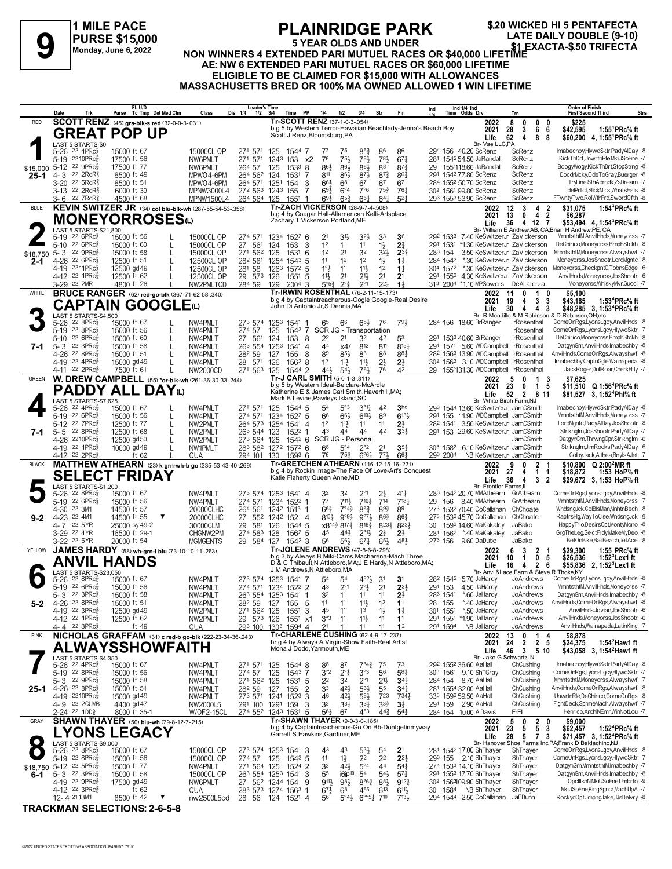**1 MILE PACE PURSE \$15,000 Monday, June 6, 2022**

### **PLAINRIDGE PARK**<br>5 YEAR OLDS AND UNDER **5 YEAR OLDS AND UNDER**

FLAINNIDUL FARK<br>
PURSE \$15,000<br>
Monday, June 6, 2022 NON WINNERS 4 EXTENDED PARI MUTUEL RACES OR \$40,000 LIFETIME<br>
A EXTENDED BARI MUTUEL BACES OR \$40,000 LIFETIME **\$.20 WICKED HI 5 PENTAFECTA**

#### **AE: NW 6 EXTENDED PARI MUTUEL RACES OR \$60,000 LIFETIME ELIGIBLE TO BE CLAIMED FOR \$15,000 WITH ALLOWANCES**

**MASSACHUSETTS BRED OR 100% MA OWNED ALLOWED 1 WIN LIFETIME**

|              | Date                | Trk                                                               | FL U/D<br>Purse Tc Tmp Det Med Clm                                     |              | Class                         | Leader's Time<br>Dis 1/4<br>$1/2$ $3/4$    |                  | PP<br>Time          | 1/4                                                                                             | 1/2                                     | 3/4                                                  | Str                                   | Fin                                                                                                              | Ind |                     | Ind 1/4 Ind<br>Time Odds Drv                                                                          | Trn      |                            |                                           | <b>Order of Finish</b><br><b>First Second Third</b>                  |                                                                                                                          | <b>Strs</b> |
|--------------|---------------------|-------------------------------------------------------------------|------------------------------------------------------------------------|--------------|-------------------------------|--------------------------------------------|------------------|---------------------|-------------------------------------------------------------------------------------------------|-----------------------------------------|------------------------------------------------------|---------------------------------------|------------------------------------------------------------------------------------------------------------------|-----|---------------------|-------------------------------------------------------------------------------------------------------|----------|----------------------------|-------------------------------------------|----------------------------------------------------------------------|--------------------------------------------------------------------------------------------------------------------------|-------------|
| RED          |                     |                                                                   | SCOTT RENZ (45) gra-blk-s red (32-0-0-3-.031)                          |              |                               |                                            |                  |                     | Tr-SCOTT RENZ (37-1-0-3-.054)                                                                   |                                         |                                                      |                                       | b g 5 by Western Terror-Hawaiian Beachlady-Jenna's Beach Boy                                                     |     |                     | 2022                                                                                                  | 8        | 0                          | 0<br>0                                    | \$225                                                                |                                                                                                                          |             |
|              |                     |                                                                   | <b>GREAT POP UP</b>                                                    |              |                               |                                            |                  |                     | Scott J Renz, Bloomsburg, PA                                                                    |                                         |                                                      |                                       |                                                                                                                  |     |                     | 2021<br>Life                                                                                          | 28<br>62 | 3<br>4                     | 6<br>6<br>8<br>8                          | \$42,595                                                             | 1:55 ${}^1$ PRc ${}^5\!$ ft<br>\$60,200 4, 1:55 <sup>1</sup> PRc <sup>5</sup> / <sub>8</sub> ft                          |             |
|              |                     | LAST 5 STARTS-\$0<br>5-26 22 4PRc <sup>5</sup>                    | 15000 ft 67                                                            |              | 15000CL OP                    | 271 571                                    | 125              | 1544 7              | 77                                                                                              | 75                                      | 85}                                                  | 86                                    | 86                                                                                                               |     |                     | Br- Vae LLC,PA<br>294 156 40.20 ScRenz                                                                |          | ScRenz                     |                                           |                                                                      | Imabechby,HlywdSktr,PadyAlDay -8                                                                                         |             |
|              |                     | 5-19 2210PRc                                                      | 17500 ft 56                                                            |              | NW6PMLT                       | 271 571                                    | 1243 153         |                     | 76<br>х2                                                                                        | $75\frac{1}{2}$                         | 781                                                  | 783                                   | $67\frac{1}{4}$                                                                                                  | 281 |                     | 154254.50 JaRandall                                                                                   |          | ScRenz                     |                                           |                                                                      | KickThDrt,UnwrtnRle,MkiUSoFne -7                                                                                         |             |
| \$15,000     |                     | 5-12 22 9PRc<br>4-3 22 2RcR <sup>5</sup>                          | 17500 ft 77<br>8500 ft 49                                              |              | NW6PMLT                       | 264 57                                     | 125              | $1533$ 8            | 86}                                                                                             | 86}                                     | 861                                                  | 88<br>$8^{73}$                        | 87½<br>863                                                                                                       | 29  |                     | 1551118.60 JaRandall<br>291 1543 77.80 ScRenz                                                         |          | ScRenz<br>ScRenz           |                                           |                                                                      | BoogyWogy,KickThDrt,StopStrng -8<br>DocdrMcky,OdeToGray,Buerger -8                                                       |             |
| $25 - 1$     |                     | 3-20 22 5RcR}                                                     | 8500 ft 51                                                             |              | MPWO4-6PM<br>MPWO4-6PM        | 264 562 124<br>264 571                     | 1251             | 1531<br>154         | 811<br>-7<br>66}<br>3                                                                           | $86\frac{1}{2}$<br>68                   | $8^{7}\frac{1}{2}$<br>67                             | 67                                    | 67                                                                                                               |     |                     | 284 1552 50.70 ScRenz                                                                                 |          | ScRenz                     |                                           |                                                                      | TryLine,SthAdrndk,ZsDream -7                                                                                             |             |
|              |                     | 3-13 <sup>22</sup> 2RcR <sup>3</sup>                              | 6000 ft 39                                                             |              | MPNW3000L4                    | 272 563 1243 155                           |                  |                     | 693<br>-7                                                                                       | $6^{\circ}4$                            | 7°6                                                  | $75\frac{3}{4}$                       | $76\frac{1}{4}$                                                                                                  |     |                     | 30 <sup>2</sup> 1561 99.80 ScRenz                                                                     |          | ScRenz                     |                                           |                                                                      | IdelPrfct,SlickMick,WhatsHsIs -8                                                                                         |             |
| <b>BLUE</b>  | 3-6                 | 22 7RcR <sup>5</sup>                                              | 4500 ft 68<br>KEVIN SWITZER JR (34) col blu-blk-wh (287-55-54-53-.358) |              | MPNW1500L4                    | 264 564 125                                |                  | 1551<br>-1          | $69\frac{1}{2}$<br><b>Tr-ZACH VICKERSON (28-9-7-4-.508)</b>                                     | $65\frac{3}{4}$                         | $65\frac{1}{4}$                                      | $64\frac{1}{4}$                       | 52                                                                                                               |     |                     | 293 1553 53.90 ScRenz<br>2022                                                                         | 12       | ScRenz<br>3                | $\overline{\mathbf{2}}$<br>4              | FTwntyTwo,RolWthFrd,SwordOfth -8<br>\$31,075                         | 1:54 ${}^{3}$ PRc ${}^{5}$ sft                                                                                           |             |
|              |                     |                                                                   | <b>MONEYORROSES</b> <sup>to</sup>                                      |              |                               |                                            |                  |                     | b g 4 by Cougar Hall-Allamerican Kelli-Artsplace                                                |                                         |                                                      |                                       |                                                                                                                  |     |                     | 2021                                                                                                  | 13       | 0                          | 4<br>$\overline{\mathbf{2}}$              | \$6,287                                                              |                                                                                                                          |             |
|              |                     | LAST 5 STARTS-\$21,800                                            |                                                                        |              |                               |                                            |                  |                     | Zachary T Vickerson, Portland, ME                                                               |                                         |                                                      |                                       |                                                                                                                  |     |                     | Life                                                                                                  | 36       | 4                          | 12<br>-7                                  | Br- William E Andrew AB, CA:Brian H Andrew PE, CA                    | \$53,494 4, 1:54 <sup>3</sup> PRc <sup>5</sup> / <sub>8</sub> ft                                                         |             |
|              |                     | 5-19 22 6PRc <sup>5</sup>                                         | 15000 ft 56                                                            |              | 15000CL OP                    | 274 571                                    |                  | 1234 1522 6         | 2 <sup>1</sup>                                                                                  | 31}                                     | 323                                                  | 33                                    | 36                                                                                                               |     |                     | 292 1533 7.40 KeSwitzerJr ZaVickerson                                                                 |          |                            |                                           |                                                                      | MmntsthtM,AnvilHnds,Moneyorss -7                                                                                         |             |
| \$18,750     | $5 - 10$<br>$5 - 3$ | 22 6PRc<br>22 9PRc                                                | 15000 ft 60<br>15000 ft 58                                             | L<br>L       | 15000CL OP<br>15000CL OP      | 27 561<br>271 562                          | 124<br>125       | 153<br>1531         | 1 <sup>2</sup><br>3<br>1 <sup>2</sup><br>-6                                                     | 11<br>2 <sup>1</sup>                    | 11<br>32                                             | $1\frac{1}{2}$<br>$3^{2}\frac{1}{2}$  | 21<br>$2^{3}\frac{3}{4}$                                                                                         |     | 291 1531<br>283 154 | *1.30 KeSwitzerJr ZaVickerson<br>3.50 KeSwitzerJr ZaVickerson                                         |          |                            |                                           | MmntsthtM,Moneyorss,Alwayshwf -7                                     | DeChirico,Moneyorss,BmphStckh -8                                                                                         |             |
| $2 - 1$      |                     | 4-26 22 6PRcs                                                     | 12500 ft 51                                                            | $\mathbf{I}$ | 12500CL OP                    | 282 581                                    |                  | 1254 1543 5         | 11                                                                                              | 12                                      | 1 <sup>2</sup>                                       | $1\frac{1}{2}$                        | $1\frac{1}{2}$                                                                                                   |     | 284 1543            | *.30 KeSwitzerJr ZaVickerson                                                                          |          |                            |                                           |                                                                      | Moneyorss, JosShootr, LordMgntc -8                                                                                       |             |
|              |                     | 4-19 2211PRc <sup>5</sup><br>4-12 <sup>22</sup> 1PRc <sup>5</sup> | 12500 gd 49<br>12500 ft 62                                             | L            | 12500CL OP<br>12500CL OP      | 281 58<br>29 573                           | 126              | 1263 1572 5<br>1551 | 1°3<br>11}                                                                                      | 11<br>2 <sup>1</sup>                    | $11\frac{1}{2}$<br>$21\frac{1}{2}$                   | 1 <sup>2</sup><br>2 <sup>1</sup>      | 1 <sup>1</sup><br>2 <sup>1</sup>                                                                                 |     | 304 1572            | *.30 KeSwitzerJr ZaVickerson<br>291 1552 4.30 KeSwitzerJr ZaVickerson                                 |          |                            |                                           | Moneyorss, CheckpntC, TobnsEdge -6                                   | AnvilHnds, Moneyorss, JosShootr -6                                                                                       |             |
|              |                     | 3-29 22 2MR                                                       | 4800 ft 26                                                             |              | NW2PMLTCD                     | 284 59                                     | 129              | $2004$ 3            | -5<br>$5^{\circ 5^3}$                                                                           | $2^{\circ}$                             | $2^{\circ}1$                                         | $2^{2}$                               | 1 <sup>3</sup>                                                                                                   |     |                     | 313 2004 *1.10 MPSowers                                                                               |          | DeALaterza                 |                                           |                                                                      | Moneyorss, Whisky Mvr, Gucci -7                                                                                          |             |
| WHITE        |                     |                                                                   | <b>BRUCE RANGER</b> (62) red-go-blk (367-71-62-58-.340)                |              |                               |                                            |                  |                     | <b>Tr-IRWIN ROSENTHAL (76-2-11-15-.173)</b>                                                     |                                         |                                                      |                                       |                                                                                                                  |     |                     | 2022                                                                                                  | 11       | 0                          | -1<br>0                                   | \$5,100                                                              |                                                                                                                          |             |
|              |                     |                                                                   | <b>CAPTAIN GOOGLE</b> W                                                |              |                               |                                            |                  |                     | John Di Antonio Jr, S Dennis, MA                                                                |                                         |                                                      |                                       | b g 4 by Captaintreacherous-Oogle Google-Real Desire                                                             |     |                     | 2021<br>Life                                                                                          | 19<br>30 | 4<br>4                     | 3<br>3<br>4<br>3                          | \$43,185                                                             | 1:53 <sup>4</sup> PRc <sup>5</sup> / <sub>8</sub> ft<br>\$48,285 3, 1:53 <sup>4</sup> PRc <sup>5</sup> / <sub>8</sub> ft |             |
|              |                     | LAST 5 STARTS-\$4,500                                             |                                                                        |              |                               |                                            |                  |                     |                                                                                                 |                                         |                                                      |                                       |                                                                                                                  |     |                     |                                                                                                       |          |                            |                                           | Br- R Mondillo & M Robinson & D Robinson, OH; etc.                   |                                                                                                                          |             |
|              |                     | 5-26 22 8PRcs<br>5-19 22 8PRc                                     | 15000 ft 67<br>15000 ft 56                                             | L            | NW4PMLT<br>NW4PMLT            | 273 574<br>274 57                          | 1253 1541<br>125 | -1<br>1543 7        | 65                                                                                              | 66                                      | 683<br>SCR JG - Transportation                       | 76                                    | 79}                                                                                                              |     |                     | 284 156 18.60 BrRanger                                                                                |          | IrRosenthal<br>IrRosenthal |                                           | ComeOnRgs,LyonsLgcy,AnvilHnds -8<br>ComeOnRgs,LyonsLgcy,HlywdSktr -7 |                                                                                                                          |             |
|              |                     | 5-10 22 6PRc                                                      | 15000 ft 60                                                            | L            | NW4PMLT                       | 27 561                                     | 124              | 153                 | -8<br>22                                                                                        | 2 <sup>1</sup>                          | 32                                                   | 42                                    | 53                                                                                                               |     |                     | 291 1533 40.60 BrRanger                                                                               |          | <b>IrRosenthal</b>         |                                           |                                                                      | DeChirico,Moneyorss,BmphStckh -8                                                                                         |             |
| 7-1          |                     | 5-3 22 3PRc<br>4-26 22 8PRc <sup>5</sup>                          | 15000 ft 58<br>15000 ft 51                                             | $\mathbf{I}$ | NW4PMLT<br>NW4PMLT            | 263 554 1253<br>282 59                     | 127              | 1541<br>155         | 44<br>4<br>89<br>8                                                                              | x47<br>85}                              | 812<br>86                                            | 811<br>88                             | $8^{15}$<br>881                                                                                                  |     |                     | 291 1571 5.60 WDCampbell IrRosenthal<br>28 <sup>2</sup> 156 <sup>3</sup> 13.90 WDCampbell IrRosenthal |          |                            |                                           | AnvilHnds,ComeOnRgs,Alwayshwf -8                                     | DatgynGrn, AnvilHnds, Imabechby -8                                                                                       |             |
|              |                     | 4-19 22 4PRc                                                      | 15000 gd 49                                                            |              | NW4PMLT                       | 28 571                                     | 126              | $156^2$ 8           | 1 <sup>2</sup>                                                                                  | $11\frac{1}{2}$                         | $11\frac{1}{2}$                                      | $2\frac{1}{2}$                        | $2\frac{1}{2}$                                                                                                   |     |                     | 30 <sup>2</sup> 156 <sup>2</sup> 3.10 WDCampbell IrRosenthal                                          |          |                            |                                           | Imabechby,CaptnGgle,Wainapeda -8                                     |                                                                                                                          |             |
|              | 4-11                | $22$ 2PR $c_{8}^{5}$                                              | 7500 ft 61                                                             |              | NW2000CD                      | 271 563                                    | 125              | 1544 2              | 443<br>Tr-J CARL SMITH (5-0-1-3-.311)                                                           | $54\frac{1}{2}$                         | 761                                                  | 76                                    | 42                                                                                                               | 29  |                     | 1551131.30 WDCampbell IrRosenthal                                                                     |          |                            |                                           |                                                                      | JackRoger.DullRoar.CherkHfly -7                                                                                          |             |
| <b>GREEN</b> |                     |                                                                   | W. DREW CAMPBELL (55) *or-blk-wh (261-36-30-33-244)                    |              |                               |                                            |                  |                     | b g 5 by Western Ideal-Belclare-McArdle                                                         |                                         |                                                      |                                       |                                                                                                                  |     |                     | 2022<br>2021                                                                                          | 5<br>23  | 0<br>0                     | 3<br>-1<br>$\mathbf{1}$<br>5              | \$7,625                                                              | \$11.510 Q 1:56 <sup>4</sup> PRc <sup>5</sup> / <sub>8</sub> ft                                                          |             |
|              |                     | LAST 5 STARTS-\$7,625                                             | <b>PADDY ALL DAY</b> <sub>W</sub>                                      |              |                               |                                            |                  |                     | Katherine E & James Carl Smith, Haverhill, MA;<br>Mark B Levine, Pawleys Island, SC             |                                         |                                                      |                                       |                                                                                                                  |     |                     | Life<br>Br- White Birch Farm.NJ                                                                       | 52       | $\overline{2}$             | 811                                       |                                                                      | \$81,527 3, 1:52 <sup>4</sup> Phl <sup>5</sup> / <sub>8</sub> ft                                                         |             |
|              |                     | 5-26 22 4PRc <sup>5</sup>                                         | 15000 ft 67                                                            |              | NW4PMLT                       | 271 571                                    | 125              | 1544 5              | 54                                                                                              | 5°3                                     | $3^{\circ}1\frac{1}{4}$                              | 42                                    | 3 <sub>hd</sub>                                                                                                  |     |                     | 293 1544 13.60 KeSwitzerJr JamCSmith                                                                  |          |                            |                                           |                                                                      | Imabechby,HlywdSktr,PadyAlDay -8                                                                                         |             |
|              |                     | 5-19 22 6PRc<br>5-12 22 7PRc                                      | 15000 ft 56<br>12500 ft 77                                             | L<br>L       | NW4PMLT<br>NW2PMLT            | 274 571<br>264 573                         | 1254 1541        | 1234 1522 5         | 66<br>1 <sup>2</sup><br>-4                                                                      | $66\frac{1}{2}$<br>11}                  | $6^{10}\frac{1}{2}$<br>11                            | 69<br>11                              | $6^{13}\frac{1}{2}$<br>2}                                                                                        |     | 282 1541            | 291 155 11.90 WDCampbell JamCSmith<br>3.50 KeSwitzerJr JamCSmith                                      |          |                            |                                           |                                                                      | MmntsthtM,AnvilHnds,Moneyorss -7<br>LordMgntc,PadyAlDay,JosShootr -8                                                     |             |
| 7-1          | $5 - 5$             | 22 8PRc                                                           | 12500 ft 68                                                            | $\mathbf{I}$ | NW2PMLT                       | 263 544 123                                |                  | 1522 1              | 43                                                                                              | 44                                      | 44                                                   | 42                                    | 3 <sup>3</sup>                                                                                                   |     |                     | 291 153 29.60 KeSwitzerJr JamCSmith                                                                   |          |                            |                                           |                                                                      | Striknglm, JosShootr, PadyAlDay -7                                                                                       |             |
|              |                     | 4-26 2210PRc                                                      | 12500 gd50                                                             | L            | NW2PMLT                       | 273 564                                    | 125              | $154^2$ 6           |                                                                                                 |                                         | SCR JG - Personal                                    |                                       |                                                                                                                  |     |                     |                                                                                                       |          | JamCSmith                  |                                           |                                                                      | DatgynGrn, ThrwngCpr, Striknglm -6                                                                                       |             |
|              |                     | 4-19 22 1PRc<br>4-12 <sup>22</sup> 2PRc                           | 10000 gd 49<br>ft $62$                                                 | L            | NW1PMLT<br>QUA                | 283 582 1272 1572 6<br>294 101             | 130              | $159^3$ 6           | 68<br>76                                                                                        | $5^{\circ}4$<br>$75\frac{3}{4}$         | $2^{\circ}2$<br>$6^{\circ}6^{\circ}4$                | 2 <sup>1</sup><br>$7^{71}$            | $35\frac{1}{4}$<br>$66\frac{1}{4}$                                                                               |     | 293 2004            | 303 1582 6.10 KeSwitzerJr JamCSmith<br>NB KeSwitzerJr JamCSmith                                       |          |                            |                                           |                                                                      | Striknglm,JimRocks,PadyAlDay -6<br>ColbyJack,Althea,BnyIsAJet -7                                                         |             |
| <b>BLACK</b> |                     |                                                                   | MATTHEW ATHEARN (23) k grn-wh-b go (335-53-43-40-.269)                 |              |                               |                                            |                  |                     | Tr-GRETCHEN ATHEARN (116-12-15-16-221)                                                          |                                         |                                                      |                                       |                                                                                                                  |     |                     | 2022                                                                                                  | 9        | 0                          | $\overline{2}$                            |                                                                      | \$10,800 $Q$ 2:00 <sup>2</sup> MR ft                                                                                     |             |
|              |                     |                                                                   | <b>SELECT FRIDAY</b>                                                   |              |                               |                                            |                  |                     | Katie Flaherty, Queen Anne, MD                                                                  |                                         |                                                      |                                       | b g 4 by Rockin Image-The Face Of Love-Art's Conquest                                                            |     |                     | 2021<br>Life                                                                                          | 27<br>36 | 4<br>4                     | $\mathbf{1}$<br>-1<br>$\overline{2}$<br>3 | \$18,872                                                             | 1:53 HoP% ft<br>\$29,672 3, 1:53 HoP% ft                                                                                 |             |
|              |                     | LAST 5 STARTS-\$1,200<br>5-26 <sup>22</sup> 8PRc <sup>3</sup>     | 15000 ft 67                                                            |              | NW4PMLT                       | 273 574 1253 1541 4                        |                  |                     | 32                                                                                              | 32                                      |                                                      | 2}                                    | 41}                                                                                                              |     |                     | <b>Br- Frontier Farms.IL</b><br>283 1542 20.70 MMAthearn                                              |          | GrAthearn                  |                                           | ComeOnRgs,LyonsLgcy,AnvilHnds -8                                     |                                                                                                                          |             |
|              |                     | 5-19 22 6PRcs                                                     | 15000 ft 56                                                            |              | NW4PMLT                       | 274 571                                    |                  | 1234 1522 1         | $7^7$                                                                                           | $711\frac{1}{2}$                        | 7161                                                 | 714                                   | $7^{18}$                                                                                                         | 29  |                     | 156 8.40 MMAthearn                                                                                    |          | GrAthearn                  |                                           |                                                                      | MmntsthtM,AnvilHnds,Moneyorss -7                                                                                         |             |
|              |                     | 4-30 22 3M1<br>4-23 22 4M1                                        | 14500 ft 57<br>14500 ft 55                                             |              | 20000CLHC                     | 264 561                                    |                  | 1242 1513 1         | $66\frac{3}{4}$                                                                                 | $7^{\circ}4^{\frac{3}{4}}$<br>8103 9°91 | $86\frac{3}{4}$<br>$9^{\circ}7\frac{1}{2}$           | $89\frac{3}{4}$<br>863                | 89<br>863                                                                                                        |     |                     | 273 1532 70.40 CoCallahan<br>273 1532 45.70 CoCallahan                                                |          | ChChoate<br>ChChoate       |                                           |                                                                      | WndsngJck,ColBlsMan,MnhtnBech -8<br>RaptrsFlg, Way ToClse, Wndsng Jck -9                                                 |             |
| $9 - 2$      |                     | 4-7 22 5YR                                                        | 25000 sy 49-2                                                          |              | 20000CLHC<br>30000CLM         | 27 552 1242 152 4<br>29<br>581             | 126              | 1544 5              |                                                                                                 | x8143 8171                              | 8163                                                 | 8231                                  | 8233                                                                                                             | 30  |                     | 1592 14.60 MaKakaley                                                                                  |          | JaBako                     |                                           |                                                                      | HappyTrio,DesirsCpt,MontyMono -8                                                                                         |             |
|              |                     | 3-29 22 4YR                                                       | 16500 ft 29-1                                                          |              | CHGNW2PM                      | 274 583 128                                |                  | 1562 5              | 45                                                                                              | 443                                     | $2^{\circ}1\frac{1}{2}$                              | $2\frac{3}{4}$                        | $2\frac{1}{2}$                                                                                                   |     |                     | 281 1562 *.40 MaKakaley                                                                               |          | JaBako                     |                                           |                                                                      | GrgTheLeg,SelctFrdy,MakeMyDeo -8                                                                                         |             |
| YELLOW       |                     | 3-22 <sup>22</sup> 5YR                                            | 20000 ft 54<br>JAMES HARDY (58) wh-grn-I blu (73-10-10-11-.263)        |              | <b>MGMGENTS</b>               | 29 584 127                                 |                  | $154^2$ 3           | 56<br><b>Tr-JOLENE ANDREWS (47-8-6-8-298)</b>                                                   | 56}                                     | $67\frac{1}{4}$                                      | 65}                                   | 481                                                                                                              |     | 273 156             | 9.60 DaDube<br>2022                                                                                   | 6        | JaBako<br>3                | $\mathbf{2}$<br>-1                        | \$29,300                                                             | BetOnBlke,BaliBeach,JetAce -8<br>1:55 $PRc\%$ ft                                                                         |             |
|              |                     | ANVIL                                                             | <b>HANDS</b>                                                           |              |                               |                                            |                  |                     |                                                                                                 |                                         |                                                      |                                       | b g 3 by Always B Miki-Cams Macharena-Mach Three<br>D & C Thibault, N Attleboro, MA; J E Hardy, N Attleboro, MA; |     |                     | 2021                                                                                                  | 10       | -1                         | 0<br>5                                    | \$26,536                                                             | $1:523$ Lex 1 ft                                                                                                         |             |
|              |                     | LAST 5 STARTS-\$23,050                                            |                                                                        |              |                               |                                            |                  |                     | J M Andrews, N Attleboro, MA                                                                    |                                         |                                                      |                                       |                                                                                                                  |     |                     | Life                                                                                                  | 16       | 4                          | $\mathbf{2}$<br>6                         | Br- Anvil&Lace Farm & Steve R Thoke, KY                              | \$55,836 2, 1:52 <sup>3</sup> Lex1 ft                                                                                    |             |
|              |                     | 5-26 22 8PRcs<br>5-19 22 6PRc <sup>5</sup>                        | 15000 ft 67<br>15000 ft 56                                             |              | NW4PMLT<br>NW4PMLT            | 273 574 1253 1541 7<br>274 571 1234 1522 2 |                  |                     | 54<br>43                                                                                        | 54<br>$2^{\circ}1$                      | $4^{\circ}2\frac{1}{2}$<br>$2^{\circ}$ $\frac{1}{2}$ | 3 <sup>1</sup><br>2 <sup>1</sup>      | 3 <sup>1</sup><br>$2^{3}$                                                                                        |     |                     | 28 <sup>2</sup> 154 <sup>2</sup> 5.70 JaHardy<br>291 153 4.50 JaHardy                                 |          | JoAndrews<br>JoAndrews     |                                           | ComeOnRgs,LyonsLgcy,AnvilHnds -8                                     | MmntsthtM.AnvilHnds.Monevorss -7                                                                                         |             |
|              |                     | 5-3 22 3PRc                                                       | 15000 ft 58                                                            |              | NW4PMLT                       | 263 554 1253 1541                          |                  |                     | 32                                                                                              |                                         |                                                      |                                       | 23                                                                                                               |     | 283 1541            | *.60 JaHardy                                                                                          |          | JoAndrews                  |                                           |                                                                      | DatgynGrn,AnvilHnds,Imabechby -8                                                                                         |             |
| 5-2          |                     | 4-26 22 8PRc <sup>5</sup><br>4-19 22 3PRc <sup>3</sup>            | 15000 ft 51                                                            |              | NW4PMLT                       | 282 59                                     | 127              | 155                 | 11<br>5<br>45                                                                                   | 11                                      | 11号<br>1 <sup>3</sup>                                | 1 <sup>2</sup>                        | 11                                                                                                               | 28  | 155                 | *.40 JaHardy                                                                                          |          | JoAndrews<br>JoAndrews     |                                           | AnvilHnds,ComeOnRgs,Alwayshwf -8                                     | AnvilHnds, Jovian, JosShootr -6                                                                                          |             |
|              |                     | 4-12 <sup>22</sup> 1PRc <sup>5</sup>                              | 12500 gd 49<br>12500 ft 62                                             |              | NW2PMLT<br>NW2PMLT            | 271 562 125<br>29 573                      | 126              | 1551<br>1551        | 3<br>3°3<br>x1                                                                                  | 11<br>11                                | $11\frac{1}{2}$                                      | $1\frac{1}{2}$<br>11                  | $1\frac{1}{2}$<br>1 <sup>1</sup>                                                                                 | 301 | 1551                | *.50 JaHardy<br>291 1551 *1.90 JaHardy                                                                |          | JoAndrews                  |                                           |                                                                      | AnvilHnds, Moneyorss, JosShootr -6                                                                                       |             |
|              |                     | $4 - 4$ 22 3PRc $\frac{5}{8}$                                     | ft 49                                                                  |              | QUA                           | 293 100                                    |                  | 1303 1594 4         | 21                                                                                              | 11                                      | 11                                                   | 11                                    | 1 <sup>2</sup>                                                                                                   |     | 291 1594            | NB JaHardy                                                                                            |          | JoAndrews                  |                                           |                                                                      | AnvilHnds, Wainapeda, LatinKing -7                                                                                       |             |
| <b>PINK</b>  |                     |                                                                   | NICHOLAS GRAFFAM (31) c red-b go-blk (222-23-34-36-.243)               |              |                               |                                            |                  |                     | <b>Tr-CHARLENE CUSHING (62-4-9-17-.237)</b><br>br g 4 by Always A Virgin-Show Faith-Real Artist |                                         |                                                      |                                       |                                                                                                                  |     |                     | 2022<br>2021                                                                                          | 13<br>24 | 0<br>$\mathbf{2}$          | 14<br>2 <sub>5</sub>                      | \$8,878<br>\$24,375                                                  | 1:54 <sup>2</sup> Haw 1 ft                                                                                               |             |
|              |                     |                                                                   | <b>ALWAYSSHOWFAITH</b>                                                 |              |                               |                                            |                  |                     | Mona J Dodd, Yarmouth, ME                                                                       |                                         |                                                      |                                       |                                                                                                                  |     |                     | Life                                                                                                  |          |                            | 46 3 5 10                                 |                                                                      | \$43,058 3, 1:54 <sup>2</sup> Haw1 ft                                                                                    |             |
|              |                     | LAST 5 STARTS-\$4,350<br>5-26 <sup>22</sup> 4PRc <sup>3</sup>     | 15000 ft 67                                                            |              | NW4PMLT                       | 271 571                                    | 125              | 1544 8              | 88                                                                                              | 87                                      | $7^\circ 4^\circ_4$                                  | 75                                    | 73                                                                                                               |     |                     | Br- Jake G Schwartz, IN<br>292 1552 36.60 AaHall                                                      |          | ChCushing                  |                                           |                                                                      | Imabechby,HlywdSktr,PadyAlDay -8                                                                                         |             |
|              |                     | 5-19 22 8PRc                                                      | 15000 ft 56                                                            |              | NW4PMLT                       | 274 57                                     | 125              | 1543 7              | 3°2                                                                                             | $2^{\circ}$                             | 3°3                                                  | 56                                    | $5^{8}$                                                                                                          |     |                     | 303 1561 9.10 ShTGray                                                                                 |          | ChCushing                  |                                           | ComeOnRgs,LyonsLgcy,HlywdSktr -7                                     |                                                                                                                          |             |
|              |                     | 5-3 22 9PRc<br>25-1 4-26 <sup>22 8PRc<sup>3</sup></sup>           | 15000 ft 58<br>15000 ft 51                                             |              | NW4PMLT<br>NW4PMLT            | 271 562 125<br>282 59                      | 127              | 1531<br>155         | 22<br>-5<br>33<br>2                                                                             | 32<br>42}                               | $2^{\circ}1$<br>$5^{31}$                             | 2 <sup>11</sup><br>55                 | $34\frac{1}{4}$<br>$34\frac{1}{4}$                                                                               |     |                     | 284 154 8.70 AaHall<br>281 1554 32.00 AaHall                                                          |          | ChCushing<br>ChCushing     |                                           | MmntsthtM,Moneyorss,Alwayshwf -7<br>AnvilHnds,ComeOnRgs,Alwayshwf -8 |                                                                                                                          |             |
|              |                     | 4-19 2210PRc                                                      | 15000 gd 49                                                            |              | NW4PMLT                       | 273 571 1241 1523                          |                  |                     | 46<br>-3                                                                                        | $4^{2}\frac{1}{2}$                      | $5^{8}$                                              | 723                                   | 7341                                                                                                             |     |                     | 333 1592 59.50 AaHall                                                                                 |          | ChCushing                  |                                           | UnwrtnRle,DeChirico,ComeOnRgs -8                                     |                                                                                                                          |             |
|              |                     | 4-9 22 2 CUMB<br>2-24 <sup>22</sup> 1DD <sub>8</sub>              | 4400 gd 47<br>8000 ft 35-1                                             |              | NW2000L5<br><b>W/OF2-15CL</b> | 291 100 1291 159<br>274 552                |                  | 1243 1531 5         | 33<br>3<br>$56\frac{3}{4}$                                                                      | $3^{31}$<br>67                          | $3^{3}$<br>$4^{\circ}3$                              | $3^{3}\frac{3}{4}$<br>$44\frac{3}{4}$ | $3\frac{1}{2}$<br>$5^{41}$                                                                                       |     |                     | 291 159 2.90 AaHall<br>284 154 10.00 AlDavis                                                          |          | ChCushing<br>ErEll         |                                           | FightDeck,SprmeMach,Alwayshwf -7                                     | Henrico, ArchiNEmr, WinNotLou -7                                                                                         |             |
| GRAY         |                     |                                                                   | <b>SHAWN THAYER</b> (50) blu-wh (79-8-12-7-215)                        |              |                               |                                            |                  |                     | Tr-SHAWN THAYER (9-0-3-0-185)                                                                   |                                         |                                                      |                                       |                                                                                                                  |     |                     | 2022                                                                                                  | 5        | 0                          | $\overline{2}$<br>0                       | \$9,000                                                              |                                                                                                                          |             |
|              |                     |                                                                   | <b>LYONS LEGACY</b>                                                    |              |                               |                                            |                  |                     | Garrett S Hawkins, Gardiner, ME                                                                 |                                         |                                                      |                                       | b g 4 by Captaintreacherous-Go On Bb-Dontgetinmyway                                                              |     |                     | 2021                                                                                                  | 23       | 5                          | 5<br>3                                    | \$62,457                                                             | 1:52 <sup>4</sup> PRc <sup>5</sup> / <sub>8</sub> ft                                                                     |             |
| $\bullet$    |                     | LAST 5 STARTS-\$9,000                                             |                                                                        |              |                               |                                            |                  |                     |                                                                                                 |                                         |                                                      |                                       |                                                                                                                  |     |                     | Life                                                                                                  | 28       |                            | 3<br>5 7                                  | Br- Hanover Shoe Farms Inc, PA; Frank D Baldachino, NJ               | \$71,457 3, 1:52 <sup>4</sup> PRc <sup>5</sup> / <sub>8</sub> ft                                                         |             |
|              |                     | 5-26 <sup>22</sup> 8PRc <sup>3</sup><br>5-19 22 8PRc              | 15000 ft 67<br>15000 ft 56                                             |              | 15000CL OP<br>15000CL OP      | 273 574 1253 1541 3<br>274 57              |                  | 125 1543 5          | 43<br>11                                                                                        | 43<br>1}                                | $53\frac{1}{2}$<br>22                                | 54<br>22                              | $2^1$<br>$2^{21}$                                                                                                |     |                     | 281 1542 17.00 ShThayer<br>293 155 2.10 ShThayer                                                      |          | ShThayer<br>ShThayer       |                                           | ComeOnRgs,LyonsLgcy,AnvilHnds -8<br>ComeOnRgs,LyonsLgcy,HlywdSktr -7 |                                                                                                                          |             |
| \$18,750     |                     | 5-12 <sup>22</sup> 5PRc <sup>5</sup>                              | 15000 ft 77                                                            |              | NW4PMLT                       | 271 564 125                                |                  | 1524 2              | 33                                                                                              | 42}                                     | $5^{\circ}4$                                         | 44                                    | 541                                                                                                              |     |                     | 274 1533 14.10 ShThayer                                                                               |          | ShThayer                   |                                           |                                                                      | DatgynGrn,MmntsthtM,Imabechby -7                                                                                         |             |
| 6-1          |                     | $5 - 3$ 22 3PRc $\frac{5}{8}$<br>4-19 22 9PRc <sup>3</sup>        | 15000 ft 58<br>17500 gd 49                                             |              | 15000CL OP                    | 263 554 1253 1541                          |                  |                     | 55<br>-3                                                                                        | $i$ 6ip <sup>10</sup>                   | 54<br>$8^{\circ}6^{\frac{3}{4}}$                     | $5^{41}$<br>883                       | $5^{71}$<br>$9^{12}\frac{3}{4}$                                                                                  |     |                     | 291 1553 17.70 ShThayer<br>30 <sup>2</sup> 1563109.90 ShThayer                                        |          | ShThayer<br>ShThayer       |                                           |                                                                      | DatgynGrn, AnvilHnds, Imabechby -8<br>OpcIIIsnN, MkiUSoFne, Umbrto -9                                                    |             |
|              |                     | 4-12 22 3PRc <sup>5</sup>                                         | ft $62$                                                                |              | NW6PMLT<br>QUA                | 27 562 1244 154<br>283 573 1274 1563 1     |                  |                     | $9^{11}\frac{1}{2}$<br>9<br>$6^{7}\frac{1}{2}$                                                  | 98}<br>6 <sup>8</sup>                   | $4^{\circ}5$                                         | $6^{13}$                              | $6^{11}\frac{1}{2}$                                                                                              |     |                     | 30 1584 NB ShThayer                                                                                   |          | ShThayer                   |                                           |                                                                      | MkiUSoFne,KingSpncr,MachUpA -7                                                                                           |             |
|              |                     | 12-4 2113M1                                                       | 8500 ft 42                                                             | ▼            | nw2500L5cd                    | 28 56                                      |                  | 124 1521 4          | 56                                                                                              | $5^{\circ}4\frac{1}{2}$                 | $6^{\circ 6}$ <sup>1</sup>                           | 710                                   | 7131                                                                                                             |     |                     | 294 1544 2.50 CoCallahan                                                                              |          | JaEDunn                    |                                           |                                                                      | RockydOpt,JmpngJake,JJsDelvry -8                                                                                         |             |

**TRACKMAN SELECTIONS: 2-6-5-8**